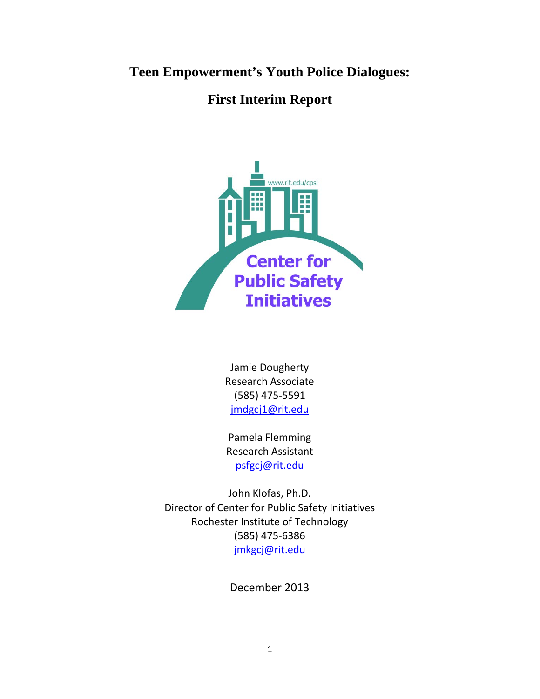**Teen Empowerment's Youth Police Dialogues:**

# **First Interim Report**



Jamie Dougherty Research Associate (585) 475-5591 [jmdgcj1@rit.edu](mailto:jmdgcj1@rit.edu)

Pamela Flemming Research Assistant [psfgcj@rit.edu](mailto:psfgcj@rit.edu)

John Klofas, Ph.D. Director of Center for Public Safety Initiatives Rochester Institute of Technology (585) 475-6386 [jmkgcj@rit.edu](mailto:jmkgcj@rit.edu)

December 2013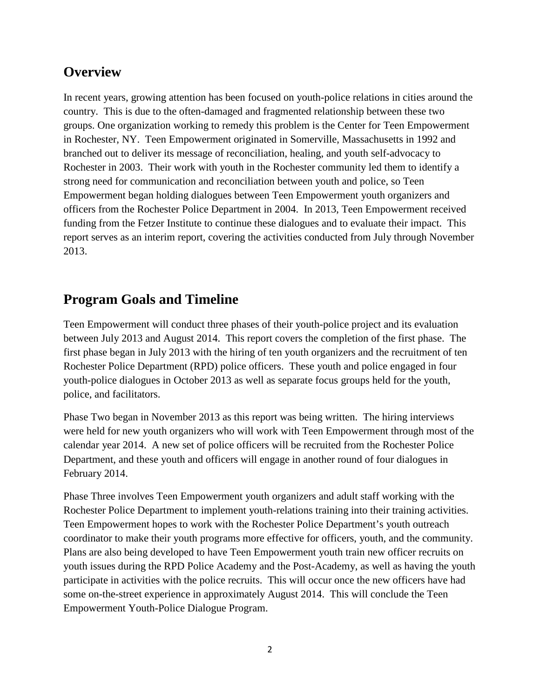# **Overview**

In recent years, growing attention has been focused on youth-police relations in cities around the country. This is due to the often-damaged and fragmented relationship between these two groups. One organization working to remedy this problem is the Center for Teen Empowerment in Rochester, NY. Teen Empowerment originated in Somerville, Massachusetts in 1992 and branched out to deliver its message of reconciliation, healing, and youth self-advocacy to Rochester in 2003. Their work with youth in the Rochester community led them to identify a strong need for communication and reconciliation between youth and police, so Teen Empowerment began holding dialogues between Teen Empowerment youth organizers and officers from the Rochester Police Department in 2004. In 2013, Teen Empowerment received funding from the Fetzer Institute to continue these dialogues and to evaluate their impact. This report serves as an interim report, covering the activities conducted from July through November 2013.

# **Program Goals and Timeline**

Teen Empowerment will conduct three phases of their youth-police project and its evaluation between July 2013 and August 2014. This report covers the completion of the first phase. The first phase began in July 2013 with the hiring of ten youth organizers and the recruitment of ten Rochester Police Department (RPD) police officers. These youth and police engaged in four youth-police dialogues in October 2013 as well as separate focus groups held for the youth, police, and facilitators.

Phase Two began in November 2013 as this report was being written. The hiring interviews were held for new youth organizers who will work with Teen Empowerment through most of the calendar year 2014. A new set of police officers will be recruited from the Rochester Police Department, and these youth and officers will engage in another round of four dialogues in February 2014.

Phase Three involves Teen Empowerment youth organizers and adult staff working with the Rochester Police Department to implement youth-relations training into their training activities. Teen Empowerment hopes to work with the Rochester Police Department's youth outreach coordinator to make their youth programs more effective for officers, youth, and the community. Plans are also being developed to have Teen Empowerment youth train new officer recruits on youth issues during the RPD Police Academy and the Post-Academy, as well as having the youth participate in activities with the police recruits. This will occur once the new officers have had some on-the-street experience in approximately August 2014. This will conclude the Teen Empowerment Youth-Police Dialogue Program.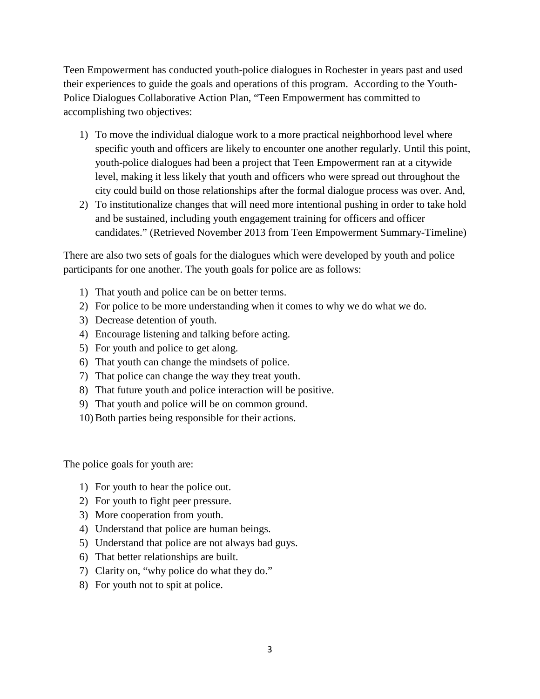Teen Empowerment has conducted youth-police dialogues in Rochester in years past and used their experiences to guide the goals and operations of this program. According to the Youth-Police Dialogues Collaborative Action Plan, "Teen Empowerment has committed to accomplishing two objectives:

- 1) To move the individual dialogue work to a more practical neighborhood level where specific youth and officers are likely to encounter one another regularly. Until this point, youth-police dialogues had been a project that Teen Empowerment ran at a citywide level, making it less likely that youth and officers who were spread out throughout the city could build on those relationships after the formal dialogue process was over. And,
- 2) To institutionalize changes that will need more intentional pushing in order to take hold and be sustained, including youth engagement training for officers and officer candidates." (Retrieved November 2013 from Teen Empowerment Summary-Timeline)

There are also two sets of goals for the dialogues which were developed by youth and police participants for one another. The youth goals for police are as follows:

- 1) That youth and police can be on better terms.
- 2) For police to be more understanding when it comes to why we do what we do.
- 3) Decrease detention of youth.
- 4) Encourage listening and talking before acting.
- 5) For youth and police to get along.
- 6) That youth can change the mindsets of police.
- 7) That police can change the way they treat youth.
- 8) That future youth and police interaction will be positive.
- 9) That youth and police will be on common ground.
- 10) Both parties being responsible for their actions.

The police goals for youth are:

- 1) For youth to hear the police out.
- 2) For youth to fight peer pressure.
- 3) More cooperation from youth.
- 4) Understand that police are human beings.
- 5) Understand that police are not always bad guys.
- 6) That better relationships are built.
- 7) Clarity on, "why police do what they do."
- 8) For youth not to spit at police.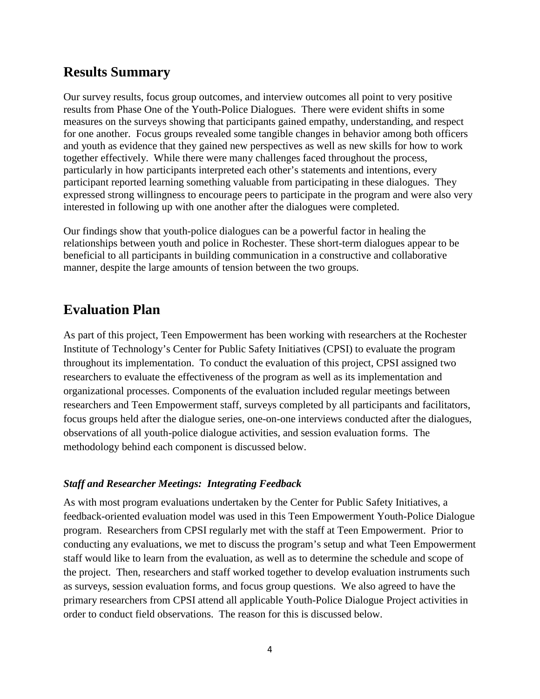# **Results Summary**

Our survey results, focus group outcomes, and interview outcomes all point to very positive results from Phase One of the Youth-Police Dialogues. There were evident shifts in some measures on the surveys showing that participants gained empathy, understanding, and respect for one another. Focus groups revealed some tangible changes in behavior among both officers and youth as evidence that they gained new perspectives as well as new skills for how to work together effectively. While there were many challenges faced throughout the process, particularly in how participants interpreted each other's statements and intentions, every participant reported learning something valuable from participating in these dialogues. They expressed strong willingness to encourage peers to participate in the program and were also very interested in following up with one another after the dialogues were completed.

Our findings show that youth-police dialogues can be a powerful factor in healing the relationships between youth and police in Rochester. These short-term dialogues appear to be beneficial to all participants in building communication in a constructive and collaborative manner, despite the large amounts of tension between the two groups.

# **Evaluation Plan**

As part of this project, Teen Empowerment has been working with researchers at the Rochester Institute of Technology's Center for Public Safety Initiatives (CPSI) to evaluate the program throughout its implementation. To conduct the evaluation of this project, CPSI assigned two researchers to evaluate the effectiveness of the program as well as its implementation and organizational processes. Components of the evaluation included regular meetings between researchers and Teen Empowerment staff, surveys completed by all participants and facilitators, focus groups held after the dialogue series, one-on-one interviews conducted after the dialogues, observations of all youth-police dialogue activities, and session evaluation forms. The methodology behind each component is discussed below.

# *Staff and Researcher Meetings: Integrating Feedback*

As with most program evaluations undertaken by the Center for Public Safety Initiatives, a feedback-oriented evaluation model was used in this Teen Empowerment Youth-Police Dialogue program. Researchers from CPSI regularly met with the staff at Teen Empowerment. Prior to conducting any evaluations, we met to discuss the program's setup and what Teen Empowerment staff would like to learn from the evaluation, as well as to determine the schedule and scope of the project. Then, researchers and staff worked together to develop evaluation instruments such as surveys, session evaluation forms, and focus group questions. We also agreed to have the primary researchers from CPSI attend all applicable Youth-Police Dialogue Project activities in order to conduct field observations. The reason for this is discussed below.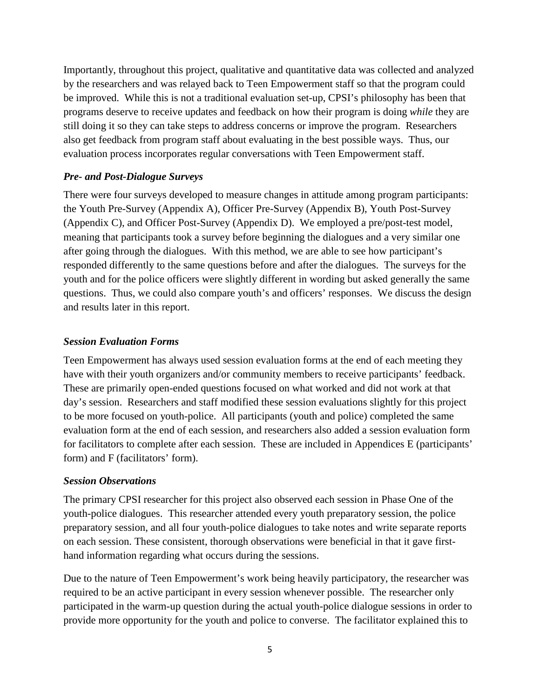Importantly, throughout this project, qualitative and quantitative data was collected and analyzed by the researchers and was relayed back to Teen Empowerment staff so that the program could be improved. While this is not a traditional evaluation set-up, CPSI's philosophy has been that programs deserve to receive updates and feedback on how their program is doing *while* they are still doing it so they can take steps to address concerns or improve the program. Researchers also get feedback from program staff about evaluating in the best possible ways. Thus, our evaluation process incorporates regular conversations with Teen Empowerment staff.

## *Pre- and Post-Dialogue Surveys*

There were four surveys developed to measure changes in attitude among program participants: the Youth Pre-Survey (Appendix A), Officer Pre-Survey (Appendix B), Youth Post-Survey (Appendix C), and Officer Post-Survey (Appendix D). We employed a pre/post-test model, meaning that participants took a survey before beginning the dialogues and a very similar one after going through the dialogues. With this method, we are able to see how participant's responded differently to the same questions before and after the dialogues. The surveys for the youth and for the police officers were slightly different in wording but asked generally the same questions. Thus, we could also compare youth's and officers' responses. We discuss the design and results later in this report.

#### *Session Evaluation Forms*

Teen Empowerment has always used session evaluation forms at the end of each meeting they have with their youth organizers and/or community members to receive participants' feedback. These are primarily open-ended questions focused on what worked and did not work at that day's session. Researchers and staff modified these session evaluations slightly for this project to be more focused on youth-police. All participants (youth and police) completed the same evaluation form at the end of each session, and researchers also added a session evaluation form for facilitators to complete after each session. These are included in Appendices E (participants' form) and F (facilitators' form).

#### *Session Observations*

The primary CPSI researcher for this project also observed each session in Phase One of the youth-police dialogues. This researcher attended every youth preparatory session, the police preparatory session, and all four youth-police dialogues to take notes and write separate reports on each session. These consistent, thorough observations were beneficial in that it gave firsthand information regarding what occurs during the sessions.

Due to the nature of Teen Empowerment's work being heavily participatory, the researcher was required to be an active participant in every session whenever possible. The researcher only participated in the warm-up question during the actual youth-police dialogue sessions in order to provide more opportunity for the youth and police to converse. The facilitator explained this to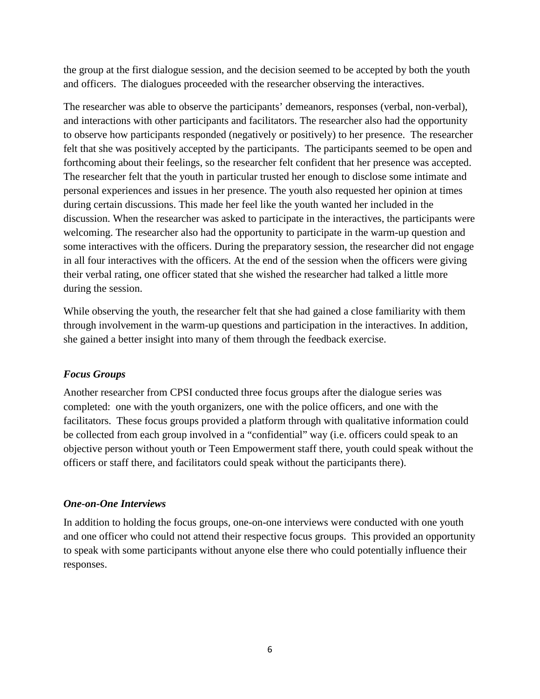the group at the first dialogue session, and the decision seemed to be accepted by both the youth and officers. The dialogues proceeded with the researcher observing the interactives.

The researcher was able to observe the participants' demeanors, responses (verbal, non-verbal), and interactions with other participants and facilitators. The researcher also had the opportunity to observe how participants responded (negatively or positively) to her presence. The researcher felt that she was positively accepted by the participants. The participants seemed to be open and forthcoming about their feelings, so the researcher felt confident that her presence was accepted. The researcher felt that the youth in particular trusted her enough to disclose some intimate and personal experiences and issues in her presence. The youth also requested her opinion at times during certain discussions. This made her feel like the youth wanted her included in the discussion. When the researcher was asked to participate in the interactives, the participants were welcoming. The researcher also had the opportunity to participate in the warm-up question and some interactives with the officers. During the preparatory session, the researcher did not engage in all four interactives with the officers. At the end of the session when the officers were giving their verbal rating, one officer stated that she wished the researcher had talked a little more during the session.

While observing the youth, the researcher felt that she had gained a close familiarity with them through involvement in the warm-up questions and participation in the interactives. In addition, she gained a better insight into many of them through the feedback exercise.

# *Focus Groups*

Another researcher from CPSI conducted three focus groups after the dialogue series was completed: one with the youth organizers, one with the police officers, and one with the facilitators. These focus groups provided a platform through with qualitative information could be collected from each group involved in a "confidential" way (i.e. officers could speak to an objective person without youth or Teen Empowerment staff there, youth could speak without the officers or staff there, and facilitators could speak without the participants there).

## *One-on-One Interviews*

In addition to holding the focus groups, one-on-one interviews were conducted with one youth and one officer who could not attend their respective focus groups. This provided an opportunity to speak with some participants without anyone else there who could potentially influence their responses.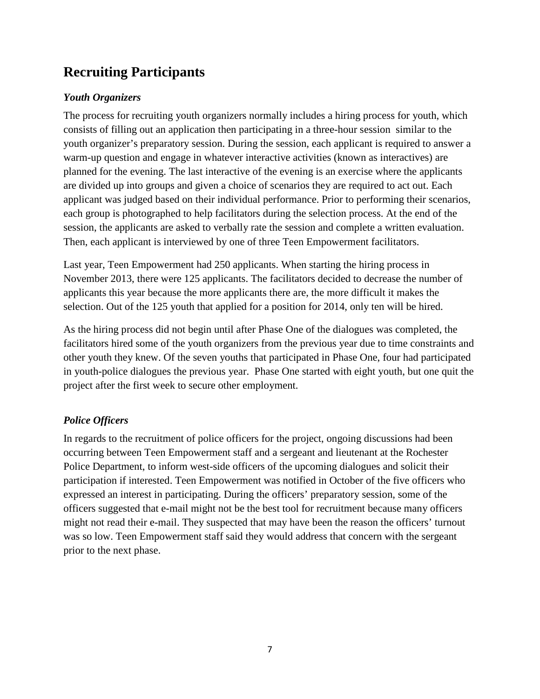# **Recruiting Participants**

# *Youth Organizers*

The process for recruiting youth organizers normally includes a hiring process for youth, which consists of filling out an application then participating in a three-hour session similar to the youth organizer's preparatory session. During the session, each applicant is required to answer a warm-up question and engage in whatever interactive activities (known as interactives) are planned for the evening. The last interactive of the evening is an exercise where the applicants are divided up into groups and given a choice of scenarios they are required to act out. Each applicant was judged based on their individual performance. Prior to performing their scenarios, each group is photographed to help facilitators during the selection process. At the end of the session, the applicants are asked to verbally rate the session and complete a written evaluation. Then, each applicant is interviewed by one of three Teen Empowerment facilitators.

Last year, Teen Empowerment had 250 applicants. When starting the hiring process in November 2013, there were 125 applicants. The facilitators decided to decrease the number of applicants this year because the more applicants there are, the more difficult it makes the selection. Out of the 125 youth that applied for a position for 2014, only ten will be hired.

As the hiring process did not begin until after Phase One of the dialogues was completed, the facilitators hired some of the youth organizers from the previous year due to time constraints and other youth they knew. Of the seven youths that participated in Phase One, four had participated in youth-police dialogues the previous year. Phase One started with eight youth, but one quit the project after the first week to secure other employment.

# *Police Officers*

In regards to the recruitment of police officers for the project, ongoing discussions had been occurring between Teen Empowerment staff and a sergeant and lieutenant at the Rochester Police Department, to inform west-side officers of the upcoming dialogues and solicit their participation if interested. Teen Empowerment was notified in October of the five officers who expressed an interest in participating. During the officers' preparatory session, some of the officers suggested that e-mail might not be the best tool for recruitment because many officers might not read their e-mail. They suspected that may have been the reason the officers' turnout was so low. Teen Empowerment staff said they would address that concern with the sergeant prior to the next phase.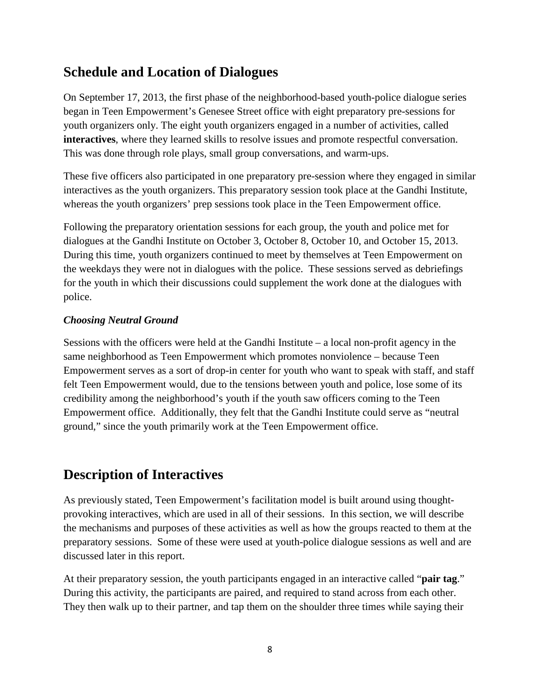# **Schedule and Location of Dialogues**

On September 17, 2013, the first phase of the neighborhood-based youth-police dialogue series began in Teen Empowerment's Genesee Street office with eight preparatory pre-sessions for youth organizers only. The eight youth organizers engaged in a number of activities, called **interactives**, where they learned skills to resolve issues and promote respectful conversation. This was done through role plays, small group conversations, and warm-ups.

These five officers also participated in one preparatory pre-session where they engaged in similar interactives as the youth organizers. This preparatory session took place at the Gandhi Institute, whereas the youth organizers' prep sessions took place in the Teen Empowerment office.

Following the preparatory orientation sessions for each group, the youth and police met for dialogues at the Gandhi Institute on October 3, October 8, October 10, and October 15, 2013. During this time, youth organizers continued to meet by themselves at Teen Empowerment on the weekdays they were not in dialogues with the police. These sessions served as debriefings for the youth in which their discussions could supplement the work done at the dialogues with police.

# *Choosing Neutral Ground*

Sessions with the officers were held at the Gandhi Institute – a local non-profit agency in the same neighborhood as Teen Empowerment which promotes nonviolence – because Teen Empowerment serves as a sort of drop-in center for youth who want to speak with staff, and staff felt Teen Empowerment would, due to the tensions between youth and police, lose some of its credibility among the neighborhood's youth if the youth saw officers coming to the Teen Empowerment office. Additionally, they felt that the Gandhi Institute could serve as "neutral ground," since the youth primarily work at the Teen Empowerment office.

# **Description of Interactives**

As previously stated, Teen Empowerment's facilitation model is built around using thoughtprovoking interactives, which are used in all of their sessions. In this section, we will describe the mechanisms and purposes of these activities as well as how the groups reacted to them at the preparatory sessions. Some of these were used at youth-police dialogue sessions as well and are discussed later in this report.

At their preparatory session, the youth participants engaged in an interactive called "**pair tag**." During this activity, the participants are paired, and required to stand across from each other. They then walk up to their partner, and tap them on the shoulder three times while saying their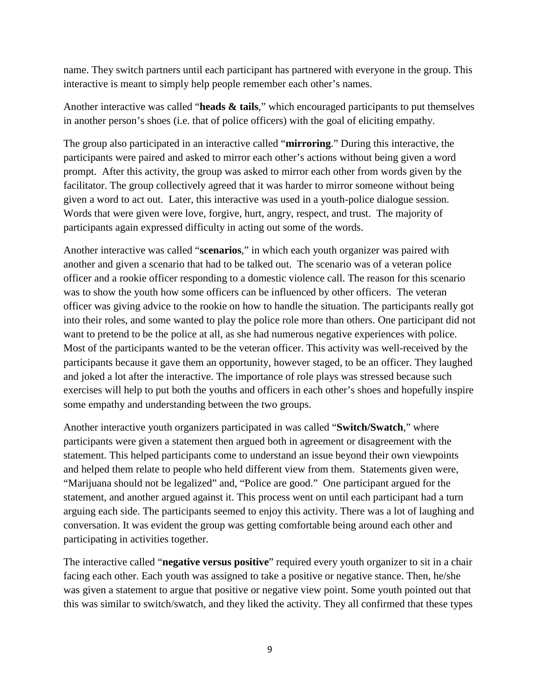name. They switch partners until each participant has partnered with everyone in the group. This interactive is meant to simply help people remember each other's names.

Another interactive was called "**heads & tails**," which encouraged participants to put themselves in another person's shoes (i.e. that of police officers) with the goal of eliciting empathy.

The group also participated in an interactive called "**mirroring**." During this interactive, the participants were paired and asked to mirror each other's actions without being given a word prompt. After this activity, the group was asked to mirror each other from words given by the facilitator. The group collectively agreed that it was harder to mirror someone without being given a word to act out. Later, this interactive was used in a youth-police dialogue session. Words that were given were love, forgive, hurt, angry, respect, and trust. The majority of participants again expressed difficulty in acting out some of the words.

Another interactive was called "**scenarios**," in which each youth organizer was paired with another and given a scenario that had to be talked out. The scenario was of a veteran police officer and a rookie officer responding to a domestic violence call. The reason for this scenario was to show the youth how some officers can be influenced by other officers. The veteran officer was giving advice to the rookie on how to handle the situation. The participants really got into their roles, and some wanted to play the police role more than others. One participant did not want to pretend to be the police at all, as she had numerous negative experiences with police. Most of the participants wanted to be the veteran officer. This activity was well-received by the participants because it gave them an opportunity, however staged, to be an officer. They laughed and joked a lot after the interactive. The importance of role plays was stressed because such exercises will help to put both the youths and officers in each other's shoes and hopefully inspire some empathy and understanding between the two groups.

Another interactive youth organizers participated in was called "**Switch/Swatch**," where participants were given a statement then argued both in agreement or disagreement with the statement. This helped participants come to understand an issue beyond their own viewpoints and helped them relate to people who held different view from them. Statements given were, "Marijuana should not be legalized" and, "Police are good." One participant argued for the statement, and another argued against it. This process went on until each participant had a turn arguing each side. The participants seemed to enjoy this activity. There was a lot of laughing and conversation. It was evident the group was getting comfortable being around each other and participating in activities together.

The interactive called "**negative versus positive**" required every youth organizer to sit in a chair facing each other. Each youth was assigned to take a positive or negative stance. Then, he/she was given a statement to argue that positive or negative view point. Some youth pointed out that this was similar to switch/swatch, and they liked the activity. They all confirmed that these types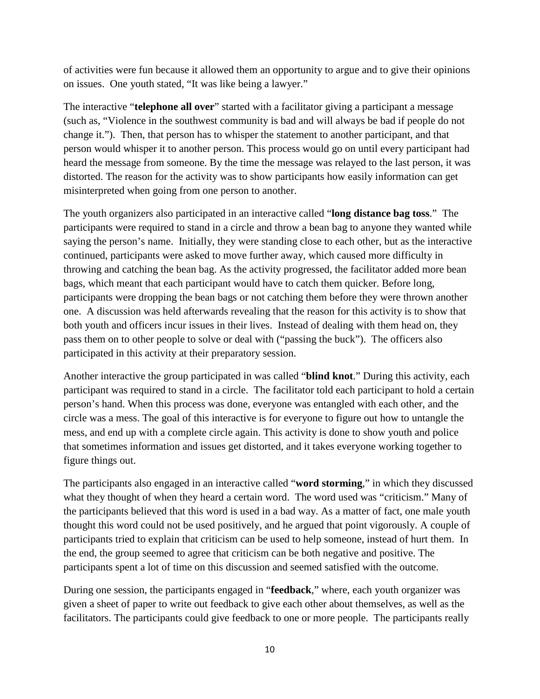of activities were fun because it allowed them an opportunity to argue and to give their opinions on issues. One youth stated, "It was like being a lawyer."

The interactive "**telephone all over**" started with a facilitator giving a participant a message (such as, "Violence in the southwest community is bad and will always be bad if people do not change it."). Then, that person has to whisper the statement to another participant, and that person would whisper it to another person. This process would go on until every participant had heard the message from someone. By the time the message was relayed to the last person, it was distorted. The reason for the activity was to show participants how easily information can get misinterpreted when going from one person to another.

The youth organizers also participated in an interactive called "**long distance bag toss**." The participants were required to stand in a circle and throw a bean bag to anyone they wanted while saying the person's name. Initially, they were standing close to each other, but as the interactive continued, participants were asked to move further away, which caused more difficulty in throwing and catching the bean bag. As the activity progressed, the facilitator added more bean bags, which meant that each participant would have to catch them quicker. Before long, participants were dropping the bean bags or not catching them before they were thrown another one. A discussion was held afterwards revealing that the reason for this activity is to show that both youth and officers incur issues in their lives. Instead of dealing with them head on, they pass them on to other people to solve or deal with ("passing the buck"). The officers also participated in this activity at their preparatory session.

Another interactive the group participated in was called "**blind knot**." During this activity, each participant was required to stand in a circle. The facilitator told each participant to hold a certain person's hand. When this process was done, everyone was entangled with each other, and the circle was a mess. The goal of this interactive is for everyone to figure out how to untangle the mess, and end up with a complete circle again. This activity is done to show youth and police that sometimes information and issues get distorted, and it takes everyone working together to figure things out.

The participants also engaged in an interactive called "**word storming**," in which they discussed what they thought of when they heard a certain word. The word used was "criticism." Many of the participants believed that this word is used in a bad way. As a matter of fact, one male youth thought this word could not be used positively, and he argued that point vigorously. A couple of participants tried to explain that criticism can be used to help someone, instead of hurt them. In the end, the group seemed to agree that criticism can be both negative and positive. The participants spent a lot of time on this discussion and seemed satisfied with the outcome.

During one session, the participants engaged in "**feedback**," where, each youth organizer was given a sheet of paper to write out feedback to give each other about themselves, as well as the facilitators. The participants could give feedback to one or more people. The participants really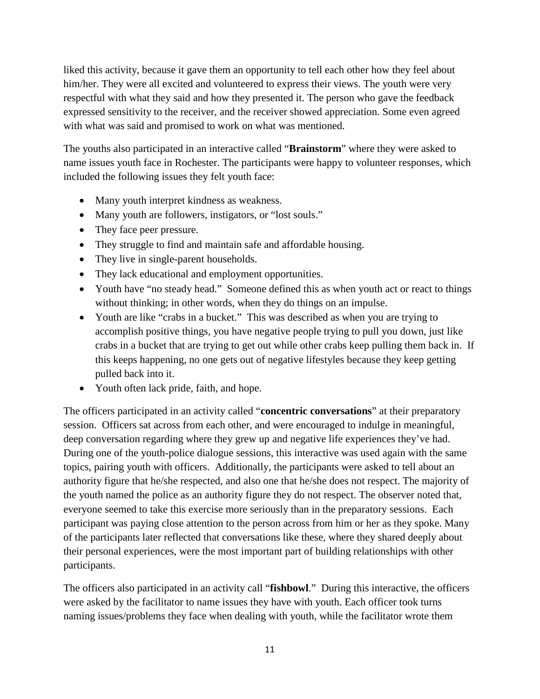liked this activity, because it gave them an opportunity to tell each other how they feel about him/her. They were all excited and volunteered to express their views. The youth were very respectful with what they said and how they presented it. The person who gave the feedback expressed sensitivity to the receiver, and the receiver showed appreciation. Some even agreed with what was said and promised to work on what was mentioned.

The youths also participated in an interactive called "**Brainstorm**" where they were asked to name issues youth face in Rochester. The participants were happy to volunteer responses, which included the following issues they felt youth face:

- Many youth interpret kindness as weakness.
- Many youth are followers, instigators, or "lost souls."
- They face peer pressure.
- They struggle to find and maintain safe and affordable housing.
- They live in single-parent households.
- They lack educational and employment opportunities.
- Youth have "no steady head." Someone defined this as when youth act or react to things without thinking; in other words, when they do things on an impulse.
- Youth are like "crabs in a bucket." This was described as when you are trying to accomplish positive things, you have negative people trying to pull you down, just like crabs in a bucket that are trying to get out while other crabs keep pulling them back in. If this keeps happening, no one gets out of negative lifestyles because they keep getting pulled back into it.
- Youth often lack pride, faith, and hope.

The officers participated in an activity called "**concentric conversations**" at their preparatory session. Officers sat across from each other, and were encouraged to indulge in meaningful, deep conversation regarding where they grew up and negative life experiences they've had. During one of the youth-police dialogue sessions, this interactive was used again with the same topics, pairing youth with officers. Additionally, the participants were asked to tell about an authority figure that he/she respected, and also one that he/she does not respect. The majority of the youth named the police as an authority figure they do not respect. The observer noted that, everyone seemed to take this exercise more seriously than in the preparatory sessions. Each participant was paying close attention to the person across from him or her as they spoke. Many of the participants later reflected that conversations like these, where they shared deeply about their personal experiences, were the most important part of building relationships with other participants.

The officers also participated in an activity call "**fishbowl**." During this interactive, the officers were asked by the facilitator to name issues they have with youth. Each officer took turns naming issues/problems they face when dealing with youth, while the facilitator wrote them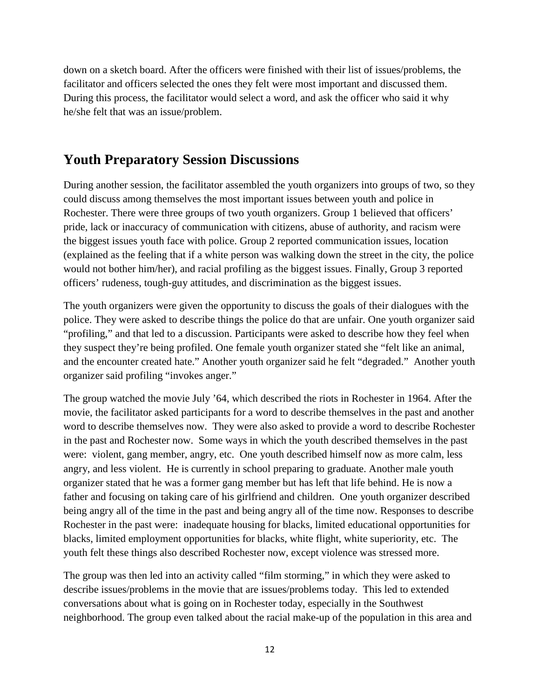down on a sketch board. After the officers were finished with their list of issues/problems, the facilitator and officers selected the ones they felt were most important and discussed them. During this process, the facilitator would select a word, and ask the officer who said it why he/she felt that was an issue/problem.

# **Youth Preparatory Session Discussions**

During another session, the facilitator assembled the youth organizers into groups of two, so they could discuss among themselves the most important issues between youth and police in Rochester. There were three groups of two youth organizers. Group 1 believed that officers' pride, lack or inaccuracy of communication with citizens, abuse of authority, and racism were the biggest issues youth face with police. Group 2 reported communication issues, location (explained as the feeling that if a white person was walking down the street in the city, the police would not bother him/her), and racial profiling as the biggest issues. Finally, Group 3 reported officers' rudeness, tough-guy attitudes, and discrimination as the biggest issues.

The youth organizers were given the opportunity to discuss the goals of their dialogues with the police. They were asked to describe things the police do that are unfair. One youth organizer said "profiling," and that led to a discussion. Participants were asked to describe how they feel when they suspect they're being profiled. One female youth organizer stated she "felt like an animal, and the encounter created hate." Another youth organizer said he felt "degraded." Another youth organizer said profiling "invokes anger."

The group watched the movie July '64, which described the riots in Rochester in 1964. After the movie, the facilitator asked participants for a word to describe themselves in the past and another word to describe themselves now. They were also asked to provide a word to describe Rochester in the past and Rochester now. Some ways in which the youth described themselves in the past were: violent, gang member, angry, etc. One youth described himself now as more calm, less angry, and less violent. He is currently in school preparing to graduate. Another male youth organizer stated that he was a former gang member but has left that life behind. He is now a father and focusing on taking care of his girlfriend and children. One youth organizer described being angry all of the time in the past and being angry all of the time now. Responses to describe Rochester in the past were: inadequate housing for blacks, limited educational opportunities for blacks, limited employment opportunities for blacks, white flight, white superiority, etc. The youth felt these things also described Rochester now, except violence was stressed more.

The group was then led into an activity called "film storming," in which they were asked to describe issues/problems in the movie that are issues/problems today. This led to extended conversations about what is going on in Rochester today, especially in the Southwest neighborhood. The group even talked about the racial make-up of the population in this area and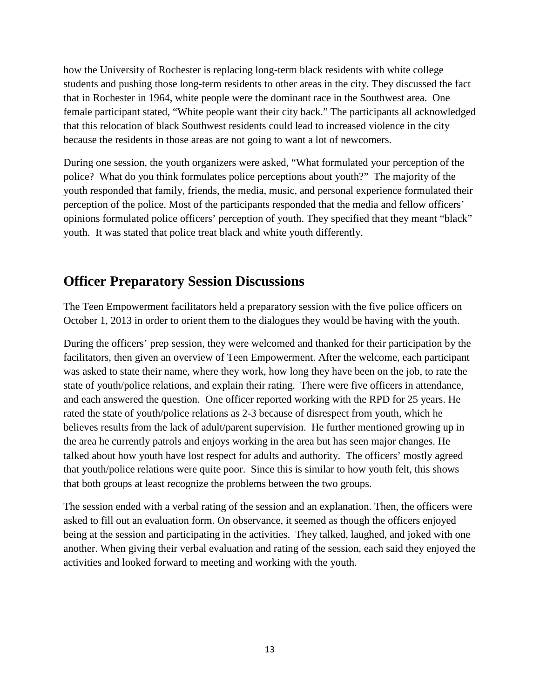how the University of Rochester is replacing long-term black residents with white college students and pushing those long-term residents to other areas in the city. They discussed the fact that in Rochester in 1964, white people were the dominant race in the Southwest area. One female participant stated, "White people want their city back." The participants all acknowledged that this relocation of black Southwest residents could lead to increased violence in the city because the residents in those areas are not going to want a lot of newcomers.

During one session, the youth organizers were asked, "What formulated your perception of the police? What do you think formulates police perceptions about youth?" The majority of the youth responded that family, friends, the media, music, and personal experience formulated their perception of the police. Most of the participants responded that the media and fellow officers' opinions formulated police officers' perception of youth. They specified that they meant "black" youth. It was stated that police treat black and white youth differently.

# **Officer Preparatory Session Discussions**

The Teen Empowerment facilitators held a preparatory session with the five police officers on October 1, 2013 in order to orient them to the dialogues they would be having with the youth.

During the officers' prep session, they were welcomed and thanked for their participation by the facilitators, then given an overview of Teen Empowerment. After the welcome, each participant was asked to state their name, where they work, how long they have been on the job, to rate the state of youth/police relations, and explain their rating. There were five officers in attendance, and each answered the question. One officer reported working with the RPD for 25 years. He rated the state of youth/police relations as 2-3 because of disrespect from youth, which he believes results from the lack of adult/parent supervision. He further mentioned growing up in the area he currently patrols and enjoys working in the area but has seen major changes. He talked about how youth have lost respect for adults and authority. The officers' mostly agreed that youth/police relations were quite poor. Since this is similar to how youth felt, this shows that both groups at least recognize the problems between the two groups.

The session ended with a verbal rating of the session and an explanation. Then, the officers were asked to fill out an evaluation form. On observance, it seemed as though the officers enjoyed being at the session and participating in the activities. They talked, laughed, and joked with one another. When giving their verbal evaluation and rating of the session, each said they enjoyed the activities and looked forward to meeting and working with the youth.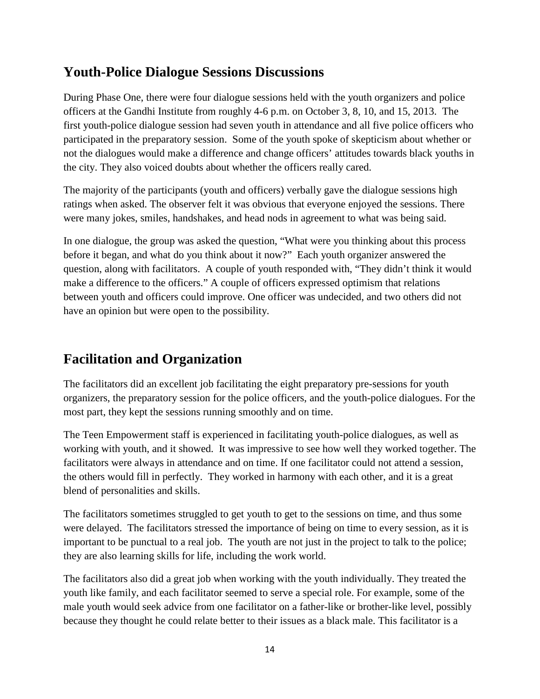# **Youth-Police Dialogue Sessions Discussions**

During Phase One, there were four dialogue sessions held with the youth organizers and police officers at the Gandhi Institute from roughly 4-6 p.m. on October 3, 8, 10, and 15, 2013. The first youth-police dialogue session had seven youth in attendance and all five police officers who participated in the preparatory session. Some of the youth spoke of skepticism about whether or not the dialogues would make a difference and change officers' attitudes towards black youths in the city. They also voiced doubts about whether the officers really cared.

The majority of the participants (youth and officers) verbally gave the dialogue sessions high ratings when asked. The observer felt it was obvious that everyone enjoyed the sessions. There were many jokes, smiles, handshakes, and head nods in agreement to what was being said.

In one dialogue, the group was asked the question, "What were you thinking about this process before it began, and what do you think about it now?" Each youth organizer answered the question, along with facilitators. A couple of youth responded with, "They didn't think it would make a difference to the officers." A couple of officers expressed optimism that relations between youth and officers could improve. One officer was undecided, and two others did not have an opinion but were open to the possibility.

# **Facilitation and Organization**

The facilitators did an excellent job facilitating the eight preparatory pre-sessions for youth organizers, the preparatory session for the police officers, and the youth-police dialogues. For the most part, they kept the sessions running smoothly and on time.

The Teen Empowerment staff is experienced in facilitating youth-police dialogues, as well as working with youth, and it showed. It was impressive to see how well they worked together. The facilitators were always in attendance and on time. If one facilitator could not attend a session, the others would fill in perfectly. They worked in harmony with each other, and it is a great blend of personalities and skills.

The facilitators sometimes struggled to get youth to get to the sessions on time, and thus some were delayed. The facilitators stressed the importance of being on time to every session, as it is important to be punctual to a real job. The youth are not just in the project to talk to the police; they are also learning skills for life, including the work world.

The facilitators also did a great job when working with the youth individually. They treated the youth like family, and each facilitator seemed to serve a special role. For example, some of the male youth would seek advice from one facilitator on a father-like or brother-like level, possibly because they thought he could relate better to their issues as a black male. This facilitator is a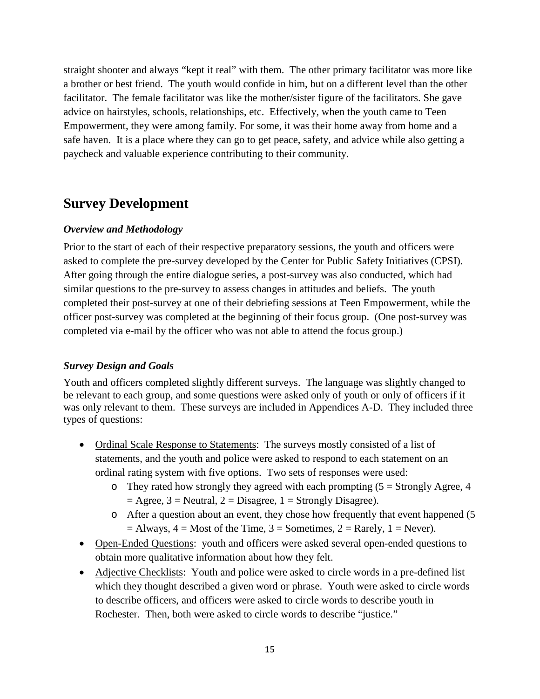straight shooter and always "kept it real" with them. The other primary facilitator was more like a brother or best friend. The youth would confide in him, but on a different level than the other facilitator. The female facilitator was like the mother/sister figure of the facilitators. She gave advice on hairstyles, schools, relationships, etc. Effectively, when the youth came to Teen Empowerment, they were among family. For some, it was their home away from home and a safe haven. It is a place where they can go to get peace, safety, and advice while also getting a paycheck and valuable experience contributing to their community.

# **Survey Development**

# *Overview and Methodology*

Prior to the start of each of their respective preparatory sessions, the youth and officers were asked to complete the pre-survey developed by the Center for Public Safety Initiatives (CPSI). After going through the entire dialogue series, a post-survey was also conducted, which had similar questions to the pre-survey to assess changes in attitudes and beliefs. The youth completed their post-survey at one of their debriefing sessions at Teen Empowerment, while the officer post-survey was completed at the beginning of their focus group. (One post-survey was completed via e-mail by the officer who was not able to attend the focus group.)

# *Survey Design and Goals*

Youth and officers completed slightly different surveys. The language was slightly changed to be relevant to each group, and some questions were asked only of youth or only of officers if it was only relevant to them. These surveys are included in Appendices A-D. They included three types of questions:

- Ordinal Scale Response to Statements: The surveys mostly consisted of a list of statements, and the youth and police were asked to respond to each statement on an ordinal rating system with five options. Two sets of responses were used:
	- $\circ$  They rated how strongly they agreed with each prompting (5 = Strongly Agree, 4  $=$  Agree, 3 = Neutral, 2 = Disagree, 1 = Strongly Disagree).
	- o After a question about an event, they chose how frequently that event happened (5  $=$  Always,  $4 =$  Most of the Time,  $3 =$  Sometimes,  $2 =$  Rarely,  $1 =$  Never).
- Open-Ended Questions: youth and officers were asked several open-ended questions to obtain more qualitative information about how they felt.
- Adjective Checklists: Youth and police were asked to circle words in a pre-defined list which they thought described a given word or phrase. Youth were asked to circle words to describe officers, and officers were asked to circle words to describe youth in Rochester. Then, both were asked to circle words to describe "justice."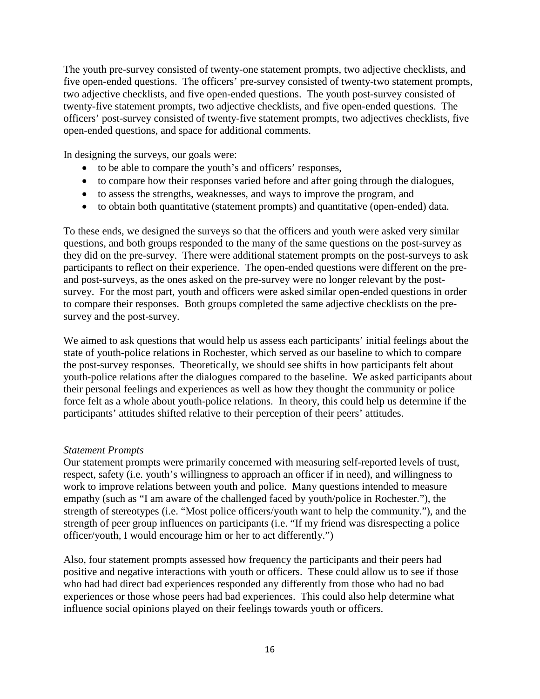The youth pre-survey consisted of twenty-one statement prompts, two adjective checklists, and five open-ended questions. The officers' pre-survey consisted of twenty-two statement prompts, two adjective checklists, and five open-ended questions. The youth post-survey consisted of twenty-five statement prompts, two adjective checklists, and five open-ended questions. The officers' post-survey consisted of twenty-five statement prompts, two adjectives checklists, five open-ended questions, and space for additional comments.

In designing the surveys, our goals were:

- to be able to compare the youth's and officers' responses,
- to compare how their responses varied before and after going through the dialogues,
- to assess the strengths, weaknesses, and ways to improve the program, and
- to obtain both quantitative (statement prompts) and quantitative (open-ended) data.

To these ends, we designed the surveys so that the officers and youth were asked very similar questions, and both groups responded to the many of the same questions on the post-survey as they did on the pre-survey. There were additional statement prompts on the post-surveys to ask participants to reflect on their experience. The open-ended questions were different on the preand post-surveys, as the ones asked on the pre-survey were no longer relevant by the postsurvey. For the most part, youth and officers were asked similar open-ended questions in order to compare their responses. Both groups completed the same adjective checklists on the presurvey and the post-survey.

We aimed to ask questions that would help us assess each participants' initial feelings about the state of youth-police relations in Rochester, which served as our baseline to which to compare the post-survey responses. Theoretically, we should see shifts in how participants felt about youth-police relations after the dialogues compared to the baseline. We asked participants about their personal feelings and experiences as well as how they thought the community or police force felt as a whole about youth-police relations. In theory, this could help us determine if the participants' attitudes shifted relative to their perception of their peers' attitudes.

#### *Statement Prompts*

Our statement prompts were primarily concerned with measuring self-reported levels of trust, respect, safety (i.e. youth's willingness to approach an officer if in need), and willingness to work to improve relations between youth and police. Many questions intended to measure empathy (such as "I am aware of the challenged faced by youth/police in Rochester."), the strength of stereotypes (i.e. "Most police officers/youth want to help the community."), and the strength of peer group influences on participants (i.e. "If my friend was disrespecting a police officer/youth, I would encourage him or her to act differently.")

Also, four statement prompts assessed how frequency the participants and their peers had positive and negative interactions with youth or officers. These could allow us to see if those who had had direct bad experiences responded any differently from those who had no bad experiences or those whose peers had bad experiences. This could also help determine what influence social opinions played on their feelings towards youth or officers.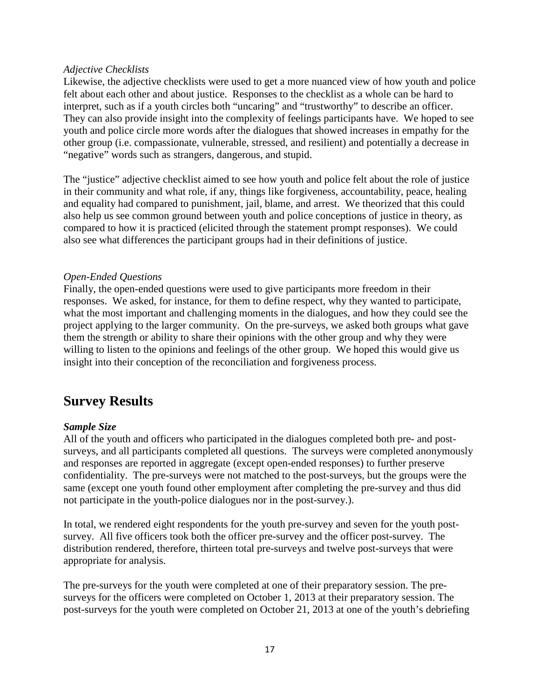### *Adjective Checklists*

Likewise, the adjective checklists were used to get a more nuanced view of how youth and police felt about each other and about justice. Responses to the checklist as a whole can be hard to interpret, such as if a youth circles both "uncaring" and "trustworthy" to describe an officer. They can also provide insight into the complexity of feelings participants have. We hoped to see youth and police circle more words after the dialogues that showed increases in empathy for the other group (i.e. compassionate, vulnerable, stressed, and resilient) and potentially a decrease in "negative" words such as strangers, dangerous, and stupid.

The "justice" adjective checklist aimed to see how youth and police felt about the role of justice in their community and what role, if any, things like forgiveness, accountability, peace, healing and equality had compared to punishment, jail, blame, and arrest. We theorized that this could also help us see common ground between youth and police conceptions of justice in theory, as compared to how it is practiced (elicited through the statement prompt responses). We could also see what differences the participant groups had in their definitions of justice.

## *Open-Ended Questions*

Finally, the open-ended questions were used to give participants more freedom in their responses. We asked, for instance, for them to define respect, why they wanted to participate, what the most important and challenging moments in the dialogues, and how they could see the project applying to the larger community. On the pre-surveys, we asked both groups what gave them the strength or ability to share their opinions with the other group and why they were willing to listen to the opinions and feelings of the other group. We hoped this would give us insight into their conception of the reconciliation and forgiveness process.

# **Survey Results**

## *Sample Size*

All of the youth and officers who participated in the dialogues completed both pre- and postsurveys, and all participants completed all questions. The surveys were completed anonymously and responses are reported in aggregate (except open-ended responses) to further preserve confidentiality. The pre-surveys were not matched to the post-surveys, but the groups were the same (except one youth found other employment after completing the pre-survey and thus did not participate in the youth-police dialogues nor in the post-survey.).

In total, we rendered eight respondents for the youth pre-survey and seven for the youth postsurvey. All five officers took both the officer pre-survey and the officer post-survey. The distribution rendered, therefore, thirteen total pre-surveys and twelve post-surveys that were appropriate for analysis.

The pre-surveys for the youth were completed at one of their preparatory session. The presurveys for the officers were completed on October 1, 2013 at their preparatory session. The post-surveys for the youth were completed on October 21, 2013 at one of the youth's debriefing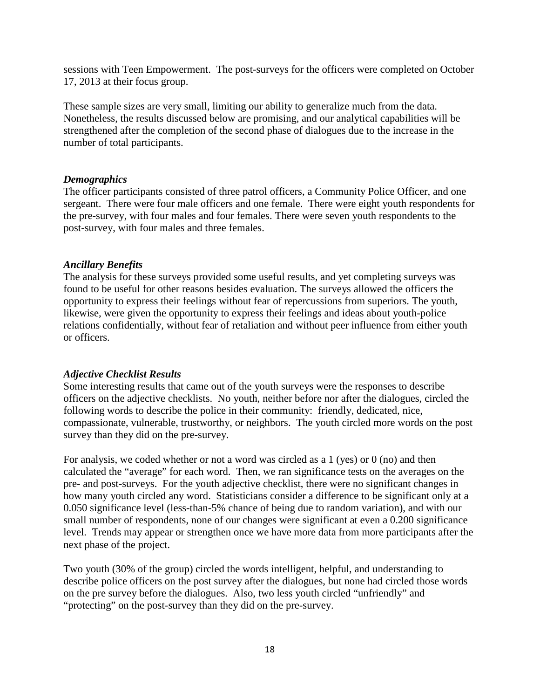sessions with Teen Empowerment. The post-surveys for the officers were completed on October 17, 2013 at their focus group.

These sample sizes are very small, limiting our ability to generalize much from the data. Nonetheless, the results discussed below are promising, and our analytical capabilities will be strengthened after the completion of the second phase of dialogues due to the increase in the number of total participants.

## *Demographics*

The officer participants consisted of three patrol officers, a Community Police Officer, and one sergeant. There were four male officers and one female. There were eight youth respondents for the pre-survey, with four males and four females. There were seven youth respondents to the post-survey, with four males and three females.

### *Ancillary Benefits*

The analysis for these surveys provided some useful results, and yet completing surveys was found to be useful for other reasons besides evaluation. The surveys allowed the officers the opportunity to express their feelings without fear of repercussions from superiors. The youth, likewise, were given the opportunity to express their feelings and ideas about youth-police relations confidentially, without fear of retaliation and without peer influence from either youth or officers.

## *Adjective Checklist Results*

Some interesting results that came out of the youth surveys were the responses to describe officers on the adjective checklists. No youth, neither before nor after the dialogues, circled the following words to describe the police in their community: friendly, dedicated, nice, compassionate, vulnerable, trustworthy, or neighbors. The youth circled more words on the post survey than they did on the pre-survey.

For analysis, we coded whether or not a word was circled as a 1 (yes) or 0 (no) and then calculated the "average" for each word. Then, we ran significance tests on the averages on the pre- and post-surveys. For the youth adjective checklist, there were no significant changes in how many youth circled any word. Statisticians consider a difference to be significant only at a 0.050 significance level (less-than-5% chance of being due to random variation), and with our small number of respondents, none of our changes were significant at even a 0.200 significance level. Trends may appear or strengthen once we have more data from more participants after the next phase of the project.

Two youth (30% of the group) circled the words intelligent, helpful, and understanding to describe police officers on the post survey after the dialogues, but none had circled those words on the pre survey before the dialogues. Also, two less youth circled "unfriendly" and "protecting" on the post-survey than they did on the pre-survey.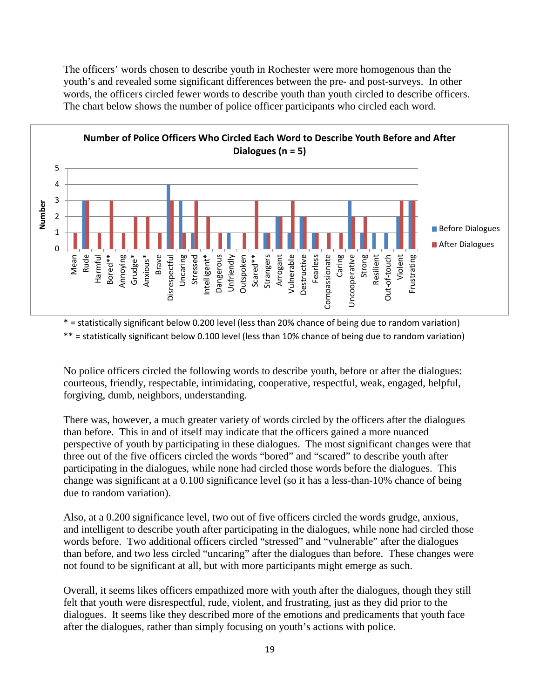The officers' words chosen to describe youth in Rochester were more homogenous than the youth's and revealed some significant differences between the pre- and post-surveys. In other words, the officers circled fewer words to describe youth than youth circled to describe officers. The chart below shows the number of police officer participants who circled each word.



\* = statistically significant below 0.200 level (less than 20% chance of being due to random variation) \*\* = statistically significant below 0.100 level (less than 10% chance of being due to random variation)

No police officers circled the following words to describe youth, before or after the dialogues: courteous, friendly, respectable, intimidating, cooperative, respectful, weak, engaged, helpful, forgiving, dumb, neighbors, understanding.

There was, however, a much greater variety of words circled by the officers after the dialogues than before. This in and of itself may indicate that the officers gained a more nuanced perspective of youth by participating in these dialogues. The most significant changes were that three out of the five officers circled the words "bored" and "scared" to describe youth after participating in the dialogues, while none had circled those words before the dialogues. This change was significant at a 0.100 significance level (so it has a less-than-10% chance of being due to random variation).

Also, at a 0.200 significance level, two out of five officers circled the words grudge, anxious, and intelligent to describe youth after participating in the dialogues, while none had circled those words before. Two additional officers circled "stressed" and "vulnerable" after the dialogues than before, and two less circled "uncaring" after the dialogues than before. These changes were not found to be significant at all, but with more participants might emerge as such.

Overall, it seems likes officers empathized more with youth after the dialogues, though they still felt that youth were disrespectful, rude, violent, and frustrating, just as they did prior to the dialogues. It seems like they described more of the emotions and predicaments that youth face after the dialogues, rather than simply focusing on youth's actions with police.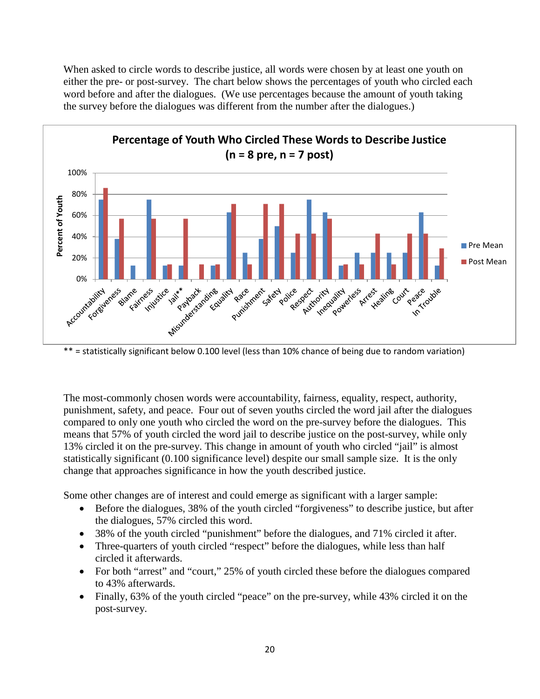When asked to circle words to describe justice, all words were chosen by at least one youth on either the pre- or post-survey. The chart below shows the percentages of youth who circled each word before and after the dialogues. (We use percentages because the amount of youth taking the survey before the dialogues was different from the number after the dialogues.)



\*\* = statistically significant below 0.100 level (less than 10% chance of being due to random variation)

The most-commonly chosen words were accountability, fairness, equality, respect, authority, punishment, safety, and peace. Four out of seven youths circled the word jail after the dialogues compared to only one youth who circled the word on the pre-survey before the dialogues. This means that 57% of youth circled the word jail to describe justice on the post-survey, while only 13% circled it on the pre-survey. This change in amount of youth who circled "jail" is almost statistically significant (0.100 significance level) despite our small sample size. It is the only change that approaches significance in how the youth described justice.

Some other changes are of interest and could emerge as significant with a larger sample:

- Before the dialogues, 38% of the youth circled "forgiveness" to describe justice, but after the dialogues, 57% circled this word.
- 38% of the youth circled "punishment" before the dialogues, and 71% circled it after.
- Three-quarters of youth circled "respect" before the dialogues, while less than half circled it afterwards.
- For both "arrest" and "court," 25% of youth circled these before the dialogues compared to 43% afterwards.
- Finally, 63% of the youth circled "peace" on the pre-survey, while 43% circled it on the post-survey.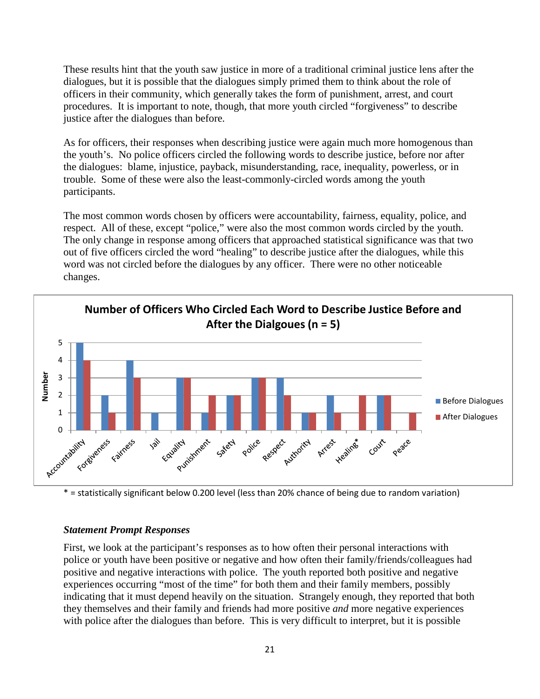These results hint that the youth saw justice in more of a traditional criminal justice lens after the dialogues, but it is possible that the dialogues simply primed them to think about the role of officers in their community, which generally takes the form of punishment, arrest, and court procedures. It is important to note, though, that more youth circled "forgiveness" to describe justice after the dialogues than before.

As for officers, their responses when describing justice were again much more homogenous than the youth's. No police officers circled the following words to describe justice, before nor after the dialogues: blame, injustice, payback, misunderstanding, race, inequality, powerless, or in trouble. Some of these were also the least-commonly-circled words among the youth participants.

The most common words chosen by officers were accountability, fairness, equality, police, and respect. All of these, except "police," were also the most common words circled by the youth. The only change in response among officers that approached statistical significance was that two out of five officers circled the word "healing" to describe justice after the dialogues, while this word was not circled before the dialogues by any officer. There were no other noticeable changes.



\* = statistically significant below 0.200 level (less than 20% chance of being due to random variation)

#### *Statement Prompt Responses*

First, we look at the participant's responses as to how often their personal interactions with police or youth have been positive or negative and how often their family/friends/colleagues had positive and negative interactions with police. The youth reported both positive and negative experiences occurring "most of the time" for both them and their family members, possibly indicating that it must depend heavily on the situation. Strangely enough, they reported that both they themselves and their family and friends had more positive *and* more negative experiences with police after the dialogues than before. This is very difficult to interpret, but it is possible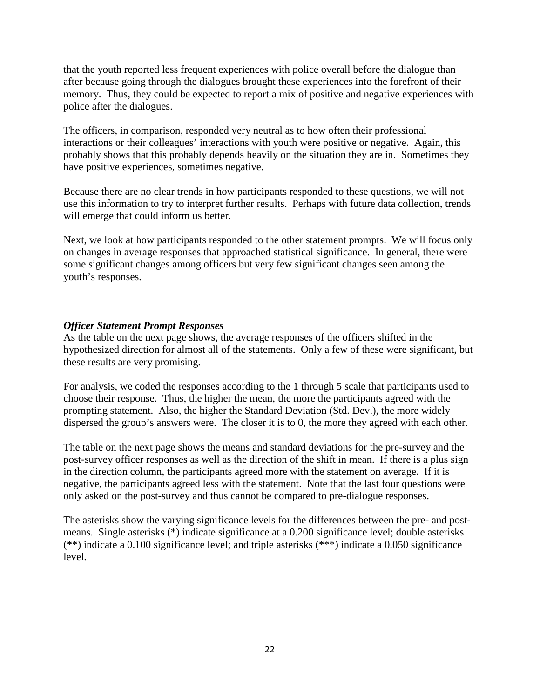that the youth reported less frequent experiences with police overall before the dialogue than after because going through the dialogues brought these experiences into the forefront of their memory. Thus, they could be expected to report a mix of positive and negative experiences with police after the dialogues.

The officers, in comparison, responded very neutral as to how often their professional interactions or their colleagues' interactions with youth were positive or negative. Again, this probably shows that this probably depends heavily on the situation they are in. Sometimes they have positive experiences, sometimes negative.

Because there are no clear trends in how participants responded to these questions, we will not use this information to try to interpret further results. Perhaps with future data collection, trends will emerge that could inform us better.

Next, we look at how participants responded to the other statement prompts. We will focus only on changes in average responses that approached statistical significance. In general, there were some significant changes among officers but very few significant changes seen among the youth's responses.

## *Officer Statement Prompt Responses*

As the table on the next page shows, the average responses of the officers shifted in the hypothesized direction for almost all of the statements. Only a few of these were significant, but these results are very promising.

For analysis, we coded the responses according to the 1 through 5 scale that participants used to choose their response. Thus, the higher the mean, the more the participants agreed with the prompting statement. Also, the higher the Standard Deviation (Std. Dev.), the more widely dispersed the group's answers were. The closer it is to 0, the more they agreed with each other.

The table on the next page shows the means and standard deviations for the pre-survey and the post-survey officer responses as well as the direction of the shift in mean. If there is a plus sign in the direction column, the participants agreed more with the statement on average. If it is negative, the participants agreed less with the statement. Note that the last four questions were only asked on the post-survey and thus cannot be compared to pre-dialogue responses.

The asterisks show the varying significance levels for the differences between the pre- and postmeans. Single asterisks (\*) indicate significance at a 0.200 significance level; double asterisks (\*\*) indicate a 0.100 significance level; and triple asterisks (\*\*\*) indicate a 0.050 significance level.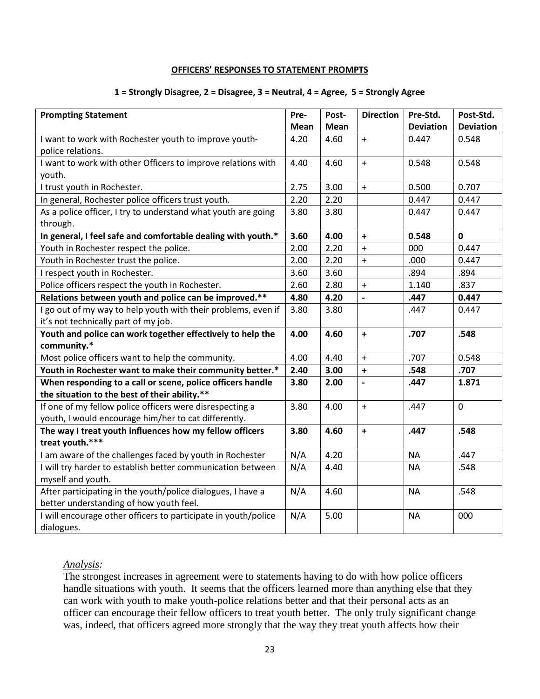#### **OFFICERS' RESPONSES TO STATEMENT PROMPTS**

#### **1 = Strongly Disagree, 2 = Disagree, 3 = Neutral, 4 = Agree, 5 = Strongly Agree**

| <b>Prompting Statement</b>                                     | Pre- | Post- | <b>Direction</b>         | Pre-Std.         | Post-Std.        |
|----------------------------------------------------------------|------|-------|--------------------------|------------------|------------------|
|                                                                | Mean | Mean  |                          | <b>Deviation</b> | <b>Deviation</b> |
| I want to work with Rochester youth to improve youth-          | 4.20 | 4.60  | $+$                      | 0.447            | 0.548            |
| police relations.                                              |      |       |                          |                  |                  |
| I want to work with other Officers to improve relations with   | 4.40 | 4.60  | $\ddot{}$                | 0.548            | 0.548            |
| youth.                                                         |      |       |                          |                  |                  |
| I trust youth in Rochester.                                    | 2.75 | 3.00  | $+$                      | 0.500            | 0.707            |
| In general, Rochester police officers trust youth.             | 2.20 | 2.20  |                          | 0.447            | 0.447            |
| As a police officer, I try to understand what youth are going  | 3.80 | 3.80  |                          | 0.447            | 0.447            |
| through.                                                       |      |       |                          |                  |                  |
| In general, I feel safe and comfortable dealing with youth.*   | 3.60 | 4.00  | $\ddot{}$                | 0.548            | $\mathbf{0}$     |
| Youth in Rochester respect the police.                         | 2.00 | 2.20  | $+$                      | 000              | 0.447            |
| Youth in Rochester trust the police.                           | 2.00 | 2.20  | $+$                      | .000             | 0.447            |
| I respect youth in Rochester.                                  | 3.60 | 3.60  |                          | .894             | .894             |
| Police officers respect the youth in Rochester.                | 2.60 | 2.80  | $+$                      | 1.140            | .837             |
| Relations between youth and police can be improved.**          | 4.80 | 4.20  | $\overline{a}$           | .447             | 0.447            |
| I go out of my way to help youth with their problems, even if  | 3.80 | 3.80  |                          | .447             | 0.447            |
| it's not technically part of my job.                           |      |       |                          |                  |                  |
| Youth and police can work together effectively to help the     | 4.00 | 4.60  | $\ddot{}$                | .707             | .548             |
| community.*                                                    |      |       |                          |                  |                  |
| Most police officers want to help the community.               | 4.00 | 4.40  | $\ddot{}$                | .707             | 0.548            |
| Youth in Rochester want to make their community better.*       | 2.40 | 3.00  | $\ddot{}$                | .548             | .707             |
| When responding to a call or scene, police officers handle     | 3.80 | 2.00  | $\overline{\phantom{a}}$ | .447             | 1.871            |
| the situation to the best of their ability.**                  |      |       |                          |                  |                  |
| If one of my fellow police officers were disrespecting a       | 3.80 | 4.00  | $+$                      | .447             | $\mathbf 0$      |
| youth, I would encourage him/her to cat differently.           |      |       |                          |                  |                  |
| The way I treat youth influences how my fellow officers        | 3.80 | 4.60  | $\ddot{\phantom{1}}$     | .447             | .548             |
| treat youth.***                                                |      |       |                          |                  |                  |
| I am aware of the challenges faced by youth in Rochester       | N/A  | 4.20  |                          | <b>NA</b>        | .447             |
| I will try harder to establish better communication between    | N/A  | 4.40  |                          | <b>NA</b>        | .548             |
| myself and youth.                                              |      |       |                          |                  |                  |
| After participating in the youth/police dialogues, I have a    | N/A  | 4.60  |                          | <b>NA</b>        | .548             |
| better understanding of how youth feel.                        |      |       |                          |                  |                  |
| I will encourage other officers to participate in youth/police | N/A  | 5.00  |                          | <b>NA</b>        | 000              |
| dialogues.                                                     |      |       |                          |                  |                  |

### *Analysis:*

The strongest increases in agreement were to statements having to do with how police officers handle situations with youth. It seems that the officers learned more than anything else that they can work with youth to make youth-police relations better and that their personal acts as an officer can encourage their fellow officers to treat youth better. The only truly significant change was, indeed, that officers agreed more strongly that the way they treat youth affects how their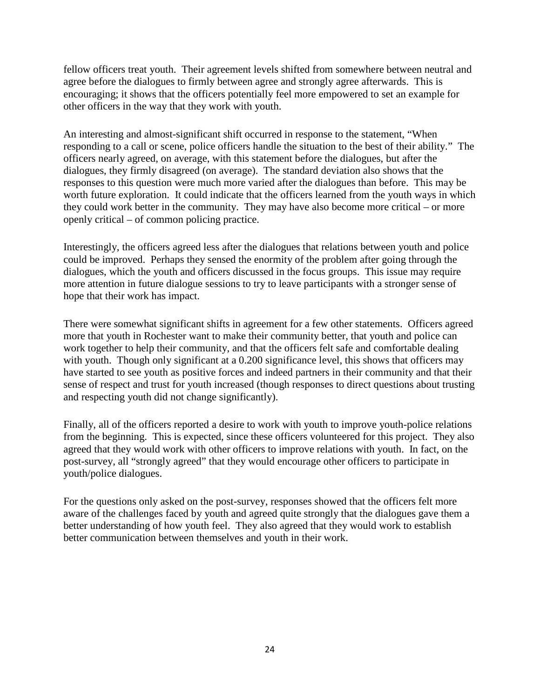fellow officers treat youth. Their agreement levels shifted from somewhere between neutral and agree before the dialogues to firmly between agree and strongly agree afterwards. This is encouraging; it shows that the officers potentially feel more empowered to set an example for other officers in the way that they work with youth.

An interesting and almost-significant shift occurred in response to the statement, "When responding to a call or scene, police officers handle the situation to the best of their ability." The officers nearly agreed, on average, with this statement before the dialogues, but after the dialogues, they firmly disagreed (on average). The standard deviation also shows that the responses to this question were much more varied after the dialogues than before. This may be worth future exploration. It could indicate that the officers learned from the youth ways in which they could work better in the community. They may have also become more critical – or more openly critical – of common policing practice.

Interestingly, the officers agreed less after the dialogues that relations between youth and police could be improved. Perhaps they sensed the enormity of the problem after going through the dialogues, which the youth and officers discussed in the focus groups. This issue may require more attention in future dialogue sessions to try to leave participants with a stronger sense of hope that their work has impact.

There were somewhat significant shifts in agreement for a few other statements. Officers agreed more that youth in Rochester want to make their community better, that youth and police can work together to help their community, and that the officers felt safe and comfortable dealing with youth. Though only significant at a 0.200 significance level, this shows that officers may have started to see youth as positive forces and indeed partners in their community and that their sense of respect and trust for youth increased (though responses to direct questions about trusting and respecting youth did not change significantly).

Finally, all of the officers reported a desire to work with youth to improve youth-police relations from the beginning. This is expected, since these officers volunteered for this project. They also agreed that they would work with other officers to improve relations with youth. In fact, on the post-survey, all "strongly agreed" that they would encourage other officers to participate in youth/police dialogues.

For the questions only asked on the post-survey, responses showed that the officers felt more aware of the challenges faced by youth and agreed quite strongly that the dialogues gave them a better understanding of how youth feel. They also agreed that they would work to establish better communication between themselves and youth in their work.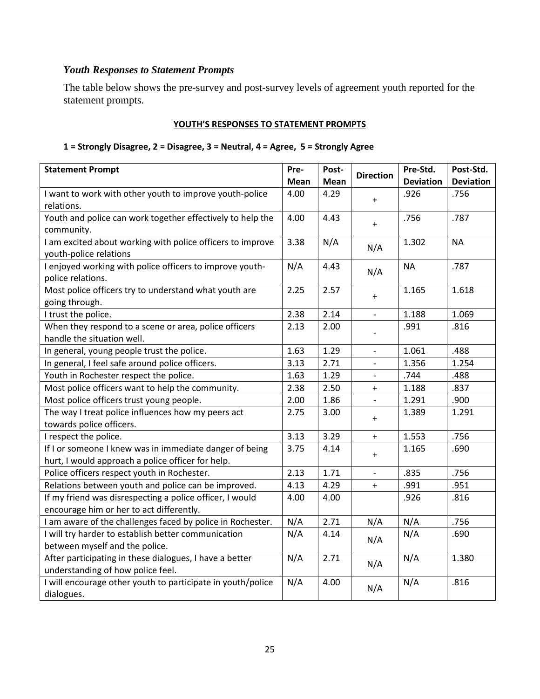# *Youth Responses to Statement Prompts*

The table below shows the pre-survey and post-survey levels of agreement youth reported for the statement prompts.

## **YOUTH'S RESPONSES TO STATEMENT PROMPTS**

## **1 = Strongly Disagree, 2 = Disagree, 3 = Neutral, 4 = Agree, 5 = Strongly Agree**

| <b>Statement Prompt</b>                                     | Pre- | Post- | <b>Direction</b>         | Pre-Std.         | Post-Std.        |
|-------------------------------------------------------------|------|-------|--------------------------|------------------|------------------|
|                                                             | Mean | Mean  |                          | <b>Deviation</b> | <b>Deviation</b> |
| I want to work with other youth to improve youth-police     | 4.00 | 4.29  | $\ddot{}$                | .926             | .756             |
| relations.                                                  |      |       |                          |                  |                  |
| Youth and police can work together effectively to help the  | 4.00 | 4.43  | $\ddot{}$                | .756             | .787             |
| community.                                                  |      |       |                          |                  |                  |
| I am excited about working with police officers to improve  | 3.38 | N/A   | N/A                      | 1.302            | <b>NA</b>        |
| youth-police relations                                      |      |       |                          |                  |                  |
| I enjoyed working with police officers to improve youth-    | N/A  | 4.43  | N/A                      | <b>NA</b>        | .787             |
| police relations.                                           |      |       |                          |                  |                  |
| Most police officers try to understand what youth are       | 2.25 | 2.57  | $\ddot{}$                | 1.165            | 1.618            |
| going through.                                              |      |       |                          |                  |                  |
| I trust the police.                                         | 2.38 | 2.14  | $\overline{\phantom{a}}$ | 1.188            | 1.069            |
| When they respond to a scene or area, police officers       | 2.13 | 2.00  |                          | .991             | .816             |
| handle the situation well.                                  |      |       |                          |                  |                  |
| In general, young people trust the police.                  | 1.63 | 1.29  | $\overline{\phantom{a}}$ | 1.061            | .488             |
| In general, I feel safe around police officers.             | 3.13 | 2.71  | $\overline{\phantom{0}}$ | 1.356            | 1.254            |
| Youth in Rochester respect the police.                      | 1.63 | 1.29  | $\overline{a}$           | .744             | .488             |
| Most police officers want to help the community.            | 2.38 | 2.50  | $+$                      | 1.188            | .837             |
| Most police officers trust young people.                    | 2.00 | 1.86  | $\blacksquare$           | 1.291            | .900             |
| The way I treat police influences how my peers act          | 2.75 | 3.00  | $\ddot{}$                | 1.389            | 1.291            |
| towards police officers.                                    |      |       |                          |                  |                  |
| I respect the police.                                       | 3.13 | 3.29  | $\ddot{}$                | 1.553            | .756             |
| If I or someone I knew was in immediate danger of being     | 3.75 | 4.14  | $\ddot{}$                | 1.165            | .690             |
| hurt, I would approach a police officer for help.           |      |       |                          |                  |                  |
| Police officers respect youth in Rochester.                 | 2.13 | 1.71  |                          | .835             | .756             |
| Relations between youth and police can be improved.         | 4.13 | 4.29  | $\boldsymbol{+}$         | .991             | .951             |
| If my friend was disrespecting a police officer, I would    | 4.00 | 4.00  |                          | .926             | .816             |
| encourage him or her to act differently.                    |      |       |                          |                  |                  |
| I am aware of the challenges faced by police in Rochester.  | N/A  | 2.71  | N/A                      | N/A              | .756             |
| I will try harder to establish better communication         | N/A  | 4.14  | N/A                      | N/A              | .690             |
| between myself and the police.                              |      |       |                          |                  |                  |
| After participating in these dialogues, I have a better     | N/A  | 2.71  |                          | N/A              | 1.380            |
| understanding of how police feel.                           |      |       | N/A                      |                  |                  |
| I will encourage other youth to participate in youth/police | N/A  | 4.00  | N/A                      | N/A              | .816             |
| dialogues.                                                  |      |       |                          |                  |                  |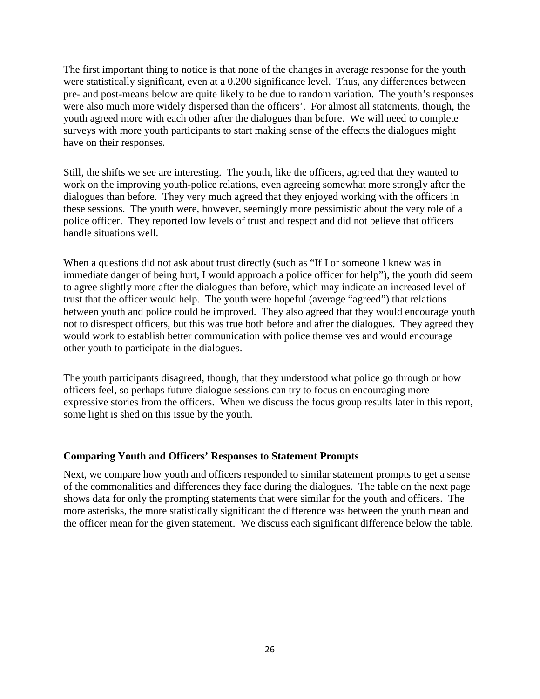The first important thing to notice is that none of the changes in average response for the youth were statistically significant, even at a 0.200 significance level. Thus, any differences between pre- and post-means below are quite likely to be due to random variation. The youth's responses were also much more widely dispersed than the officers'. For almost all statements, though, the youth agreed more with each other after the dialogues than before. We will need to complete surveys with more youth participants to start making sense of the effects the dialogues might have on their responses.

Still, the shifts we see are interesting. The youth, like the officers, agreed that they wanted to work on the improving youth-police relations, even agreeing somewhat more strongly after the dialogues than before. They very much agreed that they enjoyed working with the officers in these sessions. The youth were, however, seemingly more pessimistic about the very role of a police officer. They reported low levels of trust and respect and did not believe that officers handle situations well.

When a questions did not ask about trust directly (such as "If I or someone I knew was in immediate danger of being hurt, I would approach a police officer for help"), the youth did seem to agree slightly more after the dialogues than before, which may indicate an increased level of trust that the officer would help. The youth were hopeful (average "agreed") that relations between youth and police could be improved. They also agreed that they would encourage youth not to disrespect officers, but this was true both before and after the dialogues. They agreed they would work to establish better communication with police themselves and would encourage other youth to participate in the dialogues.

The youth participants disagreed, though, that they understood what police go through or how officers feel, so perhaps future dialogue sessions can try to focus on encouraging more expressive stories from the officers. When we discuss the focus group results later in this report, some light is shed on this issue by the youth.

## **Comparing Youth and Officers' Responses to Statement Prompts**

Next, we compare how youth and officers responded to similar statement prompts to get a sense of the commonalities and differences they face during the dialogues. The table on the next page shows data for only the prompting statements that were similar for the youth and officers. The more asterisks, the more statistically significant the difference was between the youth mean and the officer mean for the given statement. We discuss each significant difference below the table.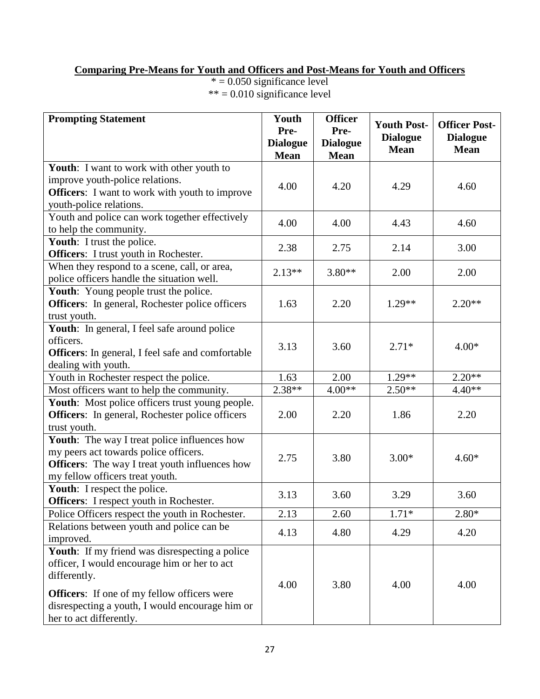# **Comparing Pre-Means for Youth and Officers and Post-Means for Youth and Officers**

 $* = 0.050$  significance level  $*** = 0.010$  significance level

| <b>Prompting Statement</b>                                   | Youth<br>Pre-                  | <b>Officer</b><br>Pre-         | <b>Youth Post-</b>             | <b>Officer Post-</b><br><b>Dialogue</b><br><b>Mean</b> |  |
|--------------------------------------------------------------|--------------------------------|--------------------------------|--------------------------------|--------------------------------------------------------|--|
|                                                              | <b>Dialogue</b><br><b>Mean</b> | <b>Dialogue</b><br><b>Mean</b> | <b>Dialogue</b><br><b>Mean</b> |                                                        |  |
| <b>Youth:</b> I want to work with other youth to             |                                |                                |                                |                                                        |  |
| improve youth-police relations.                              | 4.00                           | 4.20                           | 4.29                           | 4.60                                                   |  |
| <b>Officers:</b> I want to work with youth to improve        |                                |                                |                                |                                                        |  |
| youth-police relations.                                      |                                |                                |                                |                                                        |  |
| Youth and police can work together effectively               | 4.00                           | 4.00                           | 4.43                           | 4.60                                                   |  |
| to help the community.                                       |                                |                                |                                |                                                        |  |
| Youth: I trust the police.                                   | 2.38                           | 2.75                           | 2.14                           | 3.00                                                   |  |
| Officers: I trust youth in Rochester.                        |                                |                                |                                |                                                        |  |
| When they respond to a scene, call, or area,                 | $2.13**$                       | $3.80**$                       | 2.00                           | 2.00                                                   |  |
| police officers handle the situation well.                   |                                |                                |                                |                                                        |  |
| Youth: Young people trust the police.                        |                                |                                |                                | $2.20**$                                               |  |
| <b>Officers:</b> In general, Rochester police officers       | 1.63                           | 2.20                           | $1.29**$                       |                                                        |  |
| trust youth.<br>Youth: In general, I feel safe around police |                                |                                |                                |                                                        |  |
| officers.                                                    |                                |                                |                                |                                                        |  |
| <b>Officers:</b> In general, I feel safe and comfortable     | 3.13                           | 3.60                           | $2.71*$                        | $4.00*$                                                |  |
| dealing with youth.                                          |                                |                                |                                |                                                        |  |
| Youth in Rochester respect the police.                       | 1.63                           | 2.00                           | $1.29**$                       | $2.20**$                                               |  |
| Most officers want to help the community.                    | $2.38**$                       | $4.00**$                       | $2.50**$                       | $4.40**$                                               |  |
| <b>Youth:</b> Most police officers trust young people.       |                                |                                |                                |                                                        |  |
| Officers: In general, Rochester police officers              | 2.00                           | 2.20                           | 1.86                           | 2.20                                                   |  |
| trust youth.                                                 |                                |                                |                                |                                                        |  |
| Youth: The way I treat police influences how                 |                                |                                |                                |                                                        |  |
| my peers act towards police officers.                        |                                |                                |                                |                                                        |  |
| <b>Officers:</b> The way I treat youth influences how        | 2.75                           | 3.80                           | $3.00*$                        | $4.60*$                                                |  |
| my fellow officers treat youth.                              |                                |                                |                                |                                                        |  |
| Youth: I respect the police.                                 |                                |                                |                                |                                                        |  |
| Officers: I respect youth in Rochester.                      | 3.13                           | 3.60                           | 3.29                           | 3.60                                                   |  |
| Police Officers respect the youth in Rochester.              | 2.13                           | 2.60                           | $1.71*$                        | $2.80*$                                                |  |
| Relations between youth and police can be                    | 4.13                           | 4.80                           | 4.29                           | 4.20                                                   |  |
| improved.                                                    |                                |                                |                                |                                                        |  |
| Youth: If my friend was disrespecting a police               |                                |                                |                                |                                                        |  |
| officer, I would encourage him or her to act                 |                                |                                |                                |                                                        |  |
| differently.                                                 |                                |                                |                                |                                                        |  |
| <b>Officers:</b> If one of my fellow officers were           | 4.00                           | 3.80                           | 4.00                           | 4.00                                                   |  |
| disrespecting a youth, I would encourage him or              |                                |                                |                                |                                                        |  |
| her to act differently.                                      |                                |                                |                                |                                                        |  |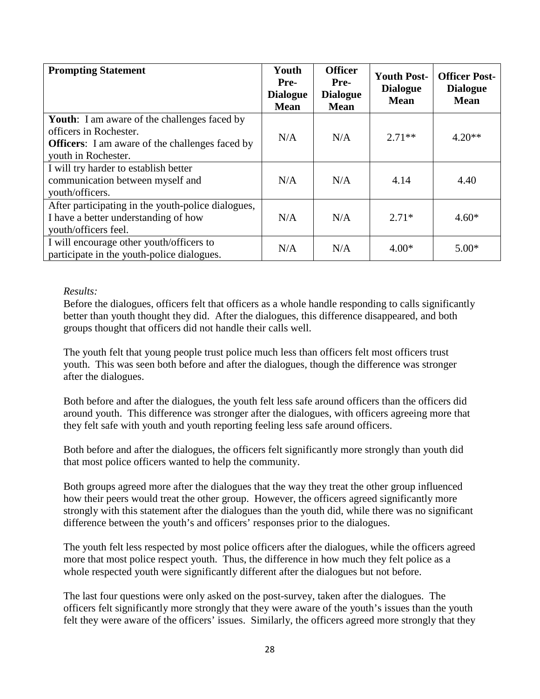| <b>Prompting Statement</b>                                                                                                                                     | Youth<br>Pre-<br><b>Dialogue</b><br><b>Mean</b> | <b>Officer</b><br>Pre-<br><b>Dialogue</b><br><b>Mean</b> | <b>Youth Post-</b><br><b>Dialogue</b><br><b>Mean</b> | <b>Officer Post-</b><br><b>Dialogue</b><br><b>Mean</b> |
|----------------------------------------------------------------------------------------------------------------------------------------------------------------|-------------------------------------------------|----------------------------------------------------------|------------------------------------------------------|--------------------------------------------------------|
| <b>Youth:</b> I am aware of the challenges faced by<br>officers in Rochester.<br><b>Officers:</b> I am aware of the challenges faced by<br>youth in Rochester. | N/A                                             | N/A                                                      | $2.71**$                                             | $4.20**$                                               |
| I will try harder to establish better<br>communication between myself and<br>youth/officers.                                                                   | N/A                                             | N/A                                                      | 4.14                                                 | 4.40                                                   |
| After participating in the youth-police dialogues,<br>I have a better understanding of how<br>youth/officers feel.                                             | N/A                                             | N/A                                                      | $2.71*$                                              | $4.60*$                                                |
| I will encourage other youth/officers to<br>participate in the youth-police dialogues.                                                                         | N/A                                             | N/A                                                      | $4.00*$                                              | $5.00*$                                                |

## *Results:*

Before the dialogues, officers felt that officers as a whole handle responding to calls significantly better than youth thought they did. After the dialogues, this difference disappeared, and both groups thought that officers did not handle their calls well.

The youth felt that young people trust police much less than officers felt most officers trust youth. This was seen both before and after the dialogues, though the difference was stronger after the dialogues.

Both before and after the dialogues, the youth felt less safe around officers than the officers did around youth. This difference was stronger after the dialogues, with officers agreeing more that they felt safe with youth and youth reporting feeling less safe around officers.

Both before and after the dialogues, the officers felt significantly more strongly than youth did that most police officers wanted to help the community.

Both groups agreed more after the dialogues that the way they treat the other group influenced how their peers would treat the other group. However, the officers agreed significantly more strongly with this statement after the dialogues than the youth did, while there was no significant difference between the youth's and officers' responses prior to the dialogues.

The youth felt less respected by most police officers after the dialogues, while the officers agreed more that most police respect youth. Thus, the difference in how much they felt police as a whole respected youth were significantly different after the dialogues but not before.

The last four questions were only asked on the post-survey, taken after the dialogues. The officers felt significantly more strongly that they were aware of the youth's issues than the youth felt they were aware of the officers' issues. Similarly, the officers agreed more strongly that they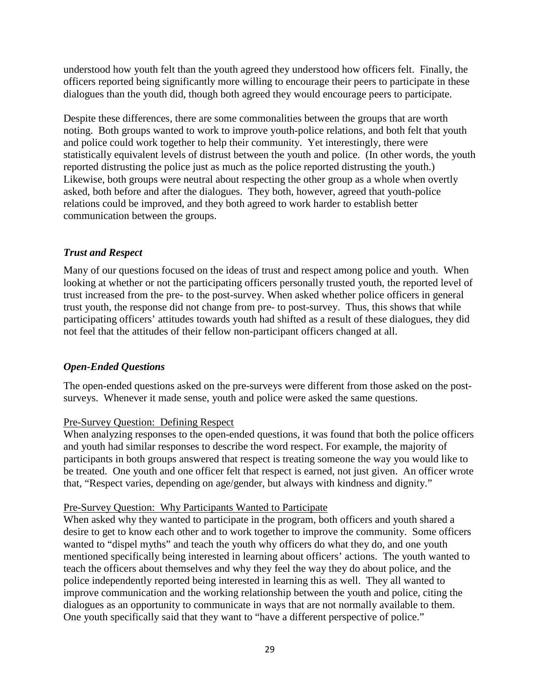understood how youth felt than the youth agreed they understood how officers felt. Finally, the officers reported being significantly more willing to encourage their peers to participate in these dialogues than the youth did, though both agreed they would encourage peers to participate.

Despite these differences, there are some commonalities between the groups that are worth noting. Both groups wanted to work to improve youth-police relations, and both felt that youth and police could work together to help their community. Yet interestingly, there were statistically equivalent levels of distrust between the youth and police. (In other words, the youth reported distrusting the police just as much as the police reported distrusting the youth.) Likewise, both groups were neutral about respecting the other group as a whole when overtly asked, both before and after the dialogues. They both, however, agreed that youth-police relations could be improved, and they both agreed to work harder to establish better communication between the groups.

## *Trust and Respect*

Many of our questions focused on the ideas of trust and respect among police and youth. When looking at whether or not the participating officers personally trusted youth, the reported level of trust increased from the pre- to the post-survey. When asked whether police officers in general trust youth, the response did not change from pre- to post-survey. Thus, this shows that while participating officers' attitudes towards youth had shifted as a result of these dialogues, they did not feel that the attitudes of their fellow non-participant officers changed at all.

# *Open-Ended Questions*

The open-ended questions asked on the pre-surveys were different from those asked on the postsurveys. Whenever it made sense, youth and police were asked the same questions.

## Pre-Survey Question: Defining Respect

When analyzing responses to the open-ended questions, it was found that both the police officers and youth had similar responses to describe the word respect. For example, the majority of participants in both groups answered that respect is treating someone the way you would like to be treated. One youth and one officer felt that respect is earned, not just given. An officer wrote that, "Respect varies, depending on age/gender, but always with kindness and dignity."

## Pre-Survey Question: Why Participants Wanted to Participate

When asked why they wanted to participate in the program, both officers and youth shared a desire to get to know each other and to work together to improve the community. Some officers wanted to "dispel myths" and teach the youth why officers do what they do, and one youth mentioned specifically being interested in learning about officers' actions. The youth wanted to teach the officers about themselves and why they feel the way they do about police, and the police independently reported being interested in learning this as well. They all wanted to improve communication and the working relationship between the youth and police, citing the dialogues as an opportunity to communicate in ways that are not normally available to them. One youth specifically said that they want to "have a different perspective of police."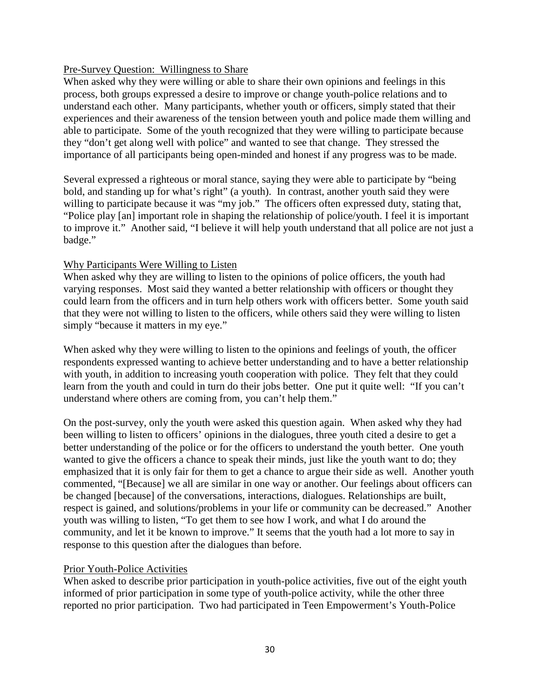## Pre-Survey Question: Willingness to Share

When asked why they were willing or able to share their own opinions and feelings in this process, both groups expressed a desire to improve or change youth-police relations and to understand each other. Many participants, whether youth or officers, simply stated that their experiences and their awareness of the tension between youth and police made them willing and able to participate. Some of the youth recognized that they were willing to participate because they "don't get along well with police" and wanted to see that change. They stressed the importance of all participants being open-minded and honest if any progress was to be made.

Several expressed a righteous or moral stance, saying they were able to participate by "being bold, and standing up for what's right" (a youth). In contrast, another youth said they were willing to participate because it was "my job." The officers often expressed duty, stating that, "Police play [an] important role in shaping the relationship of police/youth. I feel it is important to improve it." Another said, "I believe it will help youth understand that all police are not just a badge."

## Why Participants Were Willing to Listen

When asked why they are willing to listen to the opinions of police officers, the youth had varying responses. Most said they wanted a better relationship with officers or thought they could learn from the officers and in turn help others work with officers better. Some youth said that they were not willing to listen to the officers, while others said they were willing to listen simply "because it matters in my eye."

When asked why they were willing to listen to the opinions and feelings of youth, the officer respondents expressed wanting to achieve better understanding and to have a better relationship with youth, in addition to increasing youth cooperation with police. They felt that they could learn from the youth and could in turn do their jobs better. One put it quite well: "If you can't understand where others are coming from, you can't help them."

On the post-survey, only the youth were asked this question again. When asked why they had been willing to listen to officers' opinions in the dialogues, three youth cited a desire to get a better understanding of the police or for the officers to understand the youth better. One youth wanted to give the officers a chance to speak their minds, just like the youth want to do; they emphasized that it is only fair for them to get a chance to argue their side as well. Another youth commented, "[Because] we all are similar in one way or another. Our feelings about officers can be changed [because] of the conversations, interactions, dialogues. Relationships are built, respect is gained, and solutions/problems in your life or community can be decreased." Another youth was willing to listen, "To get them to see how I work, and what I do around the community, and let it be known to improve." It seems that the youth had a lot more to say in response to this question after the dialogues than before.

## Prior Youth-Police Activities

When asked to describe prior participation in youth-police activities, five out of the eight youth informed of prior participation in some type of youth-police activity, while the other three reported no prior participation. Two had participated in Teen Empowerment's Youth-Police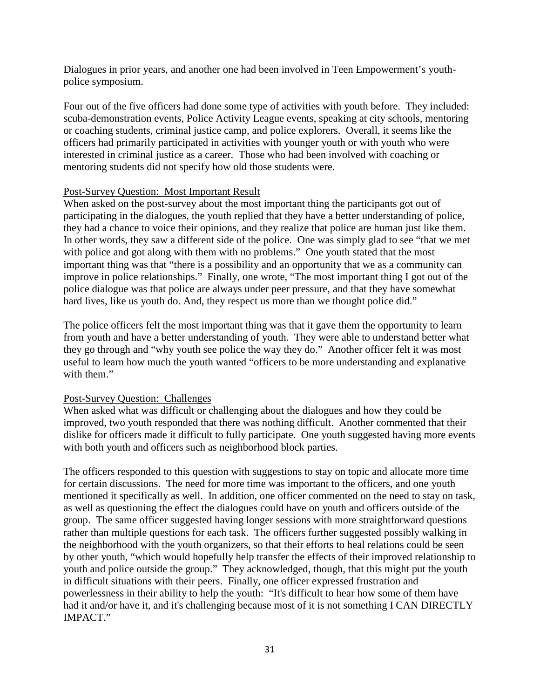Dialogues in prior years, and another one had been involved in Teen Empowerment's youthpolice symposium.

Four out of the five officers had done some type of activities with youth before. They included: scuba-demonstration events, Police Activity League events, speaking at city schools, mentoring or coaching students, criminal justice camp, and police explorers. Overall, it seems like the officers had primarily participated in activities with younger youth or with youth who were interested in criminal justice as a career. Those who had been involved with coaching or mentoring students did not specify how old those students were.

## Post-Survey Question: Most Important Result

When asked on the post-survey about the most important thing the participants got out of participating in the dialogues, the youth replied that they have a better understanding of police, they had a chance to voice their opinions, and they realize that police are human just like them. In other words, they saw a different side of the police. One was simply glad to see "that we met with police and got along with them with no problems." One youth stated that the most important thing was that "there is a possibility and an opportunity that we as a community can improve in police relationships." Finally, one wrote, "The most important thing I got out of the police dialogue was that police are always under peer pressure, and that they have somewhat hard lives, like us youth do. And, they respect us more than we thought police did."

The police officers felt the most important thing was that it gave them the opportunity to learn from youth and have a better understanding of youth. They were able to understand better what they go through and "why youth see police the way they do." Another officer felt it was most useful to learn how much the youth wanted "officers to be more understanding and explanative with them."

## Post-Survey Question: Challenges

When asked what was difficult or challenging about the dialogues and how they could be improved, two youth responded that there was nothing difficult. Another commented that their dislike for officers made it difficult to fully participate. One youth suggested having more events with both youth and officers such as neighborhood block parties.

The officers responded to this question with suggestions to stay on topic and allocate more time for certain discussions. The need for more time was important to the officers, and one youth mentioned it specifically as well. In addition, one officer commented on the need to stay on task, as well as questioning the effect the dialogues could have on youth and officers outside of the group. The same officer suggested having longer sessions with more straightforward questions rather than multiple questions for each task. The officers further suggested possibly walking in the neighborhood with the youth organizers, so that their efforts to heal relations could be seen by other youth, "which would hopefully help transfer the effects of their improved relationship to youth and police outside the group." They acknowledged, though, that this might put the youth in difficult situations with their peers. Finally, one officer expressed frustration and powerlessness in their ability to help the youth: "It's difficult to hear how some of them have had it and/or have it, and it's challenging because most of it is not something I CAN DIRECTLY IMPACT."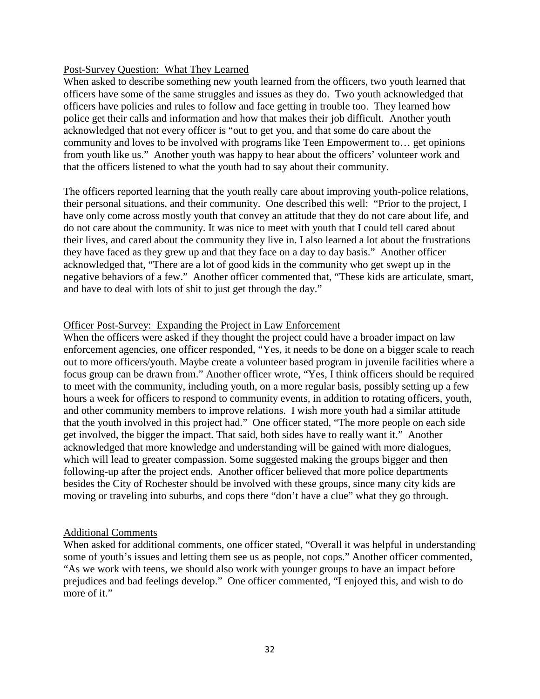#### Post-Survey Question: What They Learned

When asked to describe something new youth learned from the officers, two youth learned that officers have some of the same struggles and issues as they do. Two youth acknowledged that officers have policies and rules to follow and face getting in trouble too. They learned how police get their calls and information and how that makes their job difficult. Another youth acknowledged that not every officer is "out to get you, and that some do care about the community and loves to be involved with programs like Teen Empowerment to… get opinions from youth like us." Another youth was happy to hear about the officers' volunteer work and that the officers listened to what the youth had to say about their community.

The officers reported learning that the youth really care about improving youth-police relations, their personal situations, and their community. One described this well: "Prior to the project, I have only come across mostly youth that convey an attitude that they do not care about life, and do not care about the community. It was nice to meet with youth that I could tell cared about their lives, and cared about the community they live in. I also learned a lot about the frustrations they have faced as they grew up and that they face on a day to day basis." Another officer acknowledged that, "There are a lot of good kids in the community who get swept up in the negative behaviors of a few." Another officer commented that, "These kids are articulate, smart, and have to deal with lots of shit to just get through the day."

## Officer Post-Survey: Expanding the Project in Law Enforcement

When the officers were asked if they thought the project could have a broader impact on law enforcement agencies, one officer responded, "Yes, it needs to be done on a bigger scale to reach out to more officers/youth. Maybe create a volunteer based program in juvenile facilities where a focus group can be drawn from." Another officer wrote, "Yes, I think officers should be required to meet with the community, including youth, on a more regular basis, possibly setting up a few hours a week for officers to respond to community events, in addition to rotating officers, youth, and other community members to improve relations. I wish more youth had a similar attitude that the youth involved in this project had." One officer stated, "The more people on each side get involved, the bigger the impact. That said, both sides have to really want it." Another acknowledged that more knowledge and understanding will be gained with more dialogues, which will lead to greater compassion. Some suggested making the groups bigger and then following-up after the project ends. Another officer believed that more police departments besides the City of Rochester should be involved with these groups, since many city kids are moving or traveling into suburbs, and cops there "don't have a clue" what they go through.

#### Additional Comments

When asked for additional comments, one officer stated, "Overall it was helpful in understanding some of youth's issues and letting them see us as people, not cops." Another officer commented, "As we work with teens, we should also work with younger groups to have an impact before prejudices and bad feelings develop." One officer commented, "I enjoyed this, and wish to do more of it."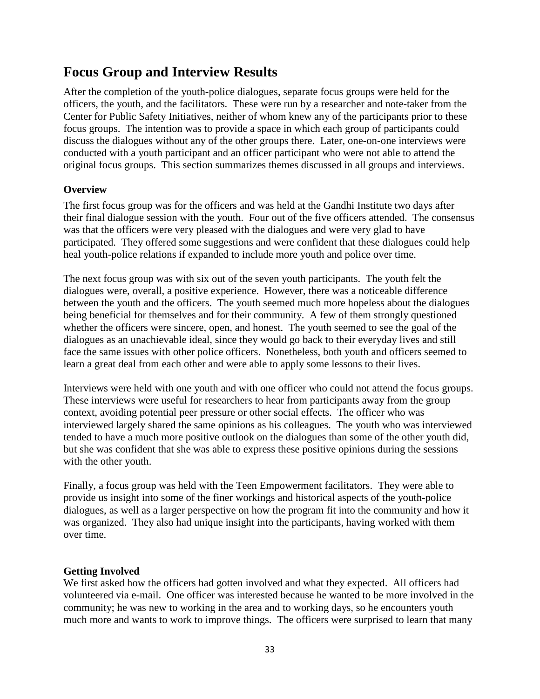# **Focus Group and Interview Results**

After the completion of the youth-police dialogues, separate focus groups were held for the officers, the youth, and the facilitators. These were run by a researcher and note-taker from the Center for Public Safety Initiatives, neither of whom knew any of the participants prior to these focus groups. The intention was to provide a space in which each group of participants could discuss the dialogues without any of the other groups there. Later, one-on-one interviews were conducted with a youth participant and an officer participant who were not able to attend the original focus groups. This section summarizes themes discussed in all groups and interviews.

# **Overview**

The first focus group was for the officers and was held at the Gandhi Institute two days after their final dialogue session with the youth. Four out of the five officers attended. The consensus was that the officers were very pleased with the dialogues and were very glad to have participated. They offered some suggestions and were confident that these dialogues could help heal youth-police relations if expanded to include more youth and police over time.

The next focus group was with six out of the seven youth participants. The youth felt the dialogues were, overall, a positive experience. However, there was a noticeable difference between the youth and the officers. The youth seemed much more hopeless about the dialogues being beneficial for themselves and for their community. A few of them strongly questioned whether the officers were sincere, open, and honest. The youth seemed to see the goal of the dialogues as an unachievable ideal, since they would go back to their everyday lives and still face the same issues with other police officers. Nonetheless, both youth and officers seemed to learn a great deal from each other and were able to apply some lessons to their lives.

Interviews were held with one youth and with one officer who could not attend the focus groups. These interviews were useful for researchers to hear from participants away from the group context, avoiding potential peer pressure or other social effects. The officer who was interviewed largely shared the same opinions as his colleagues. The youth who was interviewed tended to have a much more positive outlook on the dialogues than some of the other youth did, but she was confident that she was able to express these positive opinions during the sessions with the other youth.

Finally, a focus group was held with the Teen Empowerment facilitators. They were able to provide us insight into some of the finer workings and historical aspects of the youth-police dialogues, as well as a larger perspective on how the program fit into the community and how it was organized. They also had unique insight into the participants, having worked with them over time.

## **Getting Involved**

We first asked how the officers had gotten involved and what they expected. All officers had volunteered via e-mail. One officer was interested because he wanted to be more involved in the community; he was new to working in the area and to working days, so he encounters youth much more and wants to work to improve things. The officers were surprised to learn that many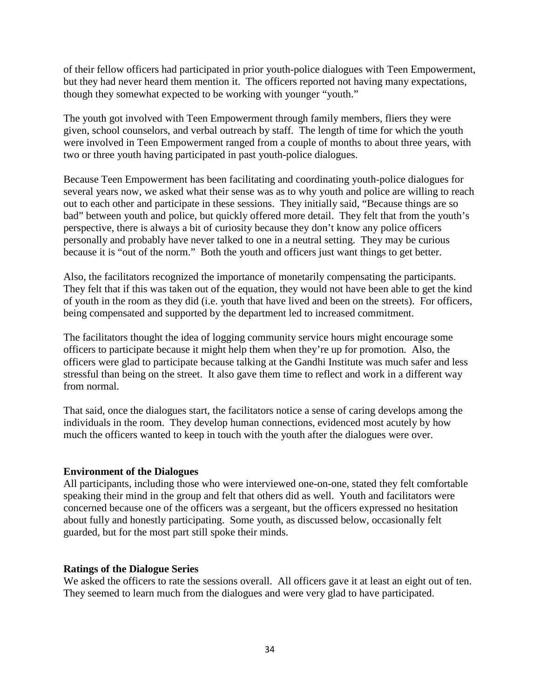of their fellow officers had participated in prior youth-police dialogues with Teen Empowerment, but they had never heard them mention it. The officers reported not having many expectations, though they somewhat expected to be working with younger "youth."

The youth got involved with Teen Empowerment through family members, fliers they were given, school counselors, and verbal outreach by staff. The length of time for which the youth were involved in Teen Empowerment ranged from a couple of months to about three years, with two or three youth having participated in past youth-police dialogues.

Because Teen Empowerment has been facilitating and coordinating youth-police dialogues for several years now, we asked what their sense was as to why youth and police are willing to reach out to each other and participate in these sessions. They initially said, "Because things are so bad" between youth and police, but quickly offered more detail. They felt that from the youth's perspective, there is always a bit of curiosity because they don't know any police officers personally and probably have never talked to one in a neutral setting. They may be curious because it is "out of the norm." Both the youth and officers just want things to get better.

Also, the facilitators recognized the importance of monetarily compensating the participants. They felt that if this was taken out of the equation, they would not have been able to get the kind of youth in the room as they did (i.e. youth that have lived and been on the streets). For officers, being compensated and supported by the department led to increased commitment.

The facilitators thought the idea of logging community service hours might encourage some officers to participate because it might help them when they're up for promotion. Also, the officers were glad to participate because talking at the Gandhi Institute was much safer and less stressful than being on the street. It also gave them time to reflect and work in a different way from normal.

That said, once the dialogues start, the facilitators notice a sense of caring develops among the individuals in the room. They develop human connections, evidenced most acutely by how much the officers wanted to keep in touch with the youth after the dialogues were over.

## **Environment of the Dialogues**

All participants, including those who were interviewed one-on-one, stated they felt comfortable speaking their mind in the group and felt that others did as well. Youth and facilitators were concerned because one of the officers was a sergeant, but the officers expressed no hesitation about fully and honestly participating. Some youth, as discussed below, occasionally felt guarded, but for the most part still spoke their minds.

#### **Ratings of the Dialogue Series**

We asked the officers to rate the sessions overall. All officers gave it at least an eight out of ten. They seemed to learn much from the dialogues and were very glad to have participated.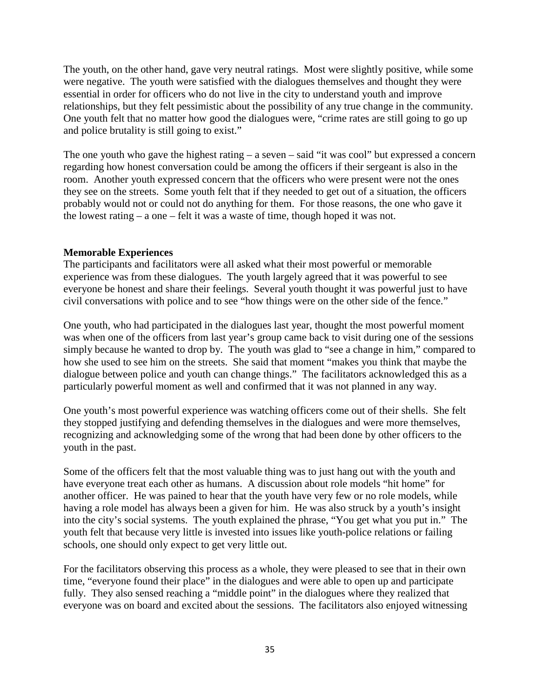The youth, on the other hand, gave very neutral ratings. Most were slightly positive, while some were negative. The youth were satisfied with the dialogues themselves and thought they were essential in order for officers who do not live in the city to understand youth and improve relationships, but they felt pessimistic about the possibility of any true change in the community. One youth felt that no matter how good the dialogues were, "crime rates are still going to go up and police brutality is still going to exist."

The one youth who gave the highest rating – a seven – said "it was cool" but expressed a concern regarding how honest conversation could be among the officers if their sergeant is also in the room. Another youth expressed concern that the officers who were present were not the ones they see on the streets. Some youth felt that if they needed to get out of a situation, the officers probably would not or could not do anything for them. For those reasons, the one who gave it the lowest rating – a one – felt it was a waste of time, though hoped it was not.

## **Memorable Experiences**

The participants and facilitators were all asked what their most powerful or memorable experience was from these dialogues. The youth largely agreed that it was powerful to see everyone be honest and share their feelings. Several youth thought it was powerful just to have civil conversations with police and to see "how things were on the other side of the fence."

One youth, who had participated in the dialogues last year, thought the most powerful moment was when one of the officers from last year's group came back to visit during one of the sessions simply because he wanted to drop by. The youth was glad to "see a change in him," compared to how she used to see him on the streets. She said that moment "makes you think that maybe the dialogue between police and youth can change things." The facilitators acknowledged this as a particularly powerful moment as well and confirmed that it was not planned in any way.

One youth's most powerful experience was watching officers come out of their shells. She felt they stopped justifying and defending themselves in the dialogues and were more themselves, recognizing and acknowledging some of the wrong that had been done by other officers to the youth in the past.

Some of the officers felt that the most valuable thing was to just hang out with the youth and have everyone treat each other as humans. A discussion about role models "hit home" for another officer. He was pained to hear that the youth have very few or no role models, while having a role model has always been a given for him. He was also struck by a youth's insight into the city's social systems. The youth explained the phrase, "You get what you put in." The youth felt that because very little is invested into issues like youth-police relations or failing schools, one should only expect to get very little out.

For the facilitators observing this process as a whole, they were pleased to see that in their own time, "everyone found their place" in the dialogues and were able to open up and participate fully. They also sensed reaching a "middle point" in the dialogues where they realized that everyone was on board and excited about the sessions. The facilitators also enjoyed witnessing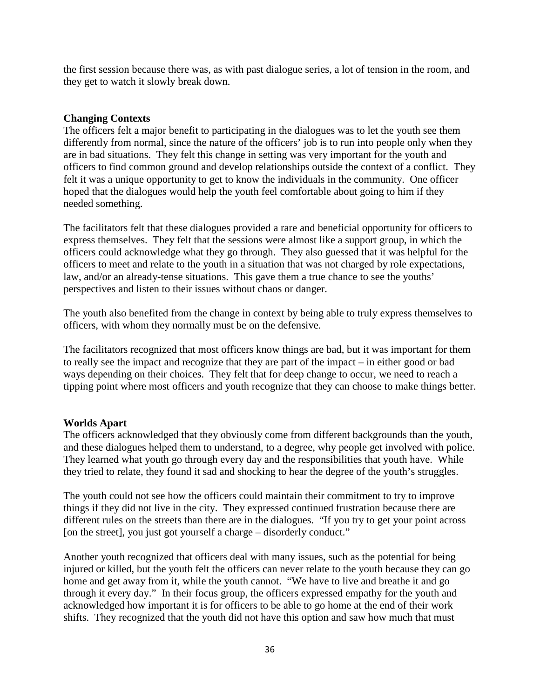the first session because there was, as with past dialogue series, a lot of tension in the room, and they get to watch it slowly break down.

## **Changing Contexts**

The officers felt a major benefit to participating in the dialogues was to let the youth see them differently from normal, since the nature of the officers' job is to run into people only when they are in bad situations. They felt this change in setting was very important for the youth and officers to find common ground and develop relationships outside the context of a conflict. They felt it was a unique opportunity to get to know the individuals in the community. One officer hoped that the dialogues would help the youth feel comfortable about going to him if they needed something.

The facilitators felt that these dialogues provided a rare and beneficial opportunity for officers to express themselves. They felt that the sessions were almost like a support group, in which the officers could acknowledge what they go through. They also guessed that it was helpful for the officers to meet and relate to the youth in a situation that was not charged by role expectations, law, and/or an already-tense situations. This gave them a true chance to see the youths' perspectives and listen to their issues without chaos or danger.

The youth also benefited from the change in context by being able to truly express themselves to officers, with whom they normally must be on the defensive.

The facilitators recognized that most officers know things are bad, but it was important for them to really see the impact and recognize that they are part of the impact – in either good or bad ways depending on their choices. They felt that for deep change to occur, we need to reach a tipping point where most officers and youth recognize that they can choose to make things better.

# **Worlds Apart**

The officers acknowledged that they obviously come from different backgrounds than the youth, and these dialogues helped them to understand, to a degree, why people get involved with police. They learned what youth go through every day and the responsibilities that youth have. While they tried to relate, they found it sad and shocking to hear the degree of the youth's struggles.

The youth could not see how the officers could maintain their commitment to try to improve things if they did not live in the city. They expressed continued frustration because there are different rules on the streets than there are in the dialogues. "If you try to get your point across [on the street], you just got yourself a charge – disorderly conduct."

Another youth recognized that officers deal with many issues, such as the potential for being injured or killed, but the youth felt the officers can never relate to the youth because they can go home and get away from it, while the youth cannot. "We have to live and breathe it and go through it every day." In their focus group, the officers expressed empathy for the youth and acknowledged how important it is for officers to be able to go home at the end of their work shifts. They recognized that the youth did not have this option and saw how much that must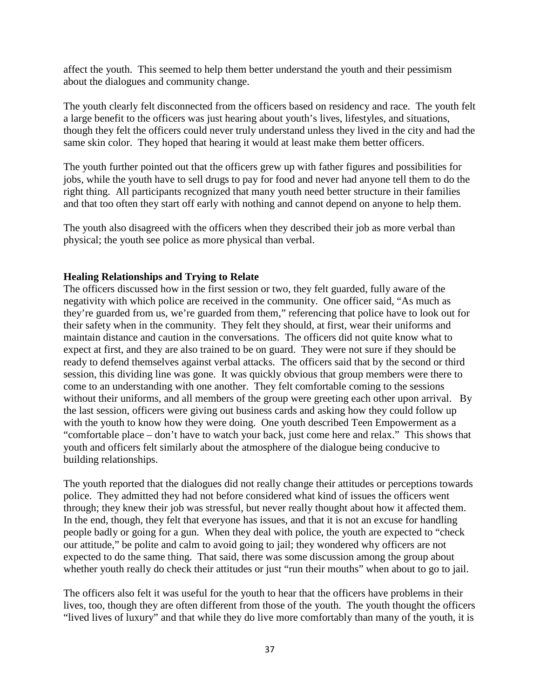affect the youth. This seemed to help them better understand the youth and their pessimism about the dialogues and community change.

The youth clearly felt disconnected from the officers based on residency and race. The youth felt a large benefit to the officers was just hearing about youth's lives, lifestyles, and situations, though they felt the officers could never truly understand unless they lived in the city and had the same skin color. They hoped that hearing it would at least make them better officers.

The youth further pointed out that the officers grew up with father figures and possibilities for jobs, while the youth have to sell drugs to pay for food and never had anyone tell them to do the right thing. All participants recognized that many youth need better structure in their families and that too often they start off early with nothing and cannot depend on anyone to help them.

The youth also disagreed with the officers when they described their job as more verbal than physical; the youth see police as more physical than verbal.

## **Healing Relationships and Trying to Relate**

The officers discussed how in the first session or two, they felt guarded, fully aware of the negativity with which police are received in the community. One officer said, "As much as they're guarded from us, we're guarded from them," referencing that police have to look out for their safety when in the community. They felt they should, at first, wear their uniforms and maintain distance and caution in the conversations. The officers did not quite know what to expect at first, and they are also trained to be on guard. They were not sure if they should be ready to defend themselves against verbal attacks. The officers said that by the second or third session, this dividing line was gone. It was quickly obvious that group members were there to come to an understanding with one another. They felt comfortable coming to the sessions without their uniforms, and all members of the group were greeting each other upon arrival. By the last session, officers were giving out business cards and asking how they could follow up with the youth to know how they were doing. One youth described Teen Empowerment as a "comfortable place – don't have to watch your back, just come here and relax." This shows that youth and officers felt similarly about the atmosphere of the dialogue being conducive to building relationships.

The youth reported that the dialogues did not really change their attitudes or perceptions towards police. They admitted they had not before considered what kind of issues the officers went through; they knew their job was stressful, but never really thought about how it affected them. In the end, though, they felt that everyone has issues, and that it is not an excuse for handling people badly or going for a gun. When they deal with police, the youth are expected to "check our attitude," be polite and calm to avoid going to jail; they wondered why officers are not expected to do the same thing. That said, there was some discussion among the group about whether youth really do check their attitudes or just "run their mouths" when about to go to jail.

The officers also felt it was useful for the youth to hear that the officers have problems in their lives, too, though they are often different from those of the youth. The youth thought the officers "lived lives of luxury" and that while they do live more comfortably than many of the youth, it is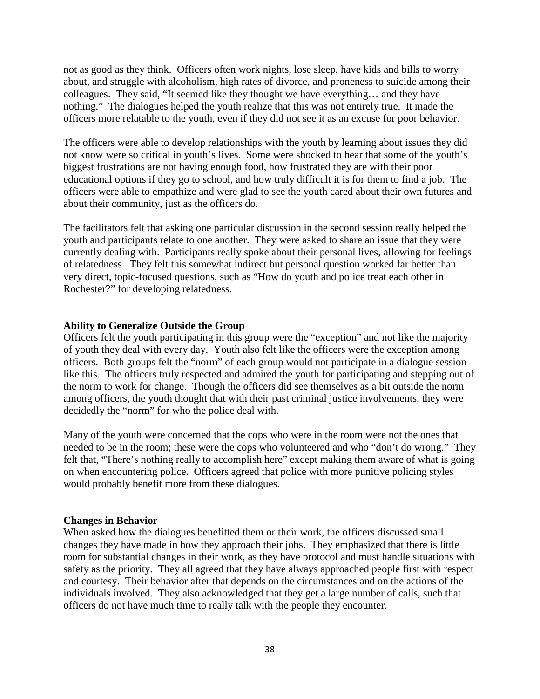not as good as they think. Officers often work nights, lose sleep, have kids and bills to worry about, and struggle with alcoholism, high rates of divorce, and proneness to suicide among their colleagues. They said, "It seemed like they thought we have everything… and they have nothing." The dialogues helped the youth realize that this was not entirely true. It made the officers more relatable to the youth, even if they did not see it as an excuse for poor behavior.

The officers were able to develop relationships with the youth by learning about issues they did not know were so critical in youth's lives. Some were shocked to hear that some of the youth's biggest frustrations are not having enough food, how frustrated they are with their poor educational options if they go to school, and how truly difficult it is for them to find a job. The officers were able to empathize and were glad to see the youth cared about their own futures and about their community, just as the officers do.

The facilitators felt that asking one particular discussion in the second session really helped the youth and participants relate to one another. They were asked to share an issue that they were currently dealing with. Participants really spoke about their personal lives, allowing for feelings of relatedness. They felt this somewhat indirect but personal question worked far better than very direct, topic-focused questions, such as "How do youth and police treat each other in Rochester?" for developing relatedness.

## **Ability to Generalize Outside the Group**

Officers felt the youth participating in this group were the "exception" and not like the majority of youth they deal with every day. Youth also felt like the officers were the exception among officers. Both groups felt the "norm" of each group would not participate in a dialogue session like this. The officers truly respected and admired the youth for participating and stepping out of the norm to work for change. Though the officers did see themselves as a bit outside the norm among officers, the youth thought that with their past criminal justice involvements, they were decidedly the "norm" for who the police deal with.

Many of the youth were concerned that the cops who were in the room were not the ones that needed to be in the room; these were the cops who volunteered and who "don't do wrong." They felt that, "There's nothing really to accomplish here" except making them aware of what is going on when encountering police. Officers agreed that police with more punitive policing styles would probably benefit more from these dialogues.

#### **Changes in Behavior**

When asked how the dialogues benefitted them or their work, the officers discussed small changes they have made in how they approach their jobs. They emphasized that there is little room for substantial changes in their work, as they have protocol and must handle situations with safety as the priority. They all agreed that they have always approached people first with respect and courtesy. Their behavior after that depends on the circumstances and on the actions of the individuals involved. They also acknowledged that they get a large number of calls, such that officers do not have much time to really talk with the people they encounter.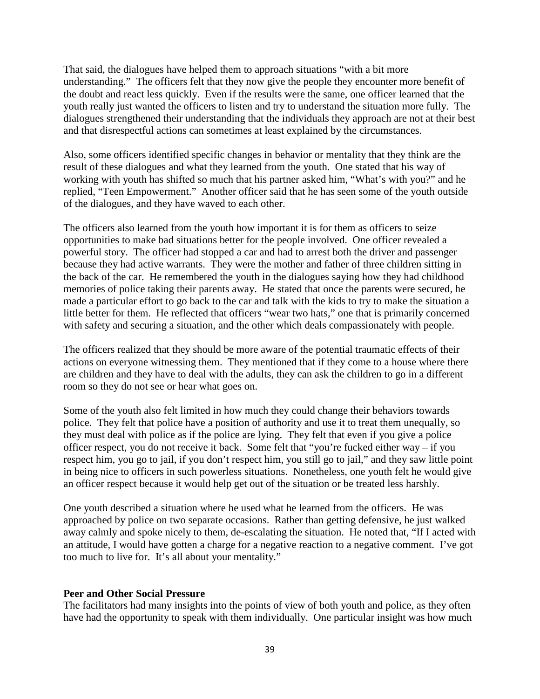That said, the dialogues have helped them to approach situations "with a bit more understanding." The officers felt that they now give the people they encounter more benefit of the doubt and react less quickly. Even if the results were the same, one officer learned that the youth really just wanted the officers to listen and try to understand the situation more fully. The dialogues strengthened their understanding that the individuals they approach are not at their best and that disrespectful actions can sometimes at least explained by the circumstances.

Also, some officers identified specific changes in behavior or mentality that they think are the result of these dialogues and what they learned from the youth. One stated that his way of working with youth has shifted so much that his partner asked him, "What's with you?" and he replied, "Teen Empowerment." Another officer said that he has seen some of the youth outside of the dialogues, and they have waved to each other.

The officers also learned from the youth how important it is for them as officers to seize opportunities to make bad situations better for the people involved. One officer revealed a powerful story. The officer had stopped a car and had to arrest both the driver and passenger because they had active warrants. They were the mother and father of three children sitting in the back of the car. He remembered the youth in the dialogues saying how they had childhood memories of police taking their parents away. He stated that once the parents were secured, he made a particular effort to go back to the car and talk with the kids to try to make the situation a little better for them. He reflected that officers "wear two hats," one that is primarily concerned with safety and securing a situation, and the other which deals compassionately with people.

The officers realized that they should be more aware of the potential traumatic effects of their actions on everyone witnessing them. They mentioned that if they come to a house where there are children and they have to deal with the adults, they can ask the children to go in a different room so they do not see or hear what goes on.

Some of the youth also felt limited in how much they could change their behaviors towards police. They felt that police have a position of authority and use it to treat them unequally, so they must deal with police as if the police are lying. They felt that even if you give a police officer respect, you do not receive it back. Some felt that "you're fucked either way – if you respect him, you go to jail, if you don't respect him, you still go to jail," and they saw little point in being nice to officers in such powerless situations. Nonetheless, one youth felt he would give an officer respect because it would help get out of the situation or be treated less harshly.

One youth described a situation where he used what he learned from the officers. He was approached by police on two separate occasions. Rather than getting defensive, he just walked away calmly and spoke nicely to them, de-escalating the situation. He noted that, "If I acted with an attitude, I would have gotten a charge for a negative reaction to a negative comment. I've got too much to live for. It's all about your mentality."

#### **Peer and Other Social Pressure**

The facilitators had many insights into the points of view of both youth and police, as they often have had the opportunity to speak with them individually. One particular insight was how much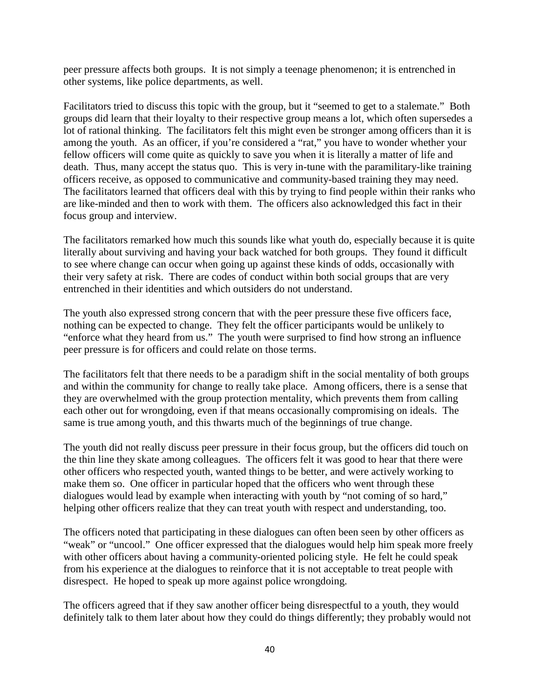peer pressure affects both groups. It is not simply a teenage phenomenon; it is entrenched in other systems, like police departments, as well.

Facilitators tried to discuss this topic with the group, but it "seemed to get to a stalemate." Both groups did learn that their loyalty to their respective group means a lot, which often supersedes a lot of rational thinking. The facilitators felt this might even be stronger among officers than it is among the youth. As an officer, if you're considered a "rat," you have to wonder whether your fellow officers will come quite as quickly to save you when it is literally a matter of life and death. Thus, many accept the status quo. This is very in-tune with the paramilitary-like training officers receive, as opposed to communicative and community-based training they may need. The facilitators learned that officers deal with this by trying to find people within their ranks who are like-minded and then to work with them. The officers also acknowledged this fact in their focus group and interview.

The facilitators remarked how much this sounds like what youth do, especially because it is quite literally about surviving and having your back watched for both groups. They found it difficult to see where change can occur when going up against these kinds of odds, occasionally with their very safety at risk. There are codes of conduct within both social groups that are very entrenched in their identities and which outsiders do not understand.

The youth also expressed strong concern that with the peer pressure these five officers face, nothing can be expected to change. They felt the officer participants would be unlikely to "enforce what they heard from us." The youth were surprised to find how strong an influence peer pressure is for officers and could relate on those terms.

The facilitators felt that there needs to be a paradigm shift in the social mentality of both groups and within the community for change to really take place. Among officers, there is a sense that they are overwhelmed with the group protection mentality, which prevents them from calling each other out for wrongdoing, even if that means occasionally compromising on ideals. The same is true among youth, and this thwarts much of the beginnings of true change.

The youth did not really discuss peer pressure in their focus group, but the officers did touch on the thin line they skate among colleagues. The officers felt it was good to hear that there were other officers who respected youth, wanted things to be better, and were actively working to make them so. One officer in particular hoped that the officers who went through these dialogues would lead by example when interacting with youth by "not coming of so hard," helping other officers realize that they can treat youth with respect and understanding, too.

The officers noted that participating in these dialogues can often been seen by other officers as "weak" or "uncool." One officer expressed that the dialogues would help him speak more freely with other officers about having a community-oriented policing style. He felt he could speak from his experience at the dialogues to reinforce that it is not acceptable to treat people with disrespect. He hoped to speak up more against police wrongdoing.

The officers agreed that if they saw another officer being disrespectful to a youth, they would definitely talk to them later about how they could do things differently; they probably would not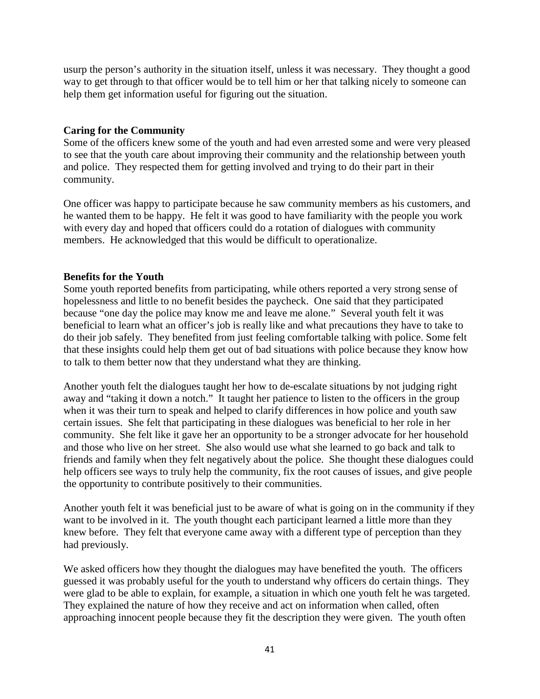usurp the person's authority in the situation itself, unless it was necessary. They thought a good way to get through to that officer would be to tell him or her that talking nicely to someone can help them get information useful for figuring out the situation.

## **Caring for the Community**

Some of the officers knew some of the youth and had even arrested some and were very pleased to see that the youth care about improving their community and the relationship between youth and police. They respected them for getting involved and trying to do their part in their community.

One officer was happy to participate because he saw community members as his customers, and he wanted them to be happy. He felt it was good to have familiarity with the people you work with every day and hoped that officers could do a rotation of dialogues with community members. He acknowledged that this would be difficult to operationalize.

## **Benefits for the Youth**

Some youth reported benefits from participating, while others reported a very strong sense of hopelessness and little to no benefit besides the paycheck. One said that they participated because "one day the police may know me and leave me alone." Several youth felt it was beneficial to learn what an officer's job is really like and what precautions they have to take to do their job safely. They benefited from just feeling comfortable talking with police. Some felt that these insights could help them get out of bad situations with police because they know how to talk to them better now that they understand what they are thinking.

Another youth felt the dialogues taught her how to de-escalate situations by not judging right away and "taking it down a notch." It taught her patience to listen to the officers in the group when it was their turn to speak and helped to clarify differences in how police and youth saw certain issues. She felt that participating in these dialogues was beneficial to her role in her community. She felt like it gave her an opportunity to be a stronger advocate for her household and those who live on her street. She also would use what she learned to go back and talk to friends and family when they felt negatively about the police. She thought these dialogues could help officers see ways to truly help the community, fix the root causes of issues, and give people the opportunity to contribute positively to their communities.

Another youth felt it was beneficial just to be aware of what is going on in the community if they want to be involved in it. The youth thought each participant learned a little more than they knew before. They felt that everyone came away with a different type of perception than they had previously.

We asked officers how they thought the dialogues may have benefited the youth. The officers guessed it was probably useful for the youth to understand why officers do certain things. They were glad to be able to explain, for example, a situation in which one youth felt he was targeted. They explained the nature of how they receive and act on information when called, often approaching innocent people because they fit the description they were given. The youth often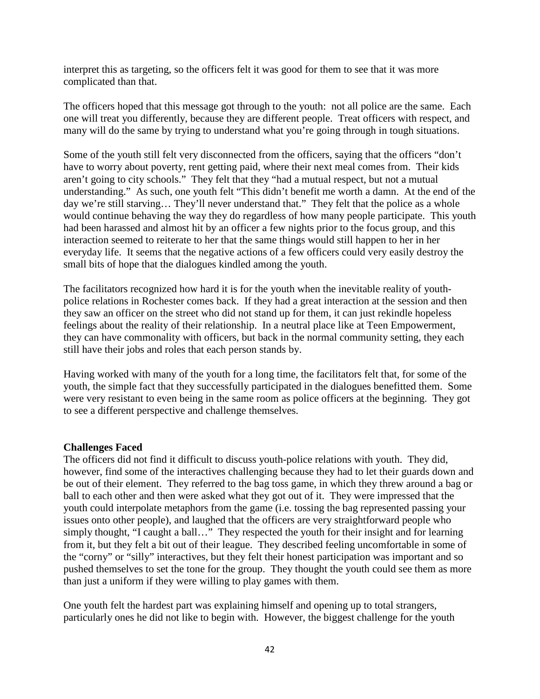interpret this as targeting, so the officers felt it was good for them to see that it was more complicated than that.

The officers hoped that this message got through to the youth: not all police are the same. Each one will treat you differently, because they are different people. Treat officers with respect, and many will do the same by trying to understand what you're going through in tough situations.

Some of the youth still felt very disconnected from the officers, saying that the officers "don't have to worry about poverty, rent getting paid, where their next meal comes from. Their kids aren't going to city schools." They felt that they "had a mutual respect, but not a mutual understanding." As such, one youth felt "This didn't benefit me worth a damn. At the end of the day we're still starving… They'll never understand that." They felt that the police as a whole would continue behaving the way they do regardless of how many people participate. This youth had been harassed and almost hit by an officer a few nights prior to the focus group, and this interaction seemed to reiterate to her that the same things would still happen to her in her everyday life. It seems that the negative actions of a few officers could very easily destroy the small bits of hope that the dialogues kindled among the youth.

The facilitators recognized how hard it is for the youth when the inevitable reality of youthpolice relations in Rochester comes back. If they had a great interaction at the session and then they saw an officer on the street who did not stand up for them, it can just rekindle hopeless feelings about the reality of their relationship. In a neutral place like at Teen Empowerment, they can have commonality with officers, but back in the normal community setting, they each still have their jobs and roles that each person stands by.

Having worked with many of the youth for a long time, the facilitators felt that, for some of the youth, the simple fact that they successfully participated in the dialogues benefitted them. Some were very resistant to even being in the same room as police officers at the beginning. They got to see a different perspective and challenge themselves.

#### **Challenges Faced**

The officers did not find it difficult to discuss youth-police relations with youth. They did, however, find some of the interactives challenging because they had to let their guards down and be out of their element. They referred to the bag toss game, in which they threw around a bag or ball to each other and then were asked what they got out of it. They were impressed that the youth could interpolate metaphors from the game (i.e. tossing the bag represented passing your issues onto other people), and laughed that the officers are very straightforward people who simply thought, "I caught a ball..." They respected the youth for their insight and for learning from it, but they felt a bit out of their league. They described feeling uncomfortable in some of the "corny" or "silly" interactives, but they felt their honest participation was important and so pushed themselves to set the tone for the group. They thought the youth could see them as more than just a uniform if they were willing to play games with them.

One youth felt the hardest part was explaining himself and opening up to total strangers, particularly ones he did not like to begin with. However, the biggest challenge for the youth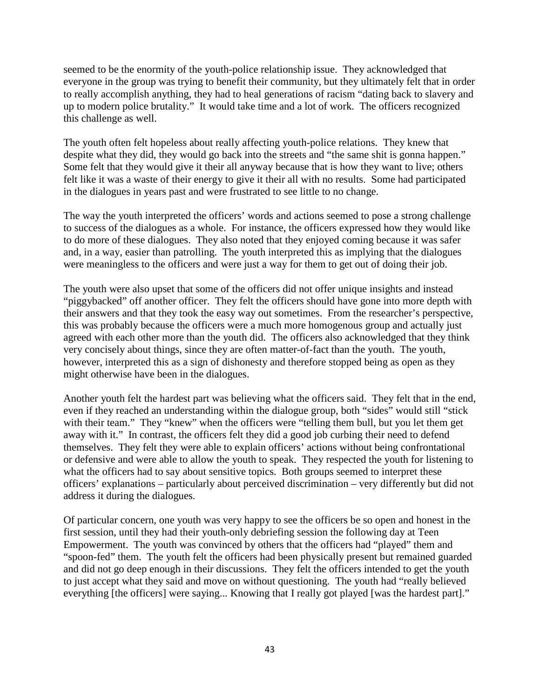seemed to be the enormity of the youth-police relationship issue. They acknowledged that everyone in the group was trying to benefit their community, but they ultimately felt that in order to really accomplish anything, they had to heal generations of racism "dating back to slavery and up to modern police brutality." It would take time and a lot of work. The officers recognized this challenge as well.

The youth often felt hopeless about really affecting youth-police relations. They knew that despite what they did, they would go back into the streets and "the same shit is gonna happen." Some felt that they would give it their all anyway because that is how they want to live; others felt like it was a waste of their energy to give it their all with no results. Some had participated in the dialogues in years past and were frustrated to see little to no change.

The way the youth interpreted the officers' words and actions seemed to pose a strong challenge to success of the dialogues as a whole. For instance, the officers expressed how they would like to do more of these dialogues. They also noted that they enjoyed coming because it was safer and, in a way, easier than patrolling. The youth interpreted this as implying that the dialogues were meaningless to the officers and were just a way for them to get out of doing their job.

The youth were also upset that some of the officers did not offer unique insights and instead "piggybacked" off another officer. They felt the officers should have gone into more depth with their answers and that they took the easy way out sometimes. From the researcher's perspective, this was probably because the officers were a much more homogenous group and actually just agreed with each other more than the youth did. The officers also acknowledged that they think very concisely about things, since they are often matter-of-fact than the youth. The youth, however, interpreted this as a sign of dishonesty and therefore stopped being as open as they might otherwise have been in the dialogues.

Another youth felt the hardest part was believing what the officers said. They felt that in the end, even if they reached an understanding within the dialogue group, both "sides" would still "stick with their team." They "knew" when the officers were "telling them bull, but you let them get away with it." In contrast, the officers felt they did a good job curbing their need to defend themselves. They felt they were able to explain officers' actions without being confrontational or defensive and were able to allow the youth to speak. They respected the youth for listening to what the officers had to say about sensitive topics. Both groups seemed to interpret these officers' explanations – particularly about perceived discrimination – very differently but did not address it during the dialogues.

Of particular concern, one youth was very happy to see the officers be so open and honest in the first session, until they had their youth-only debriefing session the following day at Teen Empowerment. The youth was convinced by others that the officers had "played" them and "spoon-fed" them. The youth felt the officers had been physically present but remained guarded and did not go deep enough in their discussions. They felt the officers intended to get the youth to just accept what they said and move on without questioning. The youth had "really believed everything [the officers] were saying... Knowing that I really got played [was the hardest part]."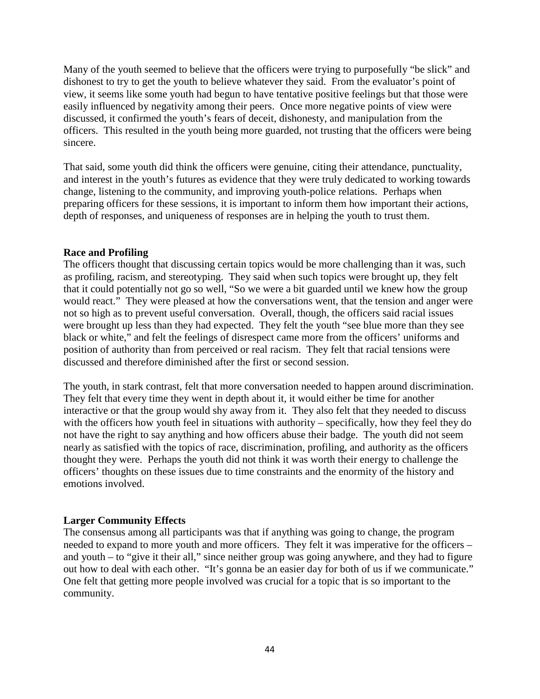Many of the youth seemed to believe that the officers were trying to purposefully "be slick" and dishonest to try to get the youth to believe whatever they said. From the evaluator's point of view, it seems like some youth had begun to have tentative positive feelings but that those were easily influenced by negativity among their peers. Once more negative points of view were discussed, it confirmed the youth's fears of deceit, dishonesty, and manipulation from the officers. This resulted in the youth being more guarded, not trusting that the officers were being sincere.

That said, some youth did think the officers were genuine, citing their attendance, punctuality, and interest in the youth's futures as evidence that they were truly dedicated to working towards change, listening to the community, and improving youth-police relations. Perhaps when preparing officers for these sessions, it is important to inform them how important their actions, depth of responses, and uniqueness of responses are in helping the youth to trust them.

#### **Race and Profiling**

The officers thought that discussing certain topics would be more challenging than it was, such as profiling, racism, and stereotyping. They said when such topics were brought up, they felt that it could potentially not go so well, "So we were a bit guarded until we knew how the group would react." They were pleased at how the conversations went, that the tension and anger were not so high as to prevent useful conversation. Overall, though, the officers said racial issues were brought up less than they had expected. They felt the youth "see blue more than they see black or white," and felt the feelings of disrespect came more from the officers' uniforms and position of authority than from perceived or real racism. They felt that racial tensions were discussed and therefore diminished after the first or second session.

The youth, in stark contrast, felt that more conversation needed to happen around discrimination. They felt that every time they went in depth about it, it would either be time for another interactive or that the group would shy away from it. They also felt that they needed to discuss with the officers how youth feel in situations with authority – specifically, how they feel they do not have the right to say anything and how officers abuse their badge. The youth did not seem nearly as satisfied with the topics of race, discrimination, profiling, and authority as the officers thought they were. Perhaps the youth did not think it was worth their energy to challenge the officers' thoughts on these issues due to time constraints and the enormity of the history and emotions involved.

#### **Larger Community Effects**

The consensus among all participants was that if anything was going to change, the program needed to expand to more youth and more officers. They felt it was imperative for the officers – and youth – to "give it their all," since neither group was going anywhere, and they had to figure out how to deal with each other. "It's gonna be an easier day for both of us if we communicate." One felt that getting more people involved was crucial for a topic that is so important to the community.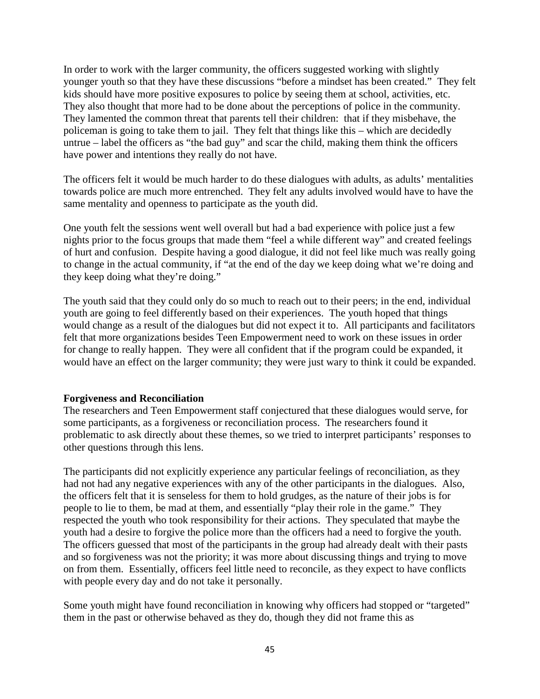In order to work with the larger community, the officers suggested working with slightly younger youth so that they have these discussions "before a mindset has been created." They felt kids should have more positive exposures to police by seeing them at school, activities, etc. They also thought that more had to be done about the perceptions of police in the community. They lamented the common threat that parents tell their children: that if they misbehave, the policeman is going to take them to jail. They felt that things like this – which are decidedly untrue – label the officers as "the bad guy" and scar the child, making them think the officers have power and intentions they really do not have.

The officers felt it would be much harder to do these dialogues with adults, as adults' mentalities towards police are much more entrenched. They felt any adults involved would have to have the same mentality and openness to participate as the youth did.

One youth felt the sessions went well overall but had a bad experience with police just a few nights prior to the focus groups that made them "feel a while different way" and created feelings of hurt and confusion. Despite having a good dialogue, it did not feel like much was really going to change in the actual community, if "at the end of the day we keep doing what we're doing and they keep doing what they're doing."

The youth said that they could only do so much to reach out to their peers; in the end, individual youth are going to feel differently based on their experiences. The youth hoped that things would change as a result of the dialogues but did not expect it to. All participants and facilitators felt that more organizations besides Teen Empowerment need to work on these issues in order for change to really happen. They were all confident that if the program could be expanded, it would have an effect on the larger community; they were just wary to think it could be expanded.

## **Forgiveness and Reconciliation**

The researchers and Teen Empowerment staff conjectured that these dialogues would serve, for some participants, as a forgiveness or reconciliation process. The researchers found it problematic to ask directly about these themes, so we tried to interpret participants' responses to other questions through this lens.

The participants did not explicitly experience any particular feelings of reconciliation, as they had not had any negative experiences with any of the other participants in the dialogues. Also, the officers felt that it is senseless for them to hold grudges, as the nature of their jobs is for people to lie to them, be mad at them, and essentially "play their role in the game." They respected the youth who took responsibility for their actions. They speculated that maybe the youth had a desire to forgive the police more than the officers had a need to forgive the youth. The officers guessed that most of the participants in the group had already dealt with their pasts and so forgiveness was not the priority; it was more about discussing things and trying to move on from them. Essentially, officers feel little need to reconcile, as they expect to have conflicts with people every day and do not take it personally.

Some youth might have found reconciliation in knowing why officers had stopped or "targeted" them in the past or otherwise behaved as they do, though they did not frame this as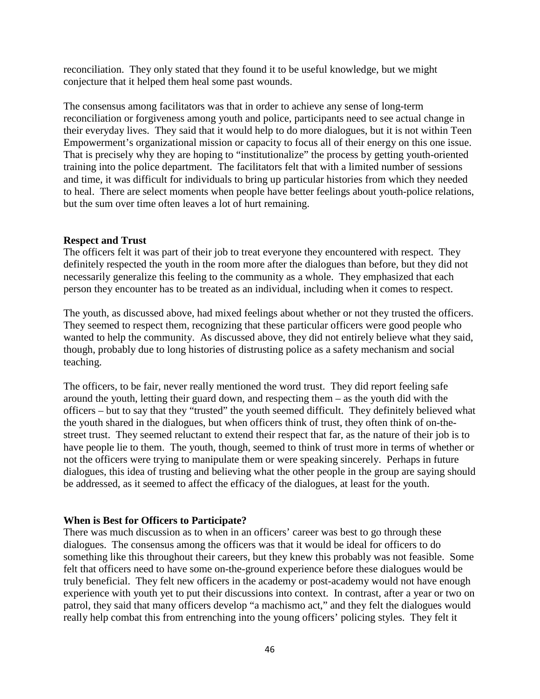reconciliation. They only stated that they found it to be useful knowledge, but we might conjecture that it helped them heal some past wounds.

The consensus among facilitators was that in order to achieve any sense of long-term reconciliation or forgiveness among youth and police, participants need to see actual change in their everyday lives. They said that it would help to do more dialogues, but it is not within Teen Empowerment's organizational mission or capacity to focus all of their energy on this one issue. That is precisely why they are hoping to "institutionalize" the process by getting youth-oriented training into the police department. The facilitators felt that with a limited number of sessions and time, it was difficult for individuals to bring up particular histories from which they needed to heal. There are select moments when people have better feelings about youth-police relations, but the sum over time often leaves a lot of hurt remaining.

## **Respect and Trust**

The officers felt it was part of their job to treat everyone they encountered with respect. They definitely respected the youth in the room more after the dialogues than before, but they did not necessarily generalize this feeling to the community as a whole. They emphasized that each person they encounter has to be treated as an individual, including when it comes to respect.

The youth, as discussed above, had mixed feelings about whether or not they trusted the officers. They seemed to respect them, recognizing that these particular officers were good people who wanted to help the community. As discussed above, they did not entirely believe what they said, though, probably due to long histories of distrusting police as a safety mechanism and social teaching.

The officers, to be fair, never really mentioned the word trust. They did report feeling safe around the youth, letting their guard down, and respecting them – as the youth did with the officers – but to say that they "trusted" the youth seemed difficult. They definitely believed what the youth shared in the dialogues, but when officers think of trust, they often think of on-thestreet trust. They seemed reluctant to extend their respect that far, as the nature of their job is to have people lie to them. The youth, though, seemed to think of trust more in terms of whether or not the officers were trying to manipulate them or were speaking sincerely. Perhaps in future dialogues, this idea of trusting and believing what the other people in the group are saying should be addressed, as it seemed to affect the efficacy of the dialogues, at least for the youth.

## **When is Best for Officers to Participate?**

There was much discussion as to when in an officers' career was best to go through these dialogues. The consensus among the officers was that it would be ideal for officers to do something like this throughout their careers, but they knew this probably was not feasible. Some felt that officers need to have some on-the-ground experience before these dialogues would be truly beneficial. They felt new officers in the academy or post-academy would not have enough experience with youth yet to put their discussions into context. In contrast, after a year or two on patrol, they said that many officers develop "a machismo act," and they felt the dialogues would really help combat this from entrenching into the young officers' policing styles. They felt it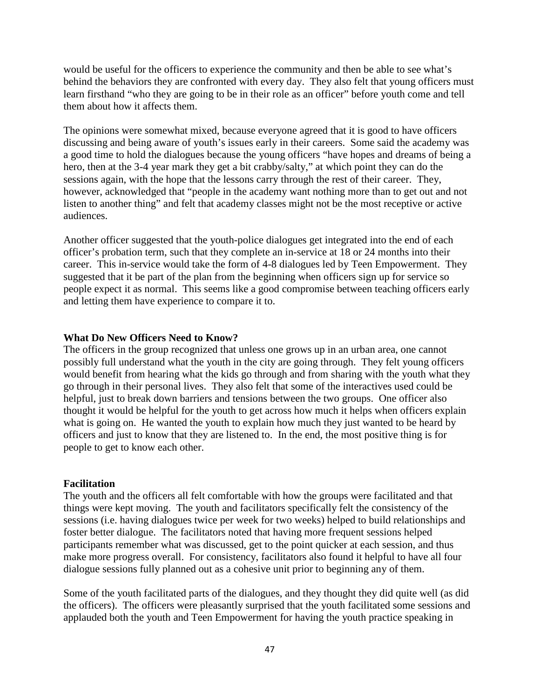would be useful for the officers to experience the community and then be able to see what's behind the behaviors they are confronted with every day. They also felt that young officers must learn firsthand "who they are going to be in their role as an officer" before youth come and tell them about how it affects them.

The opinions were somewhat mixed, because everyone agreed that it is good to have officers discussing and being aware of youth's issues early in their careers. Some said the academy was a good time to hold the dialogues because the young officers "have hopes and dreams of being a hero, then at the 3-4 year mark they get a bit crabby/salty," at which point they can do the sessions again, with the hope that the lessons carry through the rest of their career. They, however, acknowledged that "people in the academy want nothing more than to get out and not listen to another thing" and felt that academy classes might not be the most receptive or active audiences.

Another officer suggested that the youth-police dialogues get integrated into the end of each officer's probation term, such that they complete an in-service at 18 or 24 months into their career. This in-service would take the form of 4-8 dialogues led by Teen Empowerment. They suggested that it be part of the plan from the beginning when officers sign up for service so people expect it as normal. This seems like a good compromise between teaching officers early and letting them have experience to compare it to.

## **What Do New Officers Need to Know?**

The officers in the group recognized that unless one grows up in an urban area, one cannot possibly full understand what the youth in the city are going through. They felt young officers would benefit from hearing what the kids go through and from sharing with the youth what they go through in their personal lives. They also felt that some of the interactives used could be helpful, just to break down barriers and tensions between the two groups. One officer also thought it would be helpful for the youth to get across how much it helps when officers explain what is going on. He wanted the youth to explain how much they just wanted to be heard by officers and just to know that they are listened to. In the end, the most positive thing is for people to get to know each other.

## **Facilitation**

The youth and the officers all felt comfortable with how the groups were facilitated and that things were kept moving. The youth and facilitators specifically felt the consistency of the sessions (i.e. having dialogues twice per week for two weeks) helped to build relationships and foster better dialogue. The facilitators noted that having more frequent sessions helped participants remember what was discussed, get to the point quicker at each session, and thus make more progress overall. For consistency, facilitators also found it helpful to have all four dialogue sessions fully planned out as a cohesive unit prior to beginning any of them.

Some of the youth facilitated parts of the dialogues, and they thought they did quite well (as did the officers). The officers were pleasantly surprised that the youth facilitated some sessions and applauded both the youth and Teen Empowerment for having the youth practice speaking in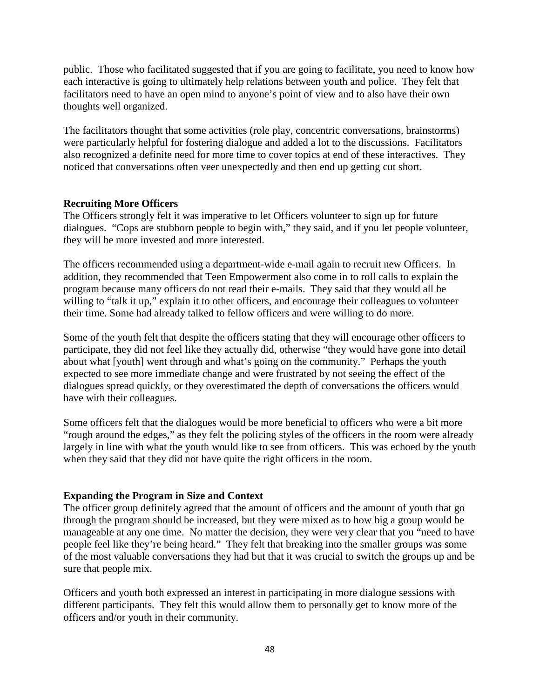public. Those who facilitated suggested that if you are going to facilitate, you need to know how each interactive is going to ultimately help relations between youth and police. They felt that facilitators need to have an open mind to anyone's point of view and to also have their own thoughts well organized.

The facilitators thought that some activities (role play, concentric conversations, brainstorms) were particularly helpful for fostering dialogue and added a lot to the discussions. Facilitators also recognized a definite need for more time to cover topics at end of these interactives. They noticed that conversations often veer unexpectedly and then end up getting cut short.

## **Recruiting More Officers**

The Officers strongly felt it was imperative to let Officers volunteer to sign up for future dialogues. "Cops are stubborn people to begin with," they said, and if you let people volunteer, they will be more invested and more interested.

The officers recommended using a department-wide e-mail again to recruit new Officers. In addition, they recommended that Teen Empowerment also come in to roll calls to explain the program because many officers do not read their e-mails. They said that they would all be willing to "talk it up," explain it to other officers, and encourage their colleagues to volunteer their time. Some had already talked to fellow officers and were willing to do more.

Some of the youth felt that despite the officers stating that they will encourage other officers to participate, they did not feel like they actually did, otherwise "they would have gone into detail about what [youth] went through and what's going on the community." Perhaps the youth expected to see more immediate change and were frustrated by not seeing the effect of the dialogues spread quickly, or they overestimated the depth of conversations the officers would have with their colleagues.

Some officers felt that the dialogues would be more beneficial to officers who were a bit more "rough around the edges," as they felt the policing styles of the officers in the room were already largely in line with what the youth would like to see from officers. This was echoed by the youth when they said that they did not have quite the right officers in the room.

## **Expanding the Program in Size and Context**

The officer group definitely agreed that the amount of officers and the amount of youth that go through the program should be increased, but they were mixed as to how big a group would be manageable at any one time. No matter the decision, they were very clear that you "need to have people feel like they're being heard." They felt that breaking into the smaller groups was some of the most valuable conversations they had but that it was crucial to switch the groups up and be sure that people mix.

Officers and youth both expressed an interest in participating in more dialogue sessions with different participants. They felt this would allow them to personally get to know more of the officers and/or youth in their community.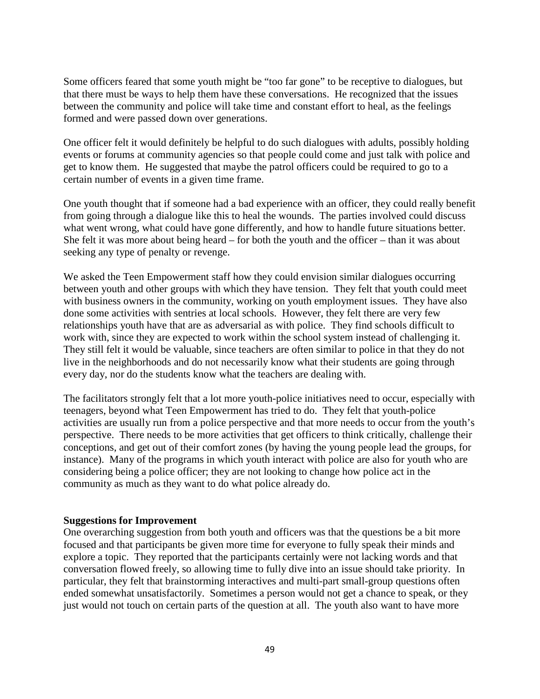Some officers feared that some youth might be "too far gone" to be receptive to dialogues, but that there must be ways to help them have these conversations. He recognized that the issues between the community and police will take time and constant effort to heal, as the feelings formed and were passed down over generations.

One officer felt it would definitely be helpful to do such dialogues with adults, possibly holding events or forums at community agencies so that people could come and just talk with police and get to know them. He suggested that maybe the patrol officers could be required to go to a certain number of events in a given time frame.

One youth thought that if someone had a bad experience with an officer, they could really benefit from going through a dialogue like this to heal the wounds. The parties involved could discuss what went wrong, what could have gone differently, and how to handle future situations better. She felt it was more about being heard – for both the youth and the officer – than it was about seeking any type of penalty or revenge.

We asked the Teen Empowerment staff how they could envision similar dialogues occurring between youth and other groups with which they have tension. They felt that youth could meet with business owners in the community, working on youth employment issues. They have also done some activities with sentries at local schools. However, they felt there are very few relationships youth have that are as adversarial as with police. They find schools difficult to work with, since they are expected to work within the school system instead of challenging it. They still felt it would be valuable, since teachers are often similar to police in that they do not live in the neighborhoods and do not necessarily know what their students are going through every day, nor do the students know what the teachers are dealing with.

The facilitators strongly felt that a lot more youth-police initiatives need to occur, especially with teenagers, beyond what Teen Empowerment has tried to do. They felt that youth-police activities are usually run from a police perspective and that more needs to occur from the youth's perspective. There needs to be more activities that get officers to think critically, challenge their conceptions, and get out of their comfort zones (by having the young people lead the groups, for instance). Many of the programs in which youth interact with police are also for youth who are considering being a police officer; they are not looking to change how police act in the community as much as they want to do what police already do.

#### **Suggestions for Improvement**

One overarching suggestion from both youth and officers was that the questions be a bit more focused and that participants be given more time for everyone to fully speak their minds and explore a topic. They reported that the participants certainly were not lacking words and that conversation flowed freely, so allowing time to fully dive into an issue should take priority. In particular, they felt that brainstorming interactives and multi-part small-group questions often ended somewhat unsatisfactorily. Sometimes a person would not get a chance to speak, or they just would not touch on certain parts of the question at all. The youth also want to have more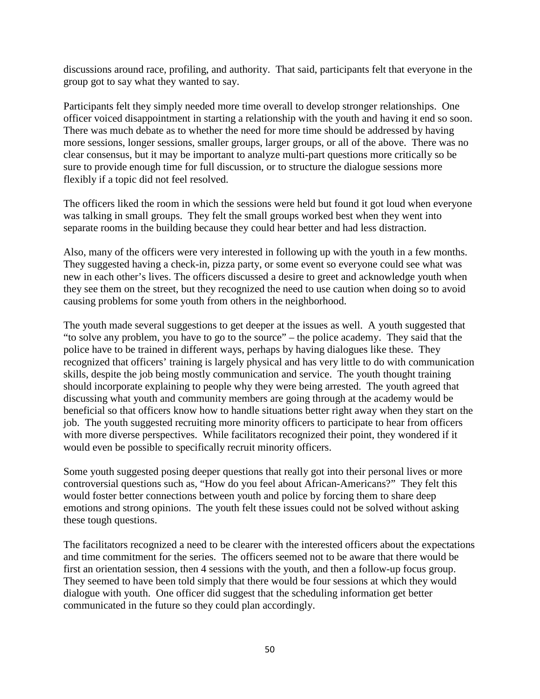discussions around race, profiling, and authority. That said, participants felt that everyone in the group got to say what they wanted to say.

Participants felt they simply needed more time overall to develop stronger relationships. One officer voiced disappointment in starting a relationship with the youth and having it end so soon. There was much debate as to whether the need for more time should be addressed by having more sessions, longer sessions, smaller groups, larger groups, or all of the above. There was no clear consensus, but it may be important to analyze multi-part questions more critically so be sure to provide enough time for full discussion, or to structure the dialogue sessions more flexibly if a topic did not feel resolved.

The officers liked the room in which the sessions were held but found it got loud when everyone was talking in small groups. They felt the small groups worked best when they went into separate rooms in the building because they could hear better and had less distraction.

Also, many of the officers were very interested in following up with the youth in a few months. They suggested having a check-in, pizza party, or some event so everyone could see what was new in each other's lives. The officers discussed a desire to greet and acknowledge youth when they see them on the street, but they recognized the need to use caution when doing so to avoid causing problems for some youth from others in the neighborhood.

The youth made several suggestions to get deeper at the issues as well. A youth suggested that "to solve any problem, you have to go to the source" – the police academy. They said that the police have to be trained in different ways, perhaps by having dialogues like these. They recognized that officers' training is largely physical and has very little to do with communication skills, despite the job being mostly communication and service. The youth thought training should incorporate explaining to people why they were being arrested. The youth agreed that discussing what youth and community members are going through at the academy would be beneficial so that officers know how to handle situations better right away when they start on the job. The youth suggested recruiting more minority officers to participate to hear from officers with more diverse perspectives. While facilitators recognized their point, they wondered if it would even be possible to specifically recruit minority officers.

Some youth suggested posing deeper questions that really got into their personal lives or more controversial questions such as, "How do you feel about African-Americans?" They felt this would foster better connections between youth and police by forcing them to share deep emotions and strong opinions. The youth felt these issues could not be solved without asking these tough questions.

The facilitators recognized a need to be clearer with the interested officers about the expectations and time commitment for the series. The officers seemed not to be aware that there would be first an orientation session, then 4 sessions with the youth, and then a follow-up focus group. They seemed to have been told simply that there would be four sessions at which they would dialogue with youth. One officer did suggest that the scheduling information get better communicated in the future so they could plan accordingly.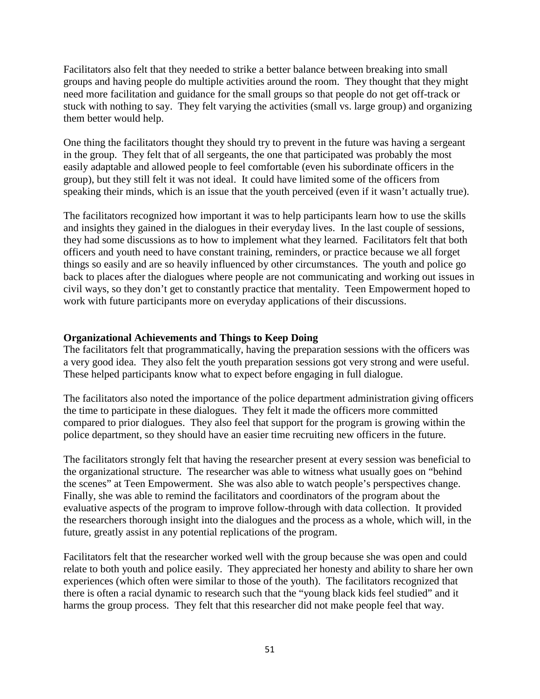Facilitators also felt that they needed to strike a better balance between breaking into small groups and having people do multiple activities around the room. They thought that they might need more facilitation and guidance for the small groups so that people do not get off-track or stuck with nothing to say. They felt varying the activities (small vs. large group) and organizing them better would help.

One thing the facilitators thought they should try to prevent in the future was having a sergeant in the group. They felt that of all sergeants, the one that participated was probably the most easily adaptable and allowed people to feel comfortable (even his subordinate officers in the group), but they still felt it was not ideal. It could have limited some of the officers from speaking their minds, which is an issue that the youth perceived (even if it wasn't actually true).

The facilitators recognized how important it was to help participants learn how to use the skills and insights they gained in the dialogues in their everyday lives. In the last couple of sessions, they had some discussions as to how to implement what they learned. Facilitators felt that both officers and youth need to have constant training, reminders, or practice because we all forget things so easily and are so heavily influenced by other circumstances. The youth and police go back to places after the dialogues where people are not communicating and working out issues in civil ways, so they don't get to constantly practice that mentality. Teen Empowerment hoped to work with future participants more on everyday applications of their discussions.

## **Organizational Achievements and Things to Keep Doing**

The facilitators felt that programmatically, having the preparation sessions with the officers was a very good idea. They also felt the youth preparation sessions got very strong and were useful. These helped participants know what to expect before engaging in full dialogue.

The facilitators also noted the importance of the police department administration giving officers the time to participate in these dialogues. They felt it made the officers more committed compared to prior dialogues. They also feel that support for the program is growing within the police department, so they should have an easier time recruiting new officers in the future.

The facilitators strongly felt that having the researcher present at every session was beneficial to the organizational structure. The researcher was able to witness what usually goes on "behind the scenes" at Teen Empowerment. She was also able to watch people's perspectives change. Finally, she was able to remind the facilitators and coordinators of the program about the evaluative aspects of the program to improve follow-through with data collection. It provided the researchers thorough insight into the dialogues and the process as a whole, which will, in the future, greatly assist in any potential replications of the program.

Facilitators felt that the researcher worked well with the group because she was open and could relate to both youth and police easily. They appreciated her honesty and ability to share her own experiences (which often were similar to those of the youth). The facilitators recognized that there is often a racial dynamic to research such that the "young black kids feel studied" and it harms the group process. They felt that this researcher did not make people feel that way.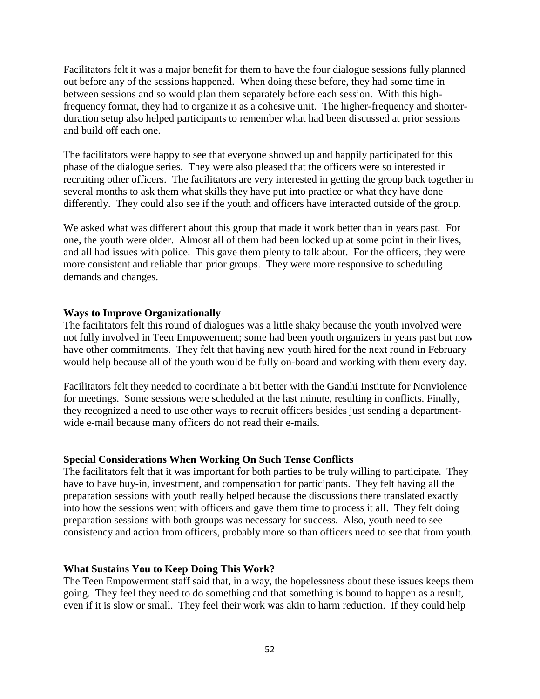Facilitators felt it was a major benefit for them to have the four dialogue sessions fully planned out before any of the sessions happened. When doing these before, they had some time in between sessions and so would plan them separately before each session. With this highfrequency format, they had to organize it as a cohesive unit. The higher-frequency and shorterduration setup also helped participants to remember what had been discussed at prior sessions and build off each one.

The facilitators were happy to see that everyone showed up and happily participated for this phase of the dialogue series. They were also pleased that the officers were so interested in recruiting other officers. The facilitators are very interested in getting the group back together in several months to ask them what skills they have put into practice or what they have done differently. They could also see if the youth and officers have interacted outside of the group.

We asked what was different about this group that made it work better than in years past. For one, the youth were older. Almost all of them had been locked up at some point in their lives, and all had issues with police. This gave them plenty to talk about. For the officers, they were more consistent and reliable than prior groups. They were more responsive to scheduling demands and changes.

## **Ways to Improve Organizationally**

The facilitators felt this round of dialogues was a little shaky because the youth involved were not fully involved in Teen Empowerment; some had been youth organizers in years past but now have other commitments. They felt that having new youth hired for the next round in February would help because all of the youth would be fully on-board and working with them every day.

Facilitators felt they needed to coordinate a bit better with the Gandhi Institute for Nonviolence for meetings. Some sessions were scheduled at the last minute, resulting in conflicts. Finally, they recognized a need to use other ways to recruit officers besides just sending a departmentwide e-mail because many officers do not read their e-mails.

#### **Special Considerations When Working On Such Tense Conflicts**

The facilitators felt that it was important for both parties to be truly willing to participate. They have to have buy-in, investment, and compensation for participants. They felt having all the preparation sessions with youth really helped because the discussions there translated exactly into how the sessions went with officers and gave them time to process it all. They felt doing preparation sessions with both groups was necessary for success. Also, youth need to see consistency and action from officers, probably more so than officers need to see that from youth.

#### **What Sustains You to Keep Doing This Work?**

The Teen Empowerment staff said that, in a way, the hopelessness about these issues keeps them going. They feel they need to do something and that something is bound to happen as a result, even if it is slow or small. They feel their work was akin to harm reduction. If they could help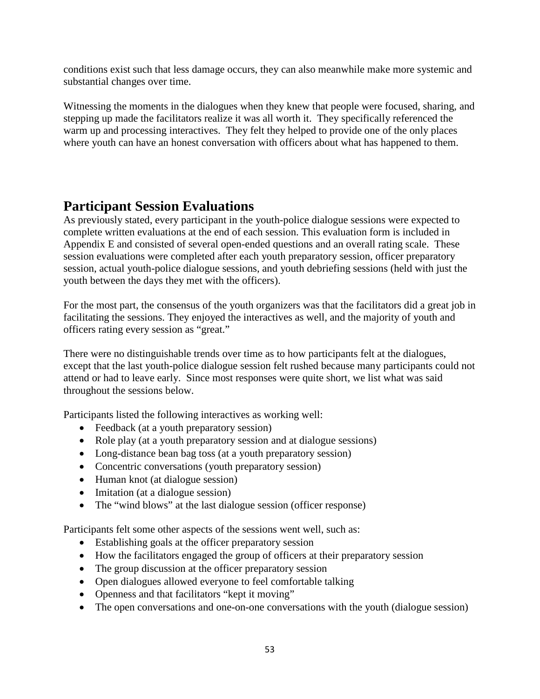conditions exist such that less damage occurs, they can also meanwhile make more systemic and substantial changes over time.

Witnessing the moments in the dialogues when they knew that people were focused, sharing, and stepping up made the facilitators realize it was all worth it. They specifically referenced the warm up and processing interactives. They felt they helped to provide one of the only places where youth can have an honest conversation with officers about what has happened to them.

# **Participant Session Evaluations**

As previously stated, every participant in the youth-police dialogue sessions were expected to complete written evaluations at the end of each session. This evaluation form is included in Appendix E and consisted of several open-ended questions and an overall rating scale. These session evaluations were completed after each youth preparatory session, officer preparatory session, actual youth-police dialogue sessions, and youth debriefing sessions (held with just the youth between the days they met with the officers).

For the most part, the consensus of the youth organizers was that the facilitators did a great job in facilitating the sessions. They enjoyed the interactives as well, and the majority of youth and officers rating every session as "great."

There were no distinguishable trends over time as to how participants felt at the dialogues, except that the last youth-police dialogue session felt rushed because many participants could not attend or had to leave early. Since most responses were quite short, we list what was said throughout the sessions below.

Participants listed the following interactives as working well:

- Feedback (at a youth preparatory session)
- Role play (at a youth preparatory session and at dialogue sessions)
- Long-distance bean bag toss (at a youth preparatory session)
- Concentric conversations (youth preparatory session)
- Human knot (at dialogue session)
- Imitation (at a dialogue session)
- The "wind blows" at the last dialogue session (officer response)

Participants felt some other aspects of the sessions went well, such as:

- Establishing goals at the officer preparatory session
- How the facilitators engaged the group of officers at their preparatory session
- The group discussion at the officer preparatory session
- Open dialogues allowed everyone to feel comfortable talking
- Openness and that facilitators "kept it moving"
- The open conversations and one-on-one conversations with the youth (dialogue session)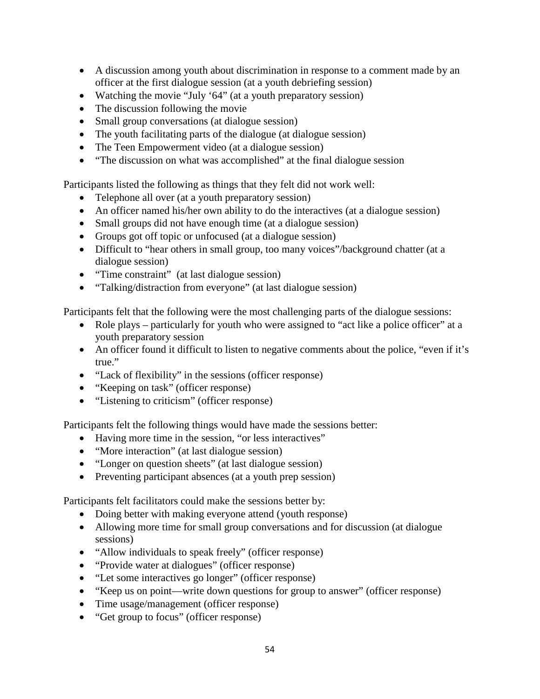- A discussion among youth about discrimination in response to a comment made by an officer at the first dialogue session (at a youth debriefing session)
- Watching the movie "July '64" (at a youth preparatory session)
- The discussion following the movie
- Small group conversations (at dialogue session)
- The youth facilitating parts of the dialogue (at dialogue session)
- The Teen Empowerment video (at a dialogue session)
- "The discussion on what was accomplished" at the final dialogue session

Participants listed the following as things that they felt did not work well:

- Telephone all over (at a youth preparatory session)
- An officer named his/her own ability to do the interactives (at a dialogue session)
- Small groups did not have enough time (at a dialogue session)
- Groups got off topic or unfocused (at a dialogue session)
- Difficult to "hear others in small group, too many voices"/background chatter (at a dialogue session)
- "Time constraint" (at last dialogue session)
- "Talking/distraction from everyone" (at last dialogue session)

Participants felt that the following were the most challenging parts of the dialogue sessions:

- Role plays particularly for youth who were assigned to "act like a police officer" at a youth preparatory session
- An officer found it difficult to listen to negative comments about the police, "even if it's true."
- "Lack of flexibility" in the sessions (officer response)
- "Keeping on task" (officer response)
- "Listening to criticism" (officer response)

Participants felt the following things would have made the sessions better:

- Having more time in the session, "or less interactives"
- "More interaction" (at last dialogue session)
- "Longer on question sheets" (at last dialogue session)
- Preventing participant absences (at a youth prep session)

Participants felt facilitators could make the sessions better by:

- Doing better with making everyone attend (youth response)
- Allowing more time for small group conversations and for discussion (at dialogue sessions)
- "Allow individuals to speak freely" (officer response)
- "Provide water at dialogues" (officer response)
- "Let some interactives go longer" (officer response)
- "Keep us on point—write down questions for group to answer" (officer response)
- Time usage/management (officer response)
- "Get group to focus" (officer response)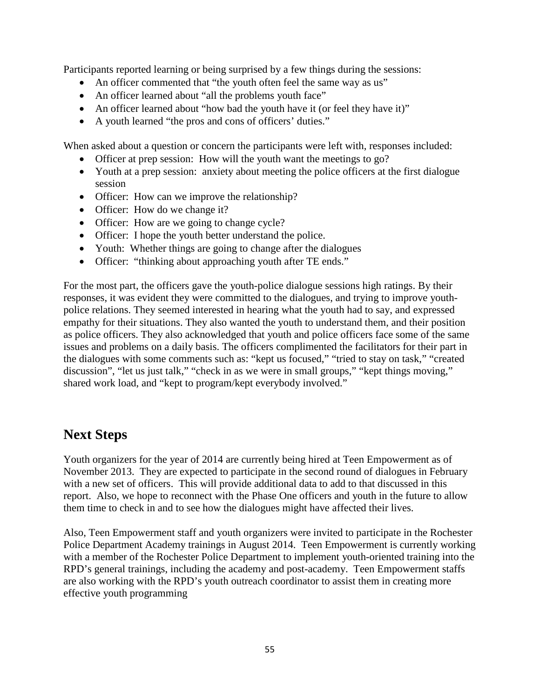Participants reported learning or being surprised by a few things during the sessions:

- An officer commented that "the youth often feel the same way as us"
- An officer learned about "all the problems youth face"
- An officer learned about "how bad the youth have it (or feel they have it)"
- A youth learned "the pros and cons of officers' duties."

When asked about a question or concern the participants were left with, responses included:

- Officer at prep session: How will the youth want the meetings to go?
- Youth at a prep session: anxiety about meeting the police officers at the first dialogue session
- Officer: How can we improve the relationship?
- Officer: How do we change it?
- Officer: How are we going to change cycle?
- Officer: I hope the youth better understand the police.
- Youth: Whether things are going to change after the dialogues
- Officer: "thinking about approaching youth after TE ends."

For the most part, the officers gave the youth-police dialogue sessions high ratings. By their responses, it was evident they were committed to the dialogues, and trying to improve youthpolice relations. They seemed interested in hearing what the youth had to say, and expressed empathy for their situations. They also wanted the youth to understand them, and their position as police officers. They also acknowledged that youth and police officers face some of the same issues and problems on a daily basis. The officers complimented the facilitators for their part in the dialogues with some comments such as: "kept us focused," "tried to stay on task," "created discussion", "let us just talk," "check in as we were in small groups," "kept things moving," shared work load, and "kept to program/kept everybody involved."

# **Next Steps**

Youth organizers for the year of 2014 are currently being hired at Teen Empowerment as of November 2013. They are expected to participate in the second round of dialogues in February with a new set of officers. This will provide additional data to add to that discussed in this report. Also, we hope to reconnect with the Phase One officers and youth in the future to allow them time to check in and to see how the dialogues might have affected their lives.

Also, Teen Empowerment staff and youth organizers were invited to participate in the Rochester Police Department Academy trainings in August 2014. Teen Empowerment is currently working with a member of the Rochester Police Department to implement youth-oriented training into the RPD's general trainings, including the academy and post-academy. Teen Empowerment staffs are also working with the RPD's youth outreach coordinator to assist them in creating more effective youth programming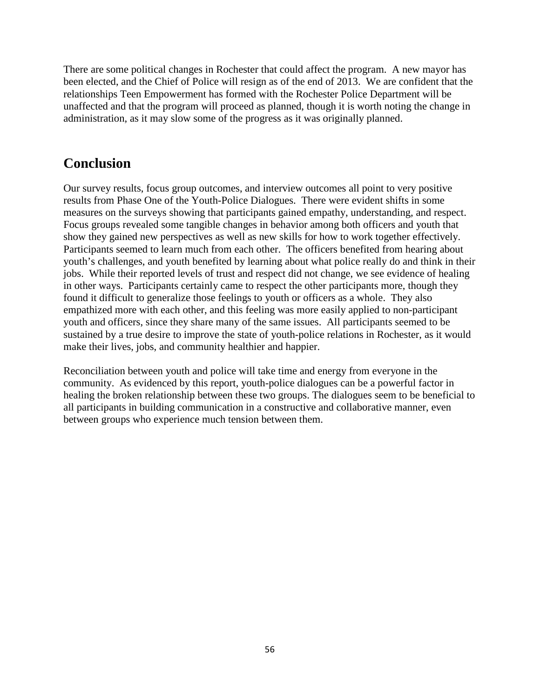There are some political changes in Rochester that could affect the program. A new mayor has been elected, and the Chief of Police will resign as of the end of 2013. We are confident that the relationships Teen Empowerment has formed with the Rochester Police Department will be unaffected and that the program will proceed as planned, though it is worth noting the change in administration, as it may slow some of the progress as it was originally planned.

# **Conclusion**

Our survey results, focus group outcomes, and interview outcomes all point to very positive results from Phase One of the Youth-Police Dialogues. There were evident shifts in some measures on the surveys showing that participants gained empathy, understanding, and respect. Focus groups revealed some tangible changes in behavior among both officers and youth that show they gained new perspectives as well as new skills for how to work together effectively. Participants seemed to learn much from each other. The officers benefited from hearing about youth's challenges, and youth benefited by learning about what police really do and think in their jobs. While their reported levels of trust and respect did not change, we see evidence of healing in other ways. Participants certainly came to respect the other participants more, though they found it difficult to generalize those feelings to youth or officers as a whole. They also empathized more with each other, and this feeling was more easily applied to non-participant youth and officers, since they share many of the same issues. All participants seemed to be sustained by a true desire to improve the state of youth-police relations in Rochester, as it would make their lives, jobs, and community healthier and happier.

Reconciliation between youth and police will take time and energy from everyone in the community. As evidenced by this report, youth-police dialogues can be a powerful factor in healing the broken relationship between these two groups. The dialogues seem to be beneficial to all participants in building communication in a constructive and collaborative manner, even between groups who experience much tension between them.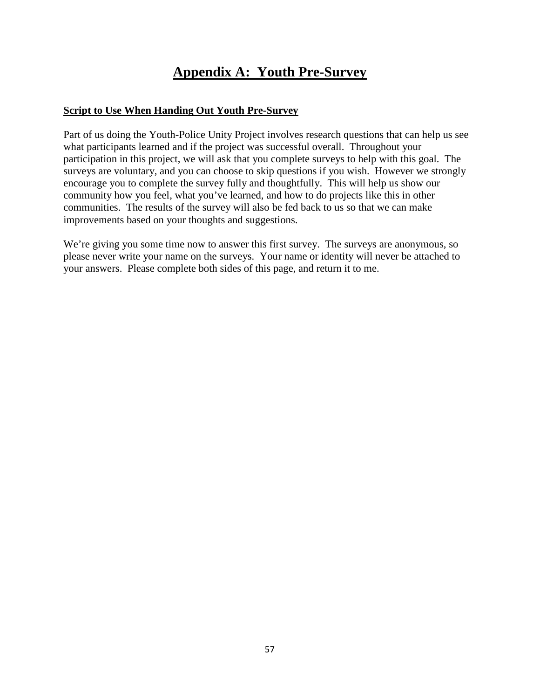# **Appendix A: Youth Pre-Survey**

## **Script to Use When Handing Out Youth Pre-Survey**

Part of us doing the Youth-Police Unity Project involves research questions that can help us see what participants learned and if the project was successful overall. Throughout your participation in this project, we will ask that you complete surveys to help with this goal. The surveys are voluntary, and you can choose to skip questions if you wish. However we strongly encourage you to complete the survey fully and thoughtfully. This will help us show our community how you feel, what you've learned, and how to do projects like this in other communities. The results of the survey will also be fed back to us so that we can make improvements based on your thoughts and suggestions.

We're giving you some time now to answer this first survey. The surveys are anonymous, so please never write your name on the surveys. Your name or identity will never be attached to your answers. Please complete both sides of this page, and return it to me.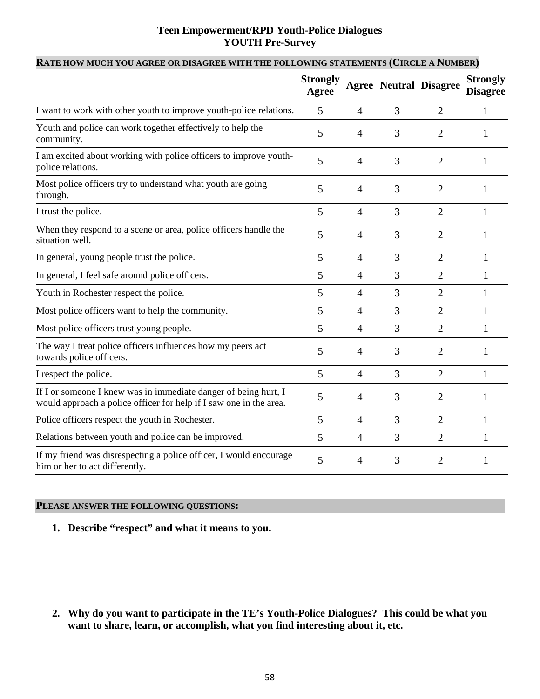## **Teen Empowerment/RPD Youth-Police Dialogues YOUTH Pre-Survey**

|                                                                                                                                       | <b>Strongly</b><br>Agree |                |   | <b>Agree Neutral Disagree</b> | <b>Strongly</b><br><b>Disagree</b> |
|---------------------------------------------------------------------------------------------------------------------------------------|--------------------------|----------------|---|-------------------------------|------------------------------------|
| I want to work with other youth to improve youth-police relations.                                                                    | 5                        | $\overline{4}$ | 3 | $\overline{2}$                | $\mathbf{1}$                       |
| Youth and police can work together effectively to help the<br>community.                                                              | 5                        | $\overline{4}$ | 3 | $\overline{2}$                | 1                                  |
| I am excited about working with police officers to improve youth-<br>police relations.                                                | 5                        | $\overline{4}$ | 3 | $\overline{2}$                | 1                                  |
| Most police officers try to understand what youth are going<br>through.                                                               | 5                        | $\overline{4}$ | 3 | 2                             | 1                                  |
| I trust the police.                                                                                                                   | 5                        | $\overline{4}$ | 3 | $\overline{2}$                | $\mathbf{1}$                       |
| When they respond to a scene or area, police officers handle the<br>situation well.                                                   | 5                        | $\overline{4}$ | 3 | 2                             | 1                                  |
| In general, young people trust the police.                                                                                            | 5                        | $\overline{4}$ | 3 | $\overline{2}$                | $\mathbf{1}$                       |
| In general, I feel safe around police officers.                                                                                       | 5                        | $\overline{4}$ | 3 | 2                             | 1                                  |
| Youth in Rochester respect the police.                                                                                                | 5                        | $\overline{4}$ | 3 | $\overline{2}$                | $\mathbf 1$                        |
| Most police officers want to help the community.                                                                                      | 5                        | $\overline{4}$ | 3 | $\overline{2}$                | 1                                  |
| Most police officers trust young people.                                                                                              | 5                        | $\overline{4}$ | 3 | $\overline{2}$                | 1                                  |
| The way I treat police officers influences how my peers act<br>towards police officers.                                               | 5                        | $\overline{4}$ | 3 | $\overline{2}$                | 1                                  |
| I respect the police.                                                                                                                 | 5                        | $\overline{4}$ | 3 | $\overline{2}$                | $\mathbf{1}$                       |
| If I or someone I knew was in immediate danger of being hurt, I<br>would approach a police officer for help if I saw one in the area. | 5                        | 4              | 3 | $\overline{2}$                | 1                                  |
| Police officers respect the youth in Rochester.                                                                                       | 5                        | $\overline{4}$ | 3 | $\overline{2}$                | 1                                  |
| Relations between youth and police can be improved.                                                                                   | 5                        | $\overline{4}$ | 3 | $\overline{2}$                | 1                                  |
| If my friend was disrespecting a police officer, I would encourage<br>him or her to act differently.                                  | 5                        | 4              | 3 | 2                             | 1                                  |

## **RATE HOW MUCH YOU AGREE OR DISAGREE WITH THE FOLLOWING STATEMENTS (CIRCLE A NUMBER)**

## **PLEASE ANSWER THE FOLLOWING QUESTIONS:**

## **1. Describe "respect" and what it means to you.**

**2. Why do you want to participate in the TE's Youth-Police Dialogues? This could be what you want to share, learn, or accomplish, what you find interesting about it, etc.**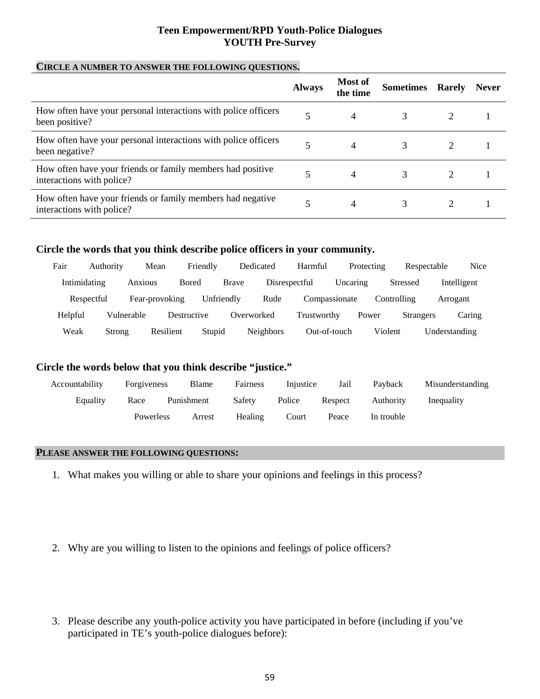## **Teen Empowerment/RPD Youth-Police Dialogues YOUTH Pre-Survey**

#### **CIRCLE A NUMBER TO ANSWER THE FOLLOWING QUESTIONS.**

|                                                                                         | <b>Always</b> | <b>Most of</b><br>the time | <b>Sometimes</b> Rarely | <b>Never</b> |
|-----------------------------------------------------------------------------------------|---------------|----------------------------|-------------------------|--------------|
| How often have your personal interactions with police officers<br>been positive?        |               | 4                          | 3                       |              |
| How often have your personal interactions with police officers<br>been negative?        |               | 4                          | 3                       |              |
| How often have your friends or family members had positive<br>interactions with police? |               | 4                          |                         |              |
| How often have your friends or family members had negative<br>interactions with police? |               | 4                          | 3                       |              |

## **Circle the words that you think describe police officers in your community.**

| Fair    | Authority    |            | Mean           | Friendly   | Dedicated    |                  | Harmful       |          | Protecting | Respectable      |               | Nice   |
|---------|--------------|------------|----------------|------------|--------------|------------------|---------------|----------|------------|------------------|---------------|--------|
|         | Intimidating | Anxious    | Bored          |            | <b>Brave</b> | Disrespectful    |               | Uncaring |            | <b>Stressed</b>  | Intelligent   |        |
|         | Respectful   |            | Fear-provoking | Unfriendly |              | Rude             | Compassionate |          |            | Controlling      | Arrogant      |        |
| Helpful |              | Vulnerable | Destructive    |            | Overworked   |                  | Trustworthy   |          | Power      | <b>Strangers</b> |               | Caring |
| Weak    | Strong       |            | Resilient      | Stupid     |              | <b>Neighbors</b> | Out-of-touch  |          | Violent    |                  | Understanding |        |

## **Circle the words below that you think describe "justice."**

| Accountability | Forgiveness        | Blame  | Fairness | Injustice | Jail    | Payback    | Misunderstanding |
|----------------|--------------------|--------|----------|-----------|---------|------------|------------------|
| Equality       | Punishment<br>Race |        | Safety   | Police    | Respect |            | Inequality       |
|                | Powerless          | Arrest | Healing  | Court     | Peace   | In trouble |                  |

## **PLEASE ANSWER THE FOLLOWING QUESTIONS:**

- 1. What makes you willing or able to share your opinions and feelings in this process?
- 2. Why are you willing to listen to the opinions and feelings of police officers?
- 3. Please describe any youth-police activity you have participated in before (including if you've participated in TE's youth-police dialogues before):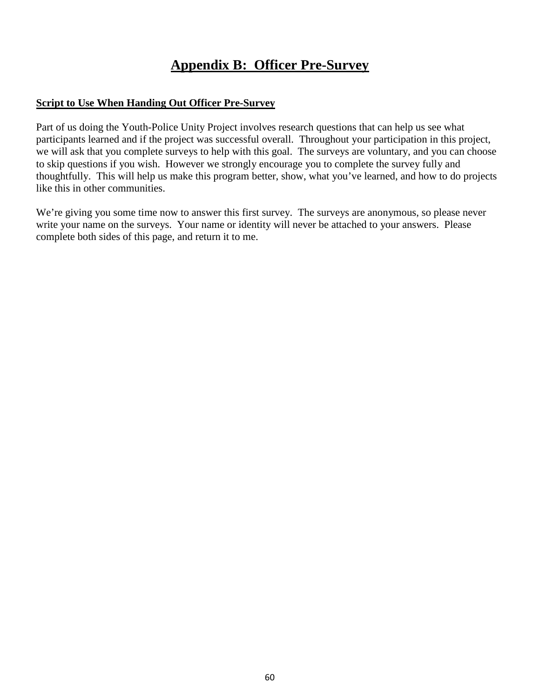# **Appendix B: Officer Pre-Survey**

## **Script to Use When Handing Out Officer Pre-Survey**

Part of us doing the Youth-Police Unity Project involves research questions that can help us see what participants learned and if the project was successful overall. Throughout your participation in this project, we will ask that you complete surveys to help with this goal. The surveys are voluntary, and you can choose to skip questions if you wish. However we strongly encourage you to complete the survey fully and thoughtfully. This will help us make this program better, show, what you've learned, and how to do projects like this in other communities.

We're giving you some time now to answer this first survey. The surveys are anonymous, so please never write your name on the surveys. Your name or identity will never be attached to your answers. Please complete both sides of this page, and return it to me.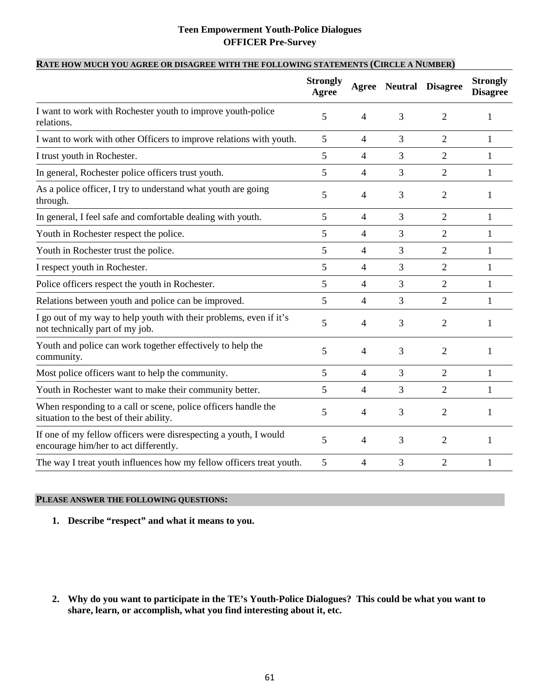## **Teen Empowerment Youth-Police Dialogues OFFICER Pre-Survey**

## **RATE HOW MUCH YOU AGREE OR DISAGREE WITH THE FOLLOWING STATEMENTS (CIRCLE A NUMBER)**

|                                                                                                           | <b>Strongly</b><br>Agree |                |   | <b>Agree Neutral Disagree</b> | <b>Strongly</b><br><b>Disagree</b> |
|-----------------------------------------------------------------------------------------------------------|--------------------------|----------------|---|-------------------------------|------------------------------------|
| I want to work with Rochester youth to improve youth-police<br>relations.                                 | 5                        | $\overline{4}$ | 3 | 2                             | 1                                  |
| I want to work with other Officers to improve relations with youth.                                       | 5                        | $\overline{4}$ | 3 | $\overline{2}$                | 1                                  |
| I trust youth in Rochester.                                                                               | 5                        | $\overline{4}$ | 3 | $\overline{2}$                | 1                                  |
| In general, Rochester police officers trust youth.                                                        | 5                        | $\overline{4}$ | 3 | $\overline{2}$                | 1                                  |
| As a police officer, I try to understand what youth are going<br>through.                                 | 5                        | $\overline{4}$ | 3 | $\overline{2}$                | 1                                  |
| In general, I feel safe and comfortable dealing with youth.                                               | 5                        | $\overline{4}$ | 3 | $\overline{2}$                | 1                                  |
| Youth in Rochester respect the police.                                                                    | 5                        | $\overline{4}$ | 3 | $\overline{2}$                | 1                                  |
| Youth in Rochester trust the police.                                                                      | 5                        | $\overline{4}$ | 3 | $\overline{2}$                | 1                                  |
| I respect youth in Rochester.                                                                             | 5                        | $\overline{4}$ | 3 | $\overline{2}$                | 1                                  |
| Police officers respect the youth in Rochester.                                                           | 5                        | $\overline{4}$ | 3 | $\overline{2}$                | 1                                  |
| Relations between youth and police can be improved.                                                       | 5                        | $\overline{4}$ | 3 | 2                             | 1                                  |
| I go out of my way to help youth with their problems, even if it's<br>not technically part of my job.     | 5                        | 4              | 3 | 2                             | 1                                  |
| Youth and police can work together effectively to help the<br>community.                                  | 5                        | 4              | 3 | 2                             | 1                                  |
| Most police officers want to help the community.                                                          | 5                        | $\overline{4}$ | 3 | $\overline{2}$                | 1                                  |
| Youth in Rochester want to make their community better.                                                   | 5                        | $\overline{4}$ | 3 | $\overline{2}$                | 1                                  |
| When responding to a call or scene, police officers handle the<br>situation to the best of their ability. | 5                        | 4              | 3 | $\overline{c}$                | 1                                  |
| If one of my fellow officers were disrespecting a youth, I would<br>encourage him/her to act differently. | 5                        | $\overline{4}$ | 3 | $\overline{2}$                | 1                                  |
| The way I treat youth influences how my fellow officers treat youth.                                      | 5                        | 4              | 3 | $\overline{c}$                | 1                                  |

#### **PLEASE ANSWER THE FOLLOWING QUESTIONS:**

- **1. Describe "respect" and what it means to you.**
- **2. Why do you want to participate in the TE's Youth-Police Dialogues? This could be what you want to share, learn, or accomplish, what you find interesting about it, etc.**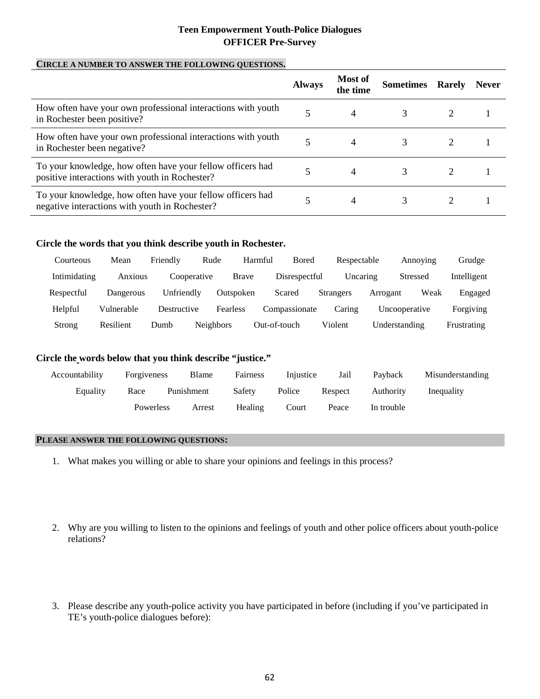## **Teen Empowerment Youth-Police Dialogues OFFICER Pre-Survey**

#### **CIRCLE A NUMBER TO ANSWER THE FOLLOWING QUESTIONS.**

|                                                                                                              | <b>Always</b> | <b>Most of</b><br>the time | <b>Sometimes</b> | <b>Rarely</b> | <b>Never</b> |
|--------------------------------------------------------------------------------------------------------------|---------------|----------------------------|------------------|---------------|--------------|
| How often have your own professional interactions with youth<br>in Rochester been positive?                  |               | 4                          |                  |               |              |
| How often have your own professional interactions with youth<br>in Rochester been negative?                  |               | 4                          |                  |               |              |
| To your knowledge, how often have your fellow officers had<br>positive interactions with youth in Rochester? |               | 4                          |                  |               |              |
| To your knowledge, how often have your fellow officers had<br>negative interactions with youth in Rochester? |               | 4                          | 3                |               |              |

#### **Circle the words that you think describe youth in Rochester.**

| Courteous    | Mean       | Friendly    | Rude             |           | <b>Bored</b><br>Harmful |                  | Respectable |               | Annoving        | Grudge      |
|--------------|------------|-------------|------------------|-----------|-------------------------|------------------|-------------|---------------|-----------------|-------------|
| Intimidating | Anxious    | Cooperative |                  | Brave     | Disrespectful           |                  | Uncaring    |               | <b>Stressed</b> | Intelligent |
| Respectful   | Dangerous  | Unfriendlv  |                  | Outspoken | Scared                  | <b>Strangers</b> |             | Arrogant      | Weak            | Engaged     |
| Helpful      | Vulnerable | Destructive |                  | Fearless  | Compassionate           |                  | Caring      |               | Uncooperative   | Forgiving   |
| Strong       | Resilient  | Dumb        | <b>Neighbors</b> |           | Out-of-touch            | Violent          |             | Understanding |                 | Frustrating |

## **Circle the words below that you think describe "justice."**

| Accountability | Forgiveness | Blame      | <b>Fairness</b> | Injustice | Jail    | Payback    | Misunderstanding |
|----------------|-------------|------------|-----------------|-----------|---------|------------|------------------|
| Equality       | Race        | Punishment | Safety          | Police    | Respect | Authority  | Inequality       |
|                | Powerless   | Arrest     | Healing         | Court     | Peace   | In trouble |                  |

#### **PLEASE ANSWER THE FOLLOWING QUESTIONS:**

- 1. What makes you willing or able to share your opinions and feelings in this process?
- 2. Why are you willing to listen to the opinions and feelings of youth and other police officers about youth-police relations?
- 3. Please describe any youth-police activity you have participated in before (including if you've participated in TE's youth-police dialogues before):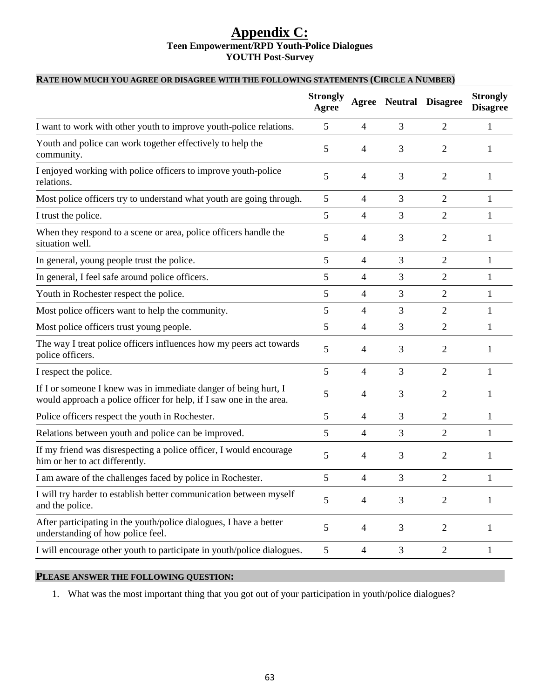## **Appendix C: Teen Empowerment/RPD Youth-Police Dialogues YOUTH Post-Survey**

## **RATE HOW MUCH YOU AGREE OR DISAGREE WITH THE FOLLOWING STATEMENTS (CIRCLE A NUMBER)**

|                                                                                                                                        | <b>Strongly</b><br>Agree | Agree          | <b>Neutral</b> | <b>Disagree</b> | <b>Strongly</b><br><b>Disagree</b> |
|----------------------------------------------------------------------------------------------------------------------------------------|--------------------------|----------------|----------------|-----------------|------------------------------------|
| I want to work with other youth to improve youth-police relations.                                                                     | 5                        | 4              | 3              | $\overline{2}$  | 1                                  |
| Youth and police can work together effectively to help the<br>community.                                                               | 5                        | 4              | 3              | 2               | 1                                  |
| I enjoyed working with police officers to improve youth-police<br>relations.                                                           | 5                        | 4              | 3              | $\overline{2}$  | 1                                  |
| Most police officers try to understand what youth are going through.                                                                   | 5                        | 4              | 3              | 2               | 1                                  |
| I trust the police.                                                                                                                    | 5                        | 4              | 3              | $\overline{2}$  | 1                                  |
| When they respond to a scene or area, police officers handle the<br>situation well.                                                    | 5                        | 4              | 3              | $\overline{2}$  | 1                                  |
| In general, young people trust the police.                                                                                             | 5                        | 4              | 3              | $\overline{2}$  | 1                                  |
| In general, I feel safe around police officers.                                                                                        | 5                        | 4              | 3              | $\overline{2}$  | 1                                  |
| Youth in Rochester respect the police.                                                                                                 | 5                        | 4              | 3              | $\overline{2}$  | 1                                  |
| Most police officers want to help the community.                                                                                       | 5                        | 4              | 3              | $\overline{2}$  | 1                                  |
| Most police officers trust young people.                                                                                               | 5                        | 4              | 3              | $\overline{2}$  | 1                                  |
| The way I treat police officers influences how my peers act towards<br>police officers.                                                | 5                        | 4              | 3              | 2               | 1                                  |
| I respect the police.                                                                                                                  | 5                        | 4              | 3              | $\overline{2}$  | 1                                  |
| If I or someone I knew was in immediate danger of being hurt, I<br>would approach a police officer for help, if I saw one in the area. | 5                        | 4              | 3              | $\overline{2}$  | 1                                  |
| Police officers respect the youth in Rochester.                                                                                        | 5                        | 4              | 3              | $\overline{2}$  | 1                                  |
| Relations between youth and police can be improved.                                                                                    | 5                        | 4              | 3              | $\overline{2}$  | 1                                  |
| If my friend was disrespecting a police officer, I would encourage<br>him or her to act differently.                                   | 5                        | 4              | 3              | 2               | 1                                  |
| I am aware of the challenges faced by police in Rochester.                                                                             | 5                        | 4              | 3              | $\overline{c}$  | 1                                  |
| I will try harder to establish better communication between myself<br>and the police.                                                  | 5                        | $\overline{4}$ | 3              | $\overline{2}$  | 1                                  |
| After participating in the youth/police dialogues, I have a better<br>understanding of how police feel.                                | 5                        | $\overline{4}$ | 3              | $\overline{2}$  | 1                                  |
| I will encourage other youth to participate in youth/police dialogues.                                                                 | 5                        | $\overline{4}$ | 3              | $\mathbf{2}$    | $\mathbf{1}$                       |

## **PLEASE ANSWER THE FOLLOWING QUESTION:**

1. What was the most important thing that you got out of your participation in youth/police dialogues?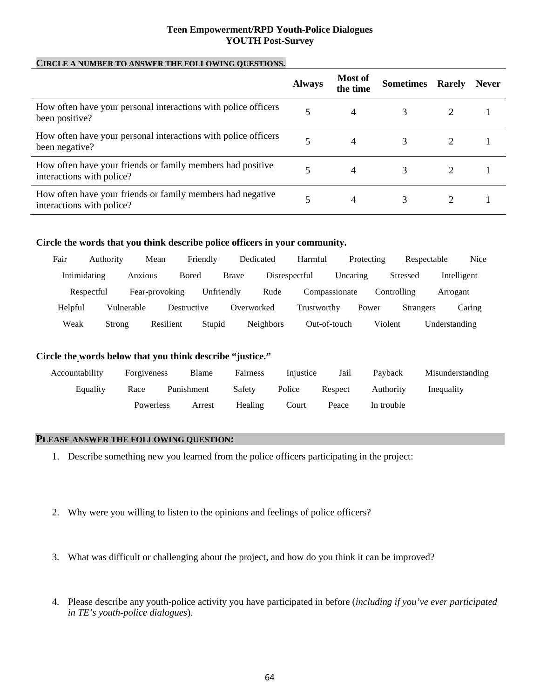#### **Teen Empowerment/RPD Youth-Police Dialogues YOUTH Post-Survey**

## **CIRCLE A NUMBER TO ANSWER THE FOLLOWING QUESTIONS.**

|                                                                                         | <b>Always</b> | <b>Most of</b><br>the time | <b>Sometimes</b> | <b>Rarely</b> | <b>Never</b> |
|-----------------------------------------------------------------------------------------|---------------|----------------------------|------------------|---------------|--------------|
| How often have your personal interactions with police officers<br>been positive?        |               | 4                          | 3                |               |              |
| How often have your personal interactions with police officers<br>been negative?        |               | 4                          | 3                |               |              |
| How often have your friends or family members had positive<br>interactions with police? |               | 4                          | 3                |               |              |
| How often have your friends or family members had negative<br>interactions with police? |               | 4                          | 3                |               |              |

#### **Circle the words that you think describe police officers in your community.**

| Fair    | Authority    | Mean       |                | Friendly   | Dedicated    |                  | Harmful       |          | Protecting | Respectable      |               | <b>Nice</b> |
|---------|--------------|------------|----------------|------------|--------------|------------------|---------------|----------|------------|------------------|---------------|-------------|
|         | Intimidating | Anxious    | <b>Bored</b>   |            | <b>Brave</b> | Disrespectful    |               | Uncaring |            | Stressed         |               | Intelligent |
|         | Respectful   |            | Fear-provoking | Unfriendly |              | Rude             | Compassionate |          |            | Controlling      | Arrogant      |             |
| Helpful |              | Vulnerable | Destructive    |            | Overworked   |                  | Trustworthy   |          | Power      | <b>Strangers</b> |               | Caring      |
| Weak    | Strong       |            | Resilient      | Stupid     |              | <b>Neighbors</b> | Out-of-touch  |          | Violent    |                  | Understanding |             |

#### **Circle the words below that you think describe "justice."**

| Accountability | Forgiveness | Blame      | <b>Fairness</b> | Injustice | Jail    | Payback    | Misunderstanding |
|----------------|-------------|------------|-----------------|-----------|---------|------------|------------------|
| Equality       | Race        | Punishment | Safety          | Police    | Respect | Authority  | Inequality       |
|                | Powerless   | Arrest     | Healing         | Court     | Peace   | In trouble |                  |

#### **PLEASE ANSWER THE FOLLOWING QUESTION:**

- 1. Describe something new you learned from the police officers participating in the project:
- 2. Why were you willing to listen to the opinions and feelings of police officers?
- 3. What was difficult or challenging about the project, and how do you think it can be improved?
- 4. Please describe any youth-police activity you have participated in before (*including if you've ever participated in TE's youth-police dialogues*).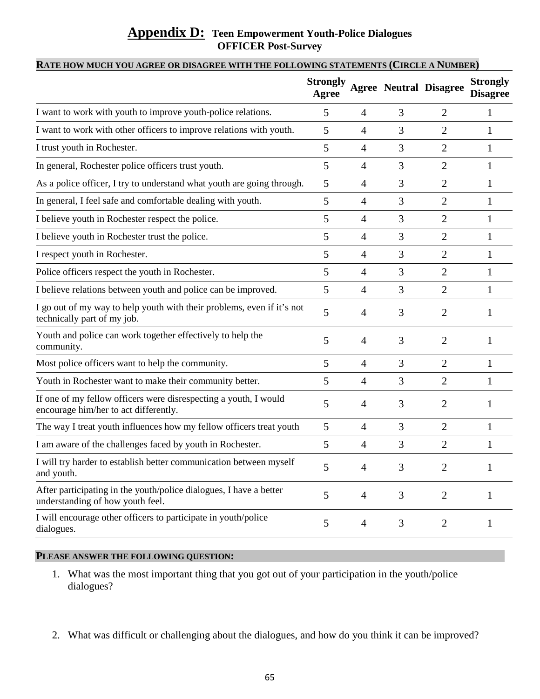## **Appendix D: Teen Empowerment Youth-Police Dialogues OFFICER Post-Survey**

## **RATE HOW MUCH YOU AGREE OR DISAGREE WITH THE FOLLOWING STATEMENTS (CIRCLE A NUMBER)**

|                                                                                                           | <b>Strongly</b><br>Agree |                |   | <b>Agree Neutral Disagree</b> | <b>Strongly</b><br><b>Disagree</b> |
|-----------------------------------------------------------------------------------------------------------|--------------------------|----------------|---|-------------------------------|------------------------------------|
| I want to work with youth to improve youth-police relations.                                              | 5                        | 4              | 3 | $\overline{2}$                | 1                                  |
| I want to work with other officers to improve relations with youth.                                       | 5                        | 4              | 3 | $\overline{2}$                | 1                                  |
| I trust youth in Rochester.                                                                               | 5                        | $\overline{4}$ | 3 | $\overline{2}$                | 1                                  |
| In general, Rochester police officers trust youth.                                                        | 5                        | 4              | 3 | $\overline{2}$                |                                    |
| As a police officer, I try to understand what youth are going through.                                    | 5                        | 4              | 3 | $\overline{2}$                | 1                                  |
| In general, I feel safe and comfortable dealing with youth.                                               | 5                        | 4              | 3 | $\overline{2}$                | 1                                  |
| I believe youth in Rochester respect the police.                                                          | 5                        | $\overline{4}$ | 3 | $\overline{2}$                | 1                                  |
| I believe youth in Rochester trust the police.                                                            | 5                        | 4              | 3 | $\overline{2}$                | 1                                  |
| I respect youth in Rochester.                                                                             | 5                        | 4              | 3 | $\overline{2}$                |                                    |
| Police officers respect the youth in Rochester.                                                           | 5                        | 4              | 3 | $\overline{2}$                | 1                                  |
| I believe relations between youth and police can be improved.                                             | 5                        | 4              | 3 | $\overline{2}$                | 1                                  |
| I go out of my way to help youth with their problems, even if it's not<br>technically part of my job.     | 5                        | 4              | 3 | 2                             |                                    |
| Youth and police can work together effectively to help the<br>community.                                  | 5                        | 4              | 3 | 2                             | 1                                  |
| Most police officers want to help the community.                                                          | 5                        | $\overline{4}$ | 3 | $\overline{2}$                | 1                                  |
| Youth in Rochester want to make their community better.                                                   | 5                        | $\overline{4}$ | 3 | $\overline{2}$                | 1                                  |
| If one of my fellow officers were disrespecting a youth, I would<br>encourage him/her to act differently. | 5                        | 4              | 3 | 2                             | 1                                  |
| The way I treat youth influences how my fellow officers treat youth                                       | 5                        | $\overline{4}$ | 3 | $\overline{2}$                | $\mathbf{1}$                       |
| I am aware of the challenges faced by youth in Rochester.                                                 | 5                        | $\overline{4}$ | 3 | $\overline{2}$                | 1                                  |
| I will try harder to establish better communication between myself<br>and youth.                          | 5                        |                | 3 | $\mathcal{D}_{\mathcal{L}}$   |                                    |
| After participating in the youth/police dialogues, I have a better<br>understanding of how youth feel.    | 5                        | $\overline{4}$ | 3 | $\overline{2}$                | $\mathbf{1}$                       |
| I will encourage other officers to participate in youth/police<br>dialogues.                              | 5                        | $\overline{4}$ | 3 | $\overline{2}$                | 1                                  |

## **PLEASE ANSWER THE FOLLOWING QUESTION:**

- 1. What was the most important thing that you got out of your participation in the youth/police dialogues?
- 2. What was difficult or challenging about the dialogues, and how do you think it can be improved?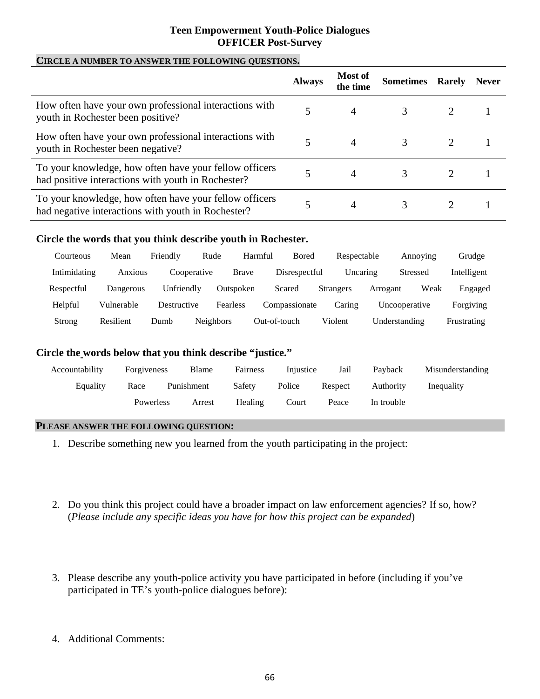## **Teen Empowerment Youth-Police Dialogues OFFICER Post-Survey**

## **CIRCLE A NUMBER TO ANSWER THE FOLLOWING QUESTIONS.**

|                                                                                                              | <b>Always</b> | Most of<br>the time | <b>Sometimes</b> | <b>Rarely</b> | <b>Never</b> |
|--------------------------------------------------------------------------------------------------------------|---------------|---------------------|------------------|---------------|--------------|
| How often have your own professional interactions with<br>youth in Rochester been positive?                  |               | $\overline{4}$      |                  |               |              |
| How often have your own professional interactions with<br>youth in Rochester been negative?                  |               | 4                   |                  |               |              |
| To your knowledge, how often have your fellow officers<br>had positive interactions with youth in Rochester? |               | 4                   | 3                |               |              |
| To your knowledge, how often have your fellow officers<br>had negative interactions with youth in Rochester? |               | 4                   |                  |               |              |

## **Circle the words that you think describe youth in Rochester.**

| Courteous    | Mean       | Friendly    | Rude             | Harmful   | Bored         | Respectable      |               | Annoving | Grudge      |
|--------------|------------|-------------|------------------|-----------|---------------|------------------|---------------|----------|-------------|
| Intimidating | Anxious    | Cooperative |                  | Brave     | Disrespectful | Uncaring         |               | Stressed | Intelligent |
| Respectful   | Dangerous  | Unfriendly  |                  | Outspoken | Scared        | <b>Strangers</b> | Arrogant      | Weak     | Engaged     |
| Helpful      | Vulnerable | Destructive |                  | Fearless  | Compassionate | Caring           | Uncooperative |          | Forgiving   |
| Strong       | Resilient  | Dumb        | <b>Neighbors</b> |           | Out-of-touch  | Violent          | Understanding |          | Frustrating |

## **Circle the words below that you think describe "justice."**

| Accountability | Forgiveness | Blame      | <b>Fairness</b> | Injustice | Jail    | Payback    | Misunderstanding |
|----------------|-------------|------------|-----------------|-----------|---------|------------|------------------|
| Equality       | Race        | Punishment | Safety          | Police    | Respect | Authority  | Inequality       |
|                | Powerless   | Arrest     | Healing         | Court     | Peace   | In trouble |                  |

## **PLEASE ANSWER THE FOLLOWING QUESTION:**

- 1. Describe something new you learned from the youth participating in the project:
- 2. Do you think this project could have a broader impact on law enforcement agencies? If so, how? (*Please include any specific ideas you have for how this project can be expanded*)
- 3. Please describe any youth-police activity you have participated in before (including if you've participated in TE's youth-police dialogues before):
- 4. Additional Comments: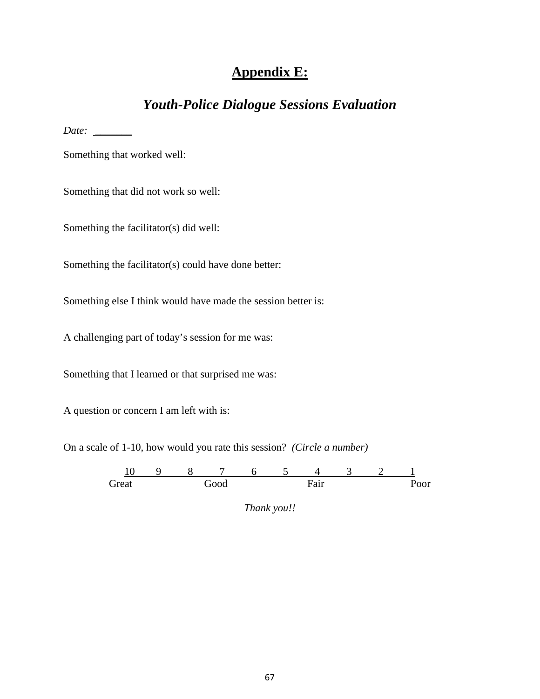# **Appendix E:**

# *Youth-Police Dialogue Sessions Evaluation*

*Date: \_\_\_\_\_\_\_*

Something that worked well:

Something that did not work so well:

Something the facilitator(s) did well:

Something the facilitator(s) could have done better:

Something else I think would have made the session better is:

A challenging part of today's session for me was:

Something that I learned or that surprised me was:

A question or concern I am left with is:

On a scale of 1-10, how would you rate this session? *(Circle a number)*

10 9 8 7 6 5 4 3 2 1 Great Good Fair Poor

*Thank you!!*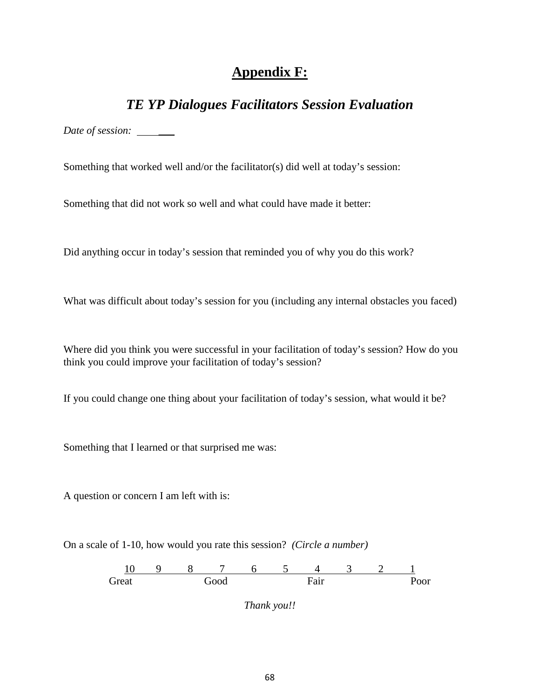# **Appendix F:**

## *TE YP Dialogues Facilitators Session Evaluation*

Date of session: \_\_\_\_\_

Something that worked well and/or the facilitator(s) did well at today's session:

Something that did not work so well and what could have made it better:

Did anything occur in today's session that reminded you of why you do this work?

What was difficult about today's session for you (including any internal obstacles you faced)

Where did you think you were successful in your facilitation of today's session? How do you think you could improve your facilitation of today's session?

If you could change one thing about your facilitation of today's session, what would it be?

Something that I learned or that surprised me was:

A question or concern I am left with is:

On a scale of 1-10, how would you rate this session? *(Circle a number)*



*Thank you!!*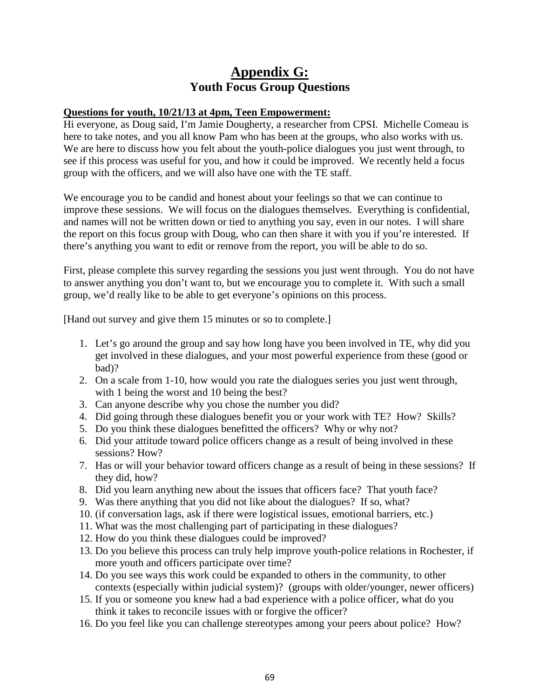# **Appendix G: Youth Focus Group Questions**

## **Questions for youth, 10/21/13 at 4pm, Teen Empowerment:**

Hi everyone, as Doug said, I'm Jamie Dougherty, a researcher from CPSI. Michelle Comeau is here to take notes, and you all know Pam who has been at the groups, who also works with us. We are here to discuss how you felt about the youth-police dialogues you just went through, to see if this process was useful for you, and how it could be improved. We recently held a focus group with the officers, and we will also have one with the TE staff.

We encourage you to be candid and honest about your feelings so that we can continue to improve these sessions. We will focus on the dialogues themselves. Everything is confidential, and names will not be written down or tied to anything you say, even in our notes. I will share the report on this focus group with Doug, who can then share it with you if you're interested. If there's anything you want to edit or remove from the report, you will be able to do so.

First, please complete this survey regarding the sessions you just went through. You do not have to answer anything you don't want to, but we encourage you to complete it. With such a small group, we'd really like to be able to get everyone's opinions on this process.

[Hand out survey and give them 15 minutes or so to complete.]

- 1. Let's go around the group and say how long have you been involved in TE, why did you get involved in these dialogues, and your most powerful experience from these (good or bad)?
- 2. On a scale from 1-10, how would you rate the dialogues series you just went through, with 1 being the worst and 10 being the best?
- 3. Can anyone describe why you chose the number you did?
- 4. Did going through these dialogues benefit you or your work with TE? How? Skills?
- 5. Do you think these dialogues benefitted the officers? Why or why not?
- 6. Did your attitude toward police officers change as a result of being involved in these sessions? How?
- 7. Has or will your behavior toward officers change as a result of being in these sessions? If they did, how?
- 8. Did you learn anything new about the issues that officers face? That youth face?
- 9. Was there anything that you did not like about the dialogues? If so, what?
- 10. (if conversation lags, ask if there were logistical issues, emotional barriers, etc.)
- 11. What was the most challenging part of participating in these dialogues?
- 12. How do you think these dialogues could be improved?
- 13. Do you believe this process can truly help improve youth-police relations in Rochester, if more youth and officers participate over time?
- 14. Do you see ways this work could be expanded to others in the community, to other contexts (especially within judicial system)? (groups with older/younger, newer officers)
- 15. If you or someone you knew had a bad experience with a police officer, what do you think it takes to reconcile issues with or forgive the officer?
- 16. Do you feel like you can challenge stereotypes among your peers about police? How?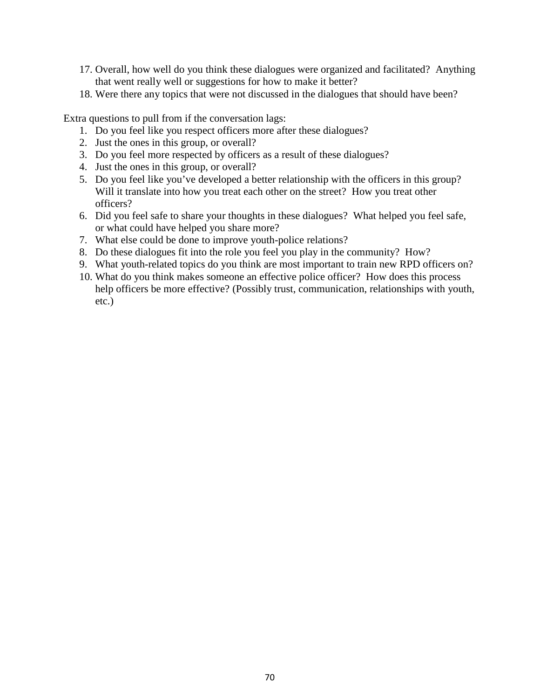- 17. Overall, how well do you think these dialogues were organized and facilitated? Anything that went really well or suggestions for how to make it better?
- 18. Were there any topics that were not discussed in the dialogues that should have been?

Extra questions to pull from if the conversation lags:

- 1. Do you feel like you respect officers more after these dialogues?
- 2. Just the ones in this group, or overall?
- 3. Do you feel more respected by officers as a result of these dialogues?
- 4. Just the ones in this group, or overall?
- 5. Do you feel like you've developed a better relationship with the officers in this group? Will it translate into how you treat each other on the street? How you treat other officers?
- 6. Did you feel safe to share your thoughts in these dialogues? What helped you feel safe, or what could have helped you share more?
- 7. What else could be done to improve youth-police relations?
- 8. Do these dialogues fit into the role you feel you play in the community? How?
- 9. What youth-related topics do you think are most important to train new RPD officers on?
- 10. What do you think makes someone an effective police officer? How does this process help officers be more effective? (Possibly trust, communication, relationships with youth, etc.)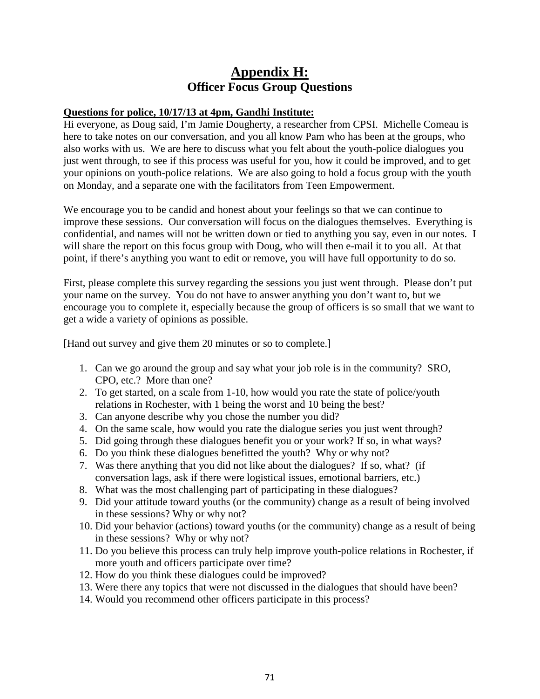# **Appendix H: Officer Focus Group Questions**

## **Questions for police, 10/17/13 at 4pm, Gandhi Institute:**

Hi everyone, as Doug said, I'm Jamie Dougherty, a researcher from CPSI. Michelle Comeau is here to take notes on our conversation, and you all know Pam who has been at the groups, who also works with us. We are here to discuss what you felt about the youth-police dialogues you just went through, to see if this process was useful for you, how it could be improved, and to get your opinions on youth-police relations. We are also going to hold a focus group with the youth on Monday, and a separate one with the facilitators from Teen Empowerment.

We encourage you to be candid and honest about your feelings so that we can continue to improve these sessions. Our conversation will focus on the dialogues themselves. Everything is confidential, and names will not be written down or tied to anything you say, even in our notes. I will share the report on this focus group with Doug, who will then e-mail it to you all. At that point, if there's anything you want to edit or remove, you will have full opportunity to do so.

First, please complete this survey regarding the sessions you just went through. Please don't put your name on the survey. You do not have to answer anything you don't want to, but we encourage you to complete it, especially because the group of officers is so small that we want to get a wide a variety of opinions as possible.

[Hand out survey and give them 20 minutes or so to complete.]

- 1. Can we go around the group and say what your job role is in the community? SRO, CPO, etc.? More than one?
- 2. To get started, on a scale from 1-10, how would you rate the state of police/youth relations in Rochester, with 1 being the worst and 10 being the best?
- 3. Can anyone describe why you chose the number you did?
- 4. On the same scale, how would you rate the dialogue series you just went through?
- 5. Did going through these dialogues benefit you or your work? If so, in what ways?
- 6. Do you think these dialogues benefitted the youth? Why or why not?
- 7. Was there anything that you did not like about the dialogues? If so, what? (if conversation lags, ask if there were logistical issues, emotional barriers, etc.)
- 8. What was the most challenging part of participating in these dialogues?
- 9. Did your attitude toward youths (or the community) change as a result of being involved in these sessions? Why or why not?
- 10. Did your behavior (actions) toward youths (or the community) change as a result of being in these sessions? Why or why not?
- 11. Do you believe this process can truly help improve youth-police relations in Rochester, if more youth and officers participate over time?
- 12. How do you think these dialogues could be improved?
- 13. Were there any topics that were not discussed in the dialogues that should have been?
- 14. Would you recommend other officers participate in this process?